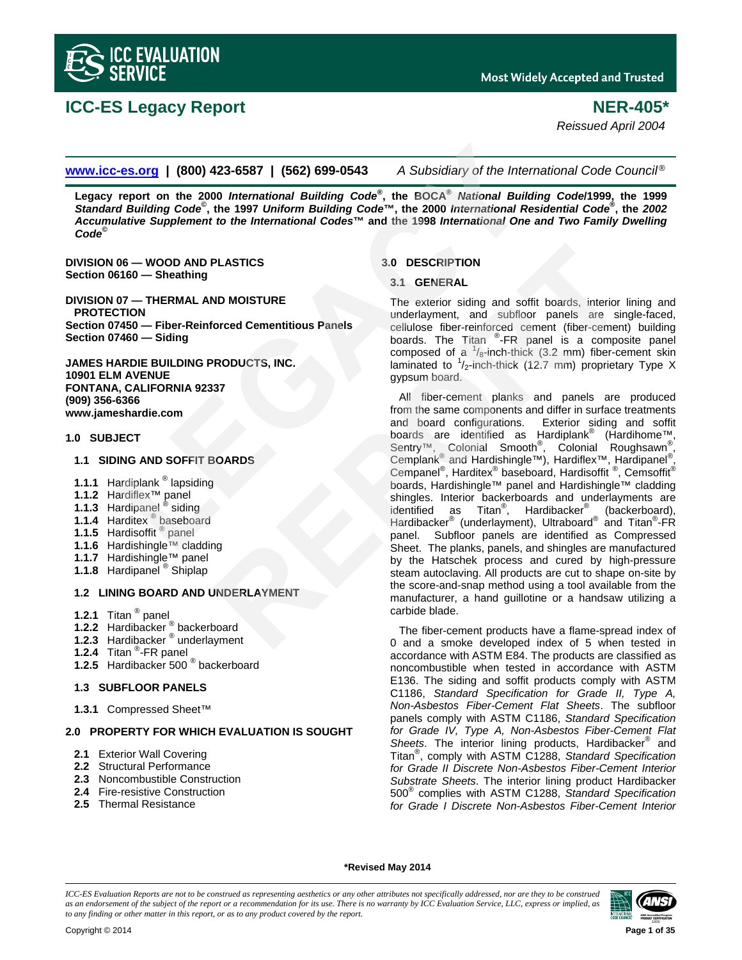

# **ICC-ES Legacy Report NER-405\***

*Reissued April 2004* 

**www.icc-es.org | (800) 423-6587 | (562) 699-0543** *A Subsidiary of the International Code Council* ®

**Legacy report on the 2000** *International Building Code***® , the BOCA®** *National Building Code***/1999, the 1999**  *Standard Building Code***© , the 1997** *Uniform Building Code***™, the 2000** *International Residential Code***® , the** *2002 Accumulative Supplement to the International Codes***™ and the 1998** *International One and Two Family Dwelling Code***©**

**DIVISION 06 — WOOD AND PLASTICS Section 06160 — Sheathing** 

**DIVISION 07 — THERMAL AND MOISTURE PROTECTION Section 07450 — Fiber-Reinforced Cementitious Panels Section 07460 — Siding**

**JAMES HARDIE BUILDING PRODUCTS, INC. 10901 ELM AVENUE FONTANA, CALIFORNIA 92337 (909) 356-6366 www.jameshardie.com**

### **1.0 SUBJECT**

# **1.1 SIDING AND SOFFIT BOARDS**

- **1.1.1** Hardiplank ® lapsiding
- **1.1.2** Hardiflex™ panel
- **1.1.3** Hardipanel ® siding
- **1.1.4** Harditex ® baseboard
- **1.1.5** Hardisoffit ® panel
- **1.1.6** Hardishingle™ cladding
- **1.1.7** Hardishingle™ panel
- **1.1.8** Hardipanel ® Shiplap

# **1.2 LINING BOARD AND UNDERLAYMENT**

- **1.2.1** Titan ® panel
- **1.2.2** Hardibacker ® backerboard
- **1.2.3** Hardibacker ® underlayment
- **1.2.4** Titan ® -FR panel
- **1.2.5** Hardibacker 500 ® backerboard

# **1.3 SUBFLOOR PANELS**

**1.3.1** Compressed Sheet™

# **2.0 PROPERTY FOR WHICH EVALUATION IS SOUGHT**

- **2.1** Exterior Wall Covering
- **2.2** Structural Performance
- **2.3** Noncombustible Construction
- **2.4** Fire-resistive Construction
- **2.5** Thermal Resistance

# **3.0 DESCRIPTION**

# **3.1 GENERAL**

The exterior siding and soffit boards, interior lining and underlayment, and subfloor panels are single-faced, cellulose fiber-reinforced cement (fiber-cement) building boards. The Titan ®-FR panel is a composite panel composed of a  $\frac{1}{8}$ -inch-thick (3.2 mm) fiber-cement skin laminated to  $\frac{1}{2}$ -inch-thick (12.7 mm) proprietary Type X gypsum board.

All fiber-cement planks and panels are produced from the same components and differ in surface treatments and board configurations. Exterior siding and soffit boards are identified as Hardiplank® (Hardihome™, Sentry<sup>™</sup>, Colonial Smooth<sup>®</sup>, Colonial Roughsawn<sup>®</sup>, Cemplank<sup>®</sup> and Hardishingle™), Hardiflex™, Hardipanel<sup>®</sup>, Cempanel<sup>®</sup>, Harditex<sup>®</sup> baseboard, Hardisoffit <sup>®</sup>, Cemsoffit<sup>®</sup> boards, Hardishingle™ panel and Hardishingle™ cladding shingles. Interior backerboards and underlayments are identified as Titan<sup>®</sup>, Hardibacker<sup>®</sup> (backerboard), Hardibacker<sup>®</sup> (underlayment), Ultraboard<sup>®</sup> and Titan<sup>®</sup>-FR panel. Subfloor panels are identified as Compressed Sheet. The planks, panels, and shingles are manufactured by the Hatschek process and cured by high-pressure steam autoclaving. All products are cut to shape on-site by the score-and-snap method using a tool available from the manufacturer, a hand guillotine or a handsaw utilizing a carbide blade. **LEGACY 1978** (**SOO)** 423-6587 | (**SEC)** 699-0543 A Subsidiary of the International report on the 2000 International Building Code<sup>ns</sup>, the BOCA<sup>®</sup> Atational Building Codens (**LEGACY** Mational Residence of the 1988 Interna **PLASTICS**<br>
3.0 DESCRIPTION<br>
3.1 GENERAL<br>
The exterior siding and soffit boards, interior<br>
underlayment, and subfloor panels are simpled<br>
boards. The Titan <sup>2</sup>-FR panel is a composite comment (their-cenner (their-cenner is

The fiber-cement products have a flame-spread index of 0 and a smoke developed index of 5 when tested in accordance with ASTM E84. The products are classified as noncombustible when tested in accordance with ASTM E136. The siding and soffit products comply with ASTM C1186, *Standard Specification for Grade II, Type A, Non-Asbestos Fiber-Cement Flat Sheets*. The subfloor panels comply with ASTM C1186, *Standard Specification for Grade IV, Type A, Non-Asbestos Fiber-Cement Flat*  Sheets. The interior lining products, Hardibacker<sup>®</sup> and Titan® , comply with ASTM C1288, *Standard Specification for Grade II Discrete Non-Asbestos Fiber-Cement Interior Substrate Sheets*. The interior lining product Hardibacker 500® complies with ASTM C1288, *Standard Specification for Grade I Discrete Non-Asbestos Fiber-Cement Interior* 

**\*Revised May 2014** 

*ICC-ES Evaluation Reports are not to be construed as representing aesthetics or any other attributes not specifically addressed, nor are they to be construed as an endorsement of the subject of the report or a recommendation for its use. There is no warranty by ICC Evaluation Service, LLC, express or implied, as to any finding or other matter in this report, or as to any product covered by the report.*

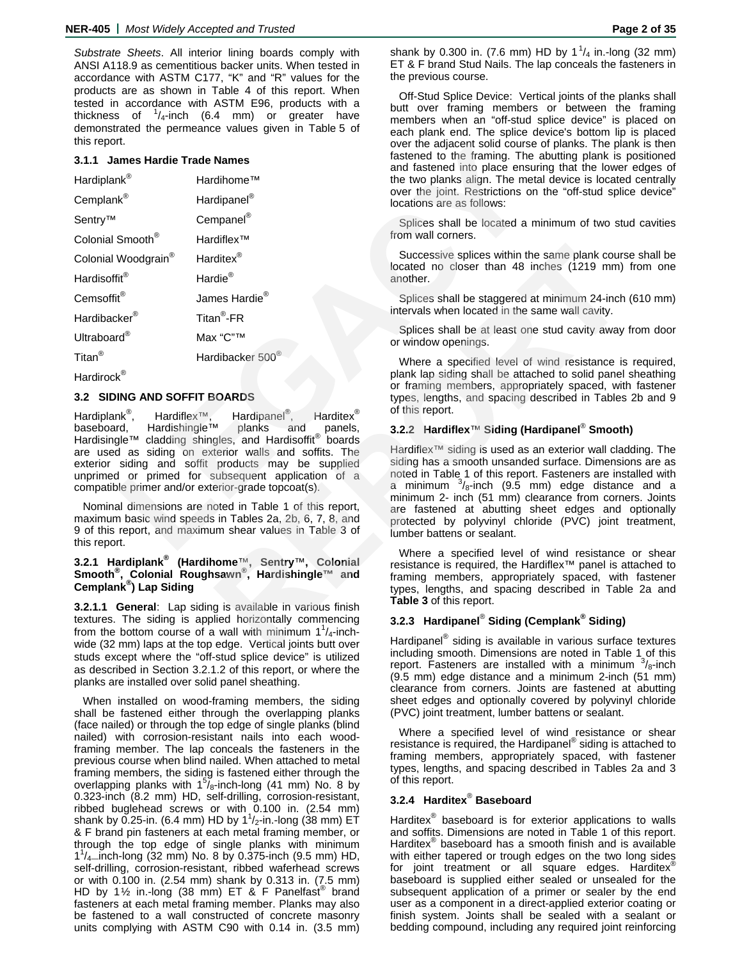*Substrate Sheets*. All interior lining boards comply with ANSI A118.9 as cementitious backer units. When tested in accordance with ASTM C177, "K" and "R" values for the products are as shown in Table 4 of this report. When tested in accordance with ASTM E96, products with a thickness of  $\frac{1}{4}$ -inch (6.4 mm) or greater have demonstrated the permeance values given in Table 5 of this report.

# **3.1.1 James Hardie Trade Names**

| uns report.                    |                                                                                                                                                                                                                           | over the adjacent solid course of pla                                                                                                                                              |  |  |  |
|--------------------------------|---------------------------------------------------------------------------------------------------------------------------------------------------------------------------------------------------------------------------|------------------------------------------------------------------------------------------------------------------------------------------------------------------------------------|--|--|--|
| 3.1.1 James Hardie Trade Names |                                                                                                                                                                                                                           | fastened to the framing. The abutt<br>and fastened into place ensuring tl                                                                                                          |  |  |  |
| Hardiplank®                    | Hardihome™                                                                                                                                                                                                                | the two planks align. The metal dev                                                                                                                                                |  |  |  |
| Cemplank <sup>®</sup>          | Hardipanel <sup>®</sup>                                                                                                                                                                                                   | over the joint. Restrictions on the<br>locations are as follows:                                                                                                                   |  |  |  |
| Sentry™                        | Cempanel <sup>®</sup>                                                                                                                                                                                                     | Splices shall be located a minimu                                                                                                                                                  |  |  |  |
| Colonial Smooth <sup>®</sup>   | Hardiflex™                                                                                                                                                                                                                | from wall corners.                                                                                                                                                                 |  |  |  |
| Colonial Woodgrain®            | Harditex <sup>®</sup>                                                                                                                                                                                                     | Successive splices within the sam<br>located no closer than 48 inches                                                                                                              |  |  |  |
| Hardisoffit®                   | Hardie®                                                                                                                                                                                                                   | another.                                                                                                                                                                           |  |  |  |
| Cemsoffit®                     | James Hardie <sup>®</sup>                                                                                                                                                                                                 | Splices shall be staggered at mini                                                                                                                                                 |  |  |  |
| Hardibacker <sup>®</sup>       | Titan <sup>®</sup> -FR                                                                                                                                                                                                    | intervals when located in the same y                                                                                                                                               |  |  |  |
| Ultraboard <sup>®</sup>        | Max "C"™                                                                                                                                                                                                                  | Splices shall be at least one stud<br>or window openings.                                                                                                                          |  |  |  |
| Titan <sup>®</sup>             | Hardibacker 500®                                                                                                                                                                                                          | Where a specified level of wind                                                                                                                                                    |  |  |  |
| Hardirock <sup>®</sup>         |                                                                                                                                                                                                                           | plank lap siding shall be attached to<br>or framing members, appropriately                                                                                                         |  |  |  |
| 3.2 SIDING AND SOFFIT BOARDS   |                                                                                                                                                                                                                           | types, lengths, and spacing describ                                                                                                                                                |  |  |  |
| Hardiplank <sup>®</sup> ,      | Hardiflex <sup>™</sup> , Hardipanel <sup>®</sup> ,<br>Harditex <sup>®</sup>                                                                                                                                               | of this report.                                                                                                                                                                    |  |  |  |
| Hardishingle™<br>baseboard.    | planks<br>and<br>panels,<br>Hardisingle™ cladding shingles, and Hardisoffit® boards                                                                                                                                       | 3.2.2 Hardiflex <sup>™</sup> Siding (Hardipa                                                                                                                                       |  |  |  |
|                                | are used as siding on exterior walls and soffits. The<br>exterior siding and soffit products may be supplied<br>unprimed or primed for subsequent application of a<br>compatible primer and/or exterior-grade topcoat(s). | Hardiflex <sup>™</sup> siding is used as an exte<br>siding has a smooth unsanded surfa<br>noted in Table 1 of this report. Fast<br>a minimum $^{3}/_{8}$ -inch (9.5 mm) $\epsilon$ |  |  |  |
| this report.                   | Nominal dimensions are noted in Table 1 of this report,<br>maximum basic wind speeds in Tables 2a, 2b, 6, 7, 8, and<br>9 of this report, and maximum shear values in Table 3 of                                           | minimum 2- inch (51 mm) clearand<br>are fastened at abutting sheet<br>protected by polyvinyl chloride (<br>lumber battens or sealant.                                              |  |  |  |
|                                |                                                                                                                                                                                                                           |                                                                                                                                                                                    |  |  |  |

#### **3.2 SIDING AND SOFFIT BOARDS**

# **3.2.1 Hardiplank® (Hardihome**™**, Sentry**™**, Colonial Smooth® , Colonial Roughsawn® , Hardishingle™ and Cemplank® ) Lap Siding**

**3.2.1.1 General**: Lap siding is available in various finish textures. The siding is applied horizontally commencing from the bottom course of a wall with minimum  $1^{1}/_{4}$ -inchwide (32 mm) laps at the top edge. Vertical joints butt over studs except where the "off-stud splice device" is utilized as described in Section 3.2.1.2 of this report, or where the planks are installed over solid panel sheathing.

When installed on wood-framing members, the siding shall be fastened either through the overlapping planks (face nailed) or through the top edge of single planks (blind nailed) with corrosion-resistant nails into each woodframing member. The lap conceals the fasteners in the previous course when blind nailed. When attached to metal framing members, the siding is fastened either through the overlapping planks with  $1^5$ / $_8$ -inch-long (41 mm) No. 8 by 0.323-inch (8.2 mm) HD, self-drilling, corrosion-resistant, ribbed buglehead screws or with 0.100 in. (2.54 mm) shank by 0.25-in. (6.4 mm) HD by 1 $^1\prime_2$ -in.-long (38 mm) ET & F brand pin fasteners at each metal framing member, or through the top edge of single planks with minimum  $1^{1}/_{4}$  mch-long (32 mm) No. 8 by 0.375-inch (9.5 mm) HD, self-drilling, corrosion-resistant, ribbed waferhead screws or with 0.100 in. (2.54 mm) shank by 0.313 in. (7.5 mm) HD by 1½ in.-long (38 mm) ET & F Panelfast<sup>®</sup> brand fasteners at each metal framing member. Planks may also be fastened to a wall constructed of concrete masonry units complying with ASTM C90 with 0.14 in. (3.5 mm)

shank by 0.300 in. (7.6 mm) HD by 1<sup>1</sup>/<sub>4</sub> in.-long (32 mm) ET & F brand Stud Nails. The lap conceals the fasteners in the previous course.

Off-Stud Splice Device: Vertical joints of the planks shall butt over framing members or between the framing members when an "off-stud splice device" is placed on each plank end. The splice device's bottom lip is placed over the adjacent solid course of planks. The plank is then fastened to the framing. The abutting plank is positioned and fastened into place ensuring that the lower edges of the two planks align. The metal device is located centrally over the joint. Restrictions on the "off-stud splice device" locations are as follows:

Splices shall be located a minimum of two stud cavities from wall corners.

Successive splices within the same plank course shall be located no closer than 48 inches (1219 mm) from one another.

Splices shall be staggered at minimum 24-inch (610 mm) intervals when located in the same wall cavity.

Splices shall be at least one stud cavity away from door or window openings.

Where a specified level of wind resistance is required, plank lap siding shall be attached to solid panel sheathing or framing members, appropriately spaced, with fastener types, lengths, and spacing described in Tables 2b and 9 of this report.

# **3.2.2 Hardiflex**™ **Siding (Hardipanel**®  **Smooth)**

Hardiflex<sup>™</sup> siding is used as an exterior wall cladding. The siding has a smooth unsanded surface. Dimensions are as noted in Table 1 of this report. Fasteners are installed with a minimum  $\frac{3}{8}$ -inch (9.5 mm) edge distance and a minimum 2- inch (51 mm) clearance from corners. Joints are fastened at abutting sheet edges and optionally protected by polyvinyl chloride (PVC) joint treatment, lumber battens or sealant. Successive splices within the same plank course<br>
The <sup>R</sup>eposition of the Coated no closer than 48 inches (1219 mm)<br>
The another.<br>
Intervals when located in the same wall cavity.<br>
Splices shall be staggered at minimum 24-in

Where a specified level of wind resistance or shear resistance is required, the Hardiflex™ panel is attached to framing members, appropriately spaced, with fastener types, lengths, and spacing described in Table 2a and **Table 3** of this report.

# **3.2.3 Hardipanel**®  **Siding (Cemplank® Siding)**

Hardipanel® siding is available in various surface textures including smooth. Dimensions are noted in Table 1 of this report. Fasteners are installed with a minimum  $\frac{3}{8}$ -inch (9.5 mm) edge distance and a minimum 2-inch (51 mm) clearance from corners. Joints are fastened at abutting sheet edges and optionally covered by polyvinyl chloride (PVC) joint treatment, lumber battens or sealant.

Where a specified level of wind resistance or shear resistance is required, the Hardipanel® siding is attached to framing members, appropriately spaced, with fastener types, lengths, and spacing described in Tables 2a and 3 of this report.

# **3.2.4 Harditex**®  **Baseboard**

Harditex<sup>®</sup> baseboard is for exterior applications to walls and soffits. Dimensions are noted in Table 1 of this report. Harditex® baseboard has a smooth finish and is available with either tapered or trough edges on the two long sides for joint treatment or all square edges. Harditex® baseboard is supplied either sealed or unsealed for the subsequent application of a primer or sealer by the end user as a component in a direct-applied exterior coating or finish system. Joints shall be sealed with a sealant or bedding compound, including any required joint reinforcing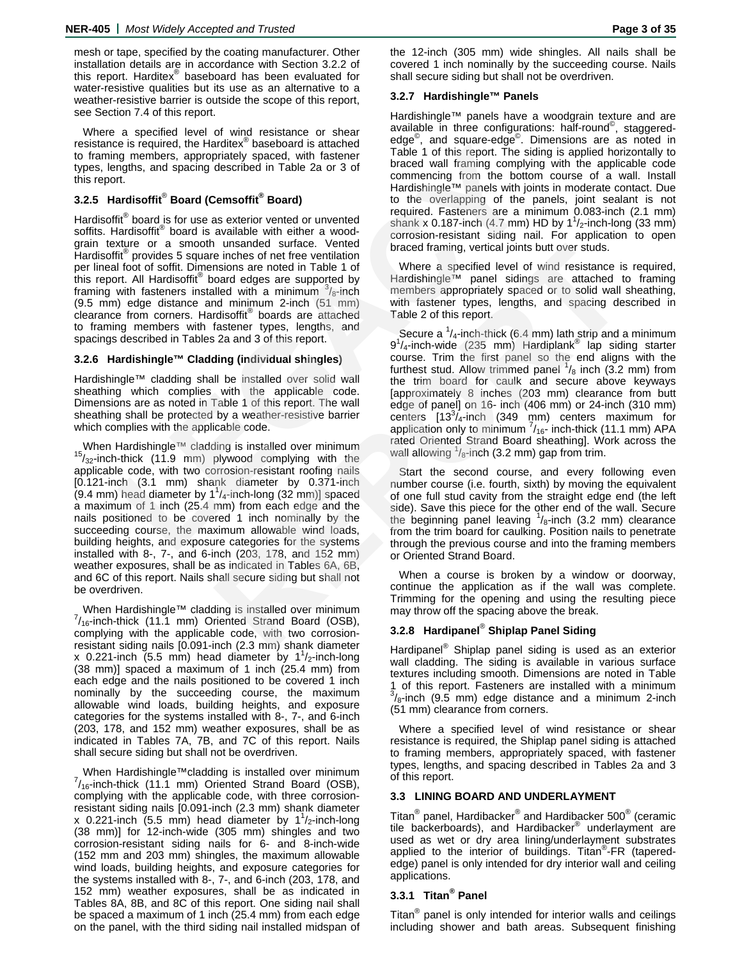mesh or tape, specified by the coating manufacturer. Other installation details are in accordance with Section 3.2.2 of this report. Harditex® baseboard has been evaluated for water-resistive qualities but its use as an alternative to a weather-resistive barrier is outside the scope of this report, see Section 7.4 of this report.

Where a specified level of wind resistance or shear resistance is required, the Harditex® baseboard is attached to framing members, appropriately spaced, with fastener types, lengths, and spacing described in Table 2a or 3 of this report.

# **3.2.5 Hardisoffit**®  **Board (Cemsoffit® Board)**

Hardisoffit<sup>®</sup> board is for use as exterior vented or unvented soffits. Hardisoffit® board is available with either a woodgrain texture or a smooth unsanded surface. Vented Hardisoffit® provides 5 square inches of net free ventilation per lineal foot of soffit. Dimensions are noted in Table 1 of this report. All Hardisoffit® board edges are supported by framing with fasteners installed with a minimum  $\frac{3}{8}$ -inch (9.5 mm) edge distance and minimum 2-inch (51 mm) clearance from corners. Hardisoffit® boards are attached to framing members with fastener types, lengths, and spacings described in Tables 2a and 3 of this report. is required, the Harticlex<sup>+</sup> baseboard is attached<br>
is members, appropriately spaced, with fastener<br>
Table 1 of this report. The siding is<br>
ng members, appropriately spaced, with fastener<br>
it.<br>
artistical for the solar de

# **3.2.6 Hardishingle™ Cladding (individual shingles)**

Hardishingle™ cladding shall be installed over solid wall sheathing which complies with the applicable code. Dimensions are as noted in Table 1 of this report. The wall sheathing shall be protected by a weather-resistive barrier which complies with the applicable code.

When Hardishingle™ cladding is installed over minimum  $15/32$ -inch-thick (11.9 mm) plywood complying with the applicable code, with two corrosion-resistant roofing nails [0.121-inch (3.1 mm) shank diameter by 0.371-inch  $(9.4 \text{ mm})$  head diameter by  $1^1$ /<sub>4</sub>-inch-long  $(32 \text{ mm})$ ] spaced a maximum of 1 inch (25.4 mm) from each edge and the nails positioned to be covered 1 inch nominally by the succeeding course, the maximum allowable wind loads, building heights, and exposure categories for the systems installed with 8-, 7-, and 6-inch (203, 178, and 152 mm) weather exposures, shall be as indicated in Tables 6A, 6B, and 6C of this report. Nails shall secure siding but shall not be overdriven.

When Hardishingle™ cladding is installed over minimum  $^{7}/_{16}$ -inch-thick (11.1 mm) Oriented Strand Board (OSB), complying with the applicable code, with two corrosionresistant siding nails [0.091-inch (2.3 mm) shank diameter x 0.221-inch (5.5 mm) head diameter by  $1<sup>1</sup>/<sub>2</sub>$ -inch-long (38 mm)] spaced a maximum of 1 inch (25.4 mm) from each edge and the nails positioned to be covered 1 inch nominally by the succeeding course, the maximum allowable wind loads, building heights, and exposure categories for the systems installed with 8-, 7-, and 6-inch (203, 178, and 152 mm) weather exposures, shall be as indicated in Tables 7A, 7B, and 7C of this report. Nails shall secure siding but shall not be overdriven.

When Hardishingle™cladding is installed over minimum  $^{7}/_{16}$ -inch-thick (11.1 mm) Oriented Strand Board (OSB), complying with the applicable code, with three corrosionresistant siding nails [0.091-inch (2.3 mm) shank diameter x 0.221-inch (5.5 mm) head diameter by  $1<sup>1</sup>/<sub>2</sub>$ -inch-long (38 mm)] for 12-inch-wide (305 mm) shingles and two corrosion-resistant siding nails for 6- and 8-inch-wide (152 mm and 203 mm) shingles, the maximum allowable wind loads, building heights, and exposure categories for the systems installed with 8-, 7-, and 6-inch (203, 178, and 152 mm) weather exposures, shall be as indicated in Tables 8A, 8B, and 8C of this report. One siding nail shall be spaced a maximum of 1 inch (25.4 mm) from each edge on the panel, with the third siding nail installed midspan of

the 12-inch (305 mm) wide shingles. All nails shall be covered 1 inch nominally by the succeeding course. Nails shall secure siding but shall not be overdriven.

# **3.2.7 Hardishingle™ Panels**

Hardishingle™ panels have a woodgrain texture and are available in three configurations: half-round© , staggerededge<sup>©</sup>, and square-edge<sup>©</sup>. Dimensions are as noted in Table 1 of this report. The siding is applied horizontally to braced wall framing complying with the applicable code commencing from the bottom course of a wall. Install Hardishingle™ panels with joints in moderate contact. Due to the overlapping of the panels, joint sealant is not required. Fasteners are a minimum 0.083-inch (2.1 mm) shank x 0.187-inch (4.7 mm) HD by  $1^{1}/_{2}$ -inch-long (33 mm) corrosion-resistant siding nail. For application to open braced framing, vertical joints butt over studs.

Where a specified level of wind resistance is required, Hardishingle™ panel sidings are attached to framing members appropriately spaced or to solid wall sheathing, with fastener types, lengths, and spacing described in Table 2 of this report.

Secure a <sup>1</sup>/<sub>4</sub>-inch-thick (6.4 mm) lath strip and a minimum<br>9<sup>1</sup>/<sub>4</sub>-inch-wide (235 mm) Hardiplank<sup>®</sup> lap siding starter course. Trim the first panel so the end aligns with the furthest stud. Allow trimmed panel  $\frac{1}{8}$  inch (3.2 mm) from the trim board for caulk and secure above keyways [approximately 8 inches (203 mm) clearance from butt edge of panel] on 16- inch (406 mm) or 24-inch (310 mm) centers  $[13^3]_4$ -inch (349 mm) centers maximum for application only to minimum  $\frac{7}{16}$ -inch-thick (11.1 mm) APA rated Oriented Strand Board sheathing]. Work across the wall allowing  $\frac{1}{8}$ -inch (3.2 mm) gap from trim. I unsance surate. Vented traming, vertical joints butt over studs.<br>
in enches of net the ventilation<br>
inches of a specified level of wind resistance is<br>
enches are noted in Table 1 of Where a specified level of wind resist

Start the second course, and every following even number course (i.e. fourth, sixth) by moving the equivalent of one full stud cavity from the straight edge end (the left side). Save this piece for the other end of the wall. Secure the beginning panel leaving  $\frac{1}{8}$ -inch (3.2 mm) clearance from the trim board for caulking. Position nails to penetrate through the previous course and into the framing members or Oriented Strand Board.

When a course is broken by a window or doorway, continue the application as if the wall was complete. Trimming for the opening and using the resulting piece may throw off the spacing above the break.

# **3.2.8 Hardipanel**®  **Shiplap Panel Siding**

Hardipanel<sup>®</sup> Shiplap panel siding is used as an exterior wall cladding. The siding is available in various surface textures including smooth. Dimensions are noted in Table 1 of this report. Fasteners are installed with a minimum<br><sup>3</sup>/<sub>8</sub>-inch (9.5 mm) edge distance and a minimum 2-inch (51 mm) clearance from corners.

Where a specified level of wind resistance or shear resistance is required, the Shiplap panel siding is attached to framing members, appropriately spaced, with fastener types, lengths, and spacing described in Tables 2a and 3 of this report.

# **3.3 LINING BOARD AND UNDERLAYMENT**

Titan $^{\circledR}$  panel, Hardibacker $^{\circledR}$  and Hardibacker 500 $^{\circledR}$  (ceramic tile backerboards), and Hardibacker® underlayment are used as wet or dry area lining/underlayment substrates applied to the interior of buildings. Titan<sup>®</sup>-FR (taperededge) panel is only intended for dry interior wall and ceiling applications.

# **3.3.1 Titan® Panel**

Titan $^{\circledR}$  panel is only intended for interior walls and ceilings including shower and bath areas. Subsequent finishing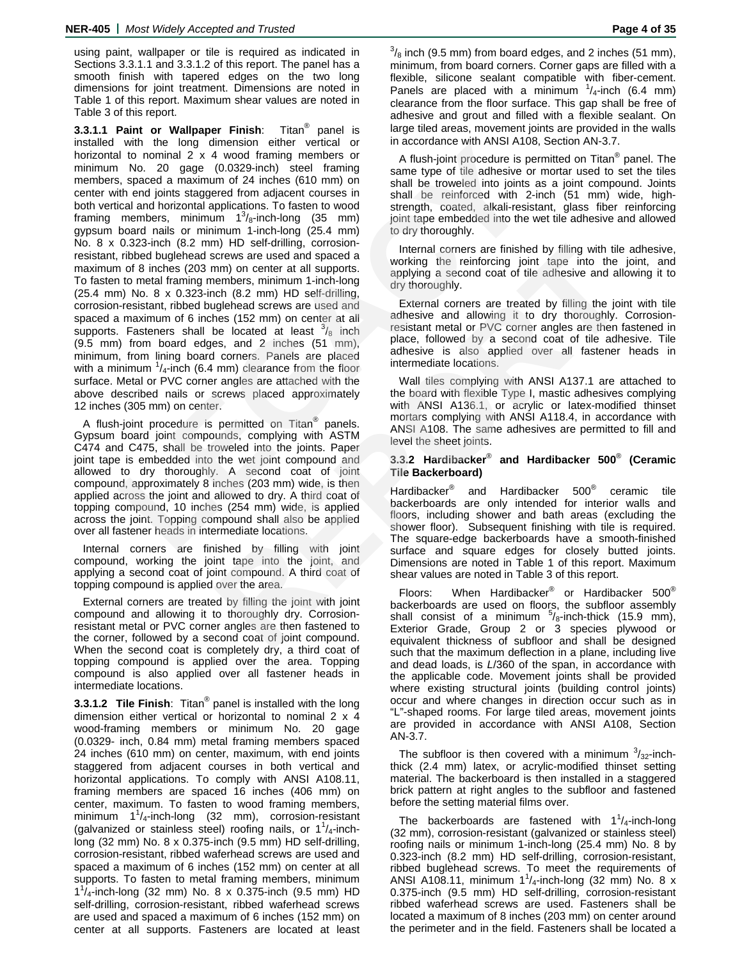using paint, wallpaper or tile is required as indicated in Sections 3.3.1.1 and 3.3.1.2 of this report. The panel has a smooth finish with tapered edges on the two long dimensions for joint treatment. Dimensions are noted in Table 1 of this report. Maximum shear values are noted in Table 3 of this report.

**3.3.1.1 Paint or Wallpaper Finish:** Titan<sup>®</sup> panel is installed with the long dimension either vertical or horizontal to nominal 2 x 4 wood framing members or minimum No. 20 gage (0.0329-inch) steel framing members, spaced a maximum of 24 inches (610 mm) on center with end joints staggered from adjacent courses in both vertical and horizontal applications. To fasten to wood framing members, minimum  $1^3$ /<sub>8</sub>-inch-long (35 mm) gypsum board nails or minimum 1-inch-long (25.4 mm) No. 8 x 0.323-inch (8.2 mm) HD self-drilling, corrosionresistant, ribbed buglehead screws are used and spaced a maximum of 8 inches (203 mm) on center at all supports. To fasten to metal framing members, minimum 1-inch-long (25.4 mm) No. 8 x 0.323-inch (8.2 mm) HD self-drilling, corrosion-resistant, ribbed buglehead screws are used and spaced a maximum of 6 inches (152 mm) on center at all supports. Fasteners shall be located at least  $\frac{3}{8}$  inch (9.5 mm) from board edges, and 2 inches (51 mm), minimum, from lining board corners. Panels are placed with a minimum  $\frac{1}{4}$ -inch (6.4 mm) clearance from the floor surface. Metal or PVC corner angles are attached with the above described nails or screws placed approximately 12 inches (305 mm) on center. with the long dimension effere terriconal of the consume with any those with a specifical to nominal 2 x 4 wood framing members or a flush-joint procedure is permitted as a new type of the adhesive or motions and the the d m) and emotion at automobility corrollate and accelerate finished by filling with tile<br>nembers, minimum 1-inch-long applying a second coat of the anethers are the and supporting a second coat of the accelerate the members,

A flush-joint procedure is permitted on Titan<sup>®</sup> panels. Gypsum board joint compounds, complying with ASTM C474 and C475, shall be troweled into the joints. Paper joint tape is embedded into the wet joint compound and allowed to dry thoroughly. A second coat of joint compound, approximately 8 inches (203 mm) wide, is then applied across the joint and allowed to dry. A third coat of topping compound, 10 inches (254 mm) wide, is applied across the joint. Topping compound shall also be applied over all fastener heads in intermediate locations.

Internal corners are finished by filling with joint compound, working the joint tape into the joint, and applying a second coat of joint compound. A third coat of topping compound is applied over the area.

External corners are treated by filling the joint with joint compound and allowing it to thoroughly dry. Corrosionresistant metal or PVC corner angles are then fastened to the corner, followed by a second coat of joint compound. When the second coat is completely dry, a third coat of topping compound is applied over the area. Topping compound is also applied over all fastener heads in intermediate locations.

**3.3.1.2 Tile Finish**: Titan® panel is installed with the long dimension either vertical or horizontal to nominal 2 x 4 wood-framing members or minimum No. 20 gage (0.0329- inch, 0.84 mm) metal framing members spaced 24 inches (610 mm) on center, maximum, with end joints staggered from adjacent courses in both vertical and horizontal applications. To comply with ANSI A108.11, framing members are spaced 16 inches (406 mm) on center, maximum. To fasten to wood framing members, minimum 11 /4-inch-long (32 mm), corrosion-resistant (galvanized or stainless steel) roofing nails, or  $1^1/4$ -inchlong (32 mm) No. 8 x 0.375-inch (9.5 mm) HD self-drilling, corrosion-resistant, ribbed waferhead screws are used and spaced a maximum of 6 inches (152 mm) on center at all supports. To fasten to metal framing members, minimum  $1^{1}/$ <sub>4</sub>-inch-long (32 mm) No. 8 x 0.375-inch (9.5 mm) HD self-drilling, corrosion-resistant, ribbed waferhead screws are used and spaced a maximum of 6 inches (152 mm) on center at all supports. Fasteners are located at least

 $\frac{3}{8}$  inch (9.5 mm) from board edges, and 2 inches (51 mm), minimum, from board corners. Corner gaps are filled with a flexible, silicone sealant compatible with fiber-cement. Panels are placed with a minimum  $\frac{1}{4}$ -inch (6.4 mm) clearance from the floor surface. This gap shall be free of adhesive and grout and filled with a flexible sealant. On large tiled areas, movement joints are provided in the walls in accordance with ANSI A108, Section AN-3.7.

A flush-joint procedure is permitted on Titan<sup>®</sup> panel. The same type of tile adhesive or mortar used to set the tiles shall be troweled into joints as a joint compound. Joints shall be reinforced with 2-inch (51 mm) wide, highstrength, coated, alkali-resistant, glass fiber reinforcing joint tape embedded into the wet tile adhesive and allowed to dry thoroughly.

Internal corners are finished by filling with tile adhesive, working the reinforcing joint tape into the joint, and applying a second coat of tile adhesive and allowing it to dry thoroughly.

External corners are treated by filling the joint with tile adhesive and allowing it to dry thoroughly. Corrosionresistant metal or PVC corner angles are then fastened in place, followed by a second coat of tile adhesive. Tile adhesive is also applied over all fastener heads in intermediate locations.

Wall tiles complying with ANSI A137.1 are attached to the board with flexible Type I, mastic adhesives complying with ANSI A136.1, or acrylic or latex-modified thinset mortars complying with ANSI A118.4, in accordance with ANSI A108. The same adhesives are permitted to fill and level the sheet joints.

### **3.3.2 Hardibacker**® **and Hardibacker 500**®  **(Ceramic Tile Backerboard)**

Hardibacker® and Hardibacker 500® ceramic tile backerboards are only intended for interior walls and floors, including shower and bath areas (excluding the shower floor). Subsequent finishing with tile is required. The square-edge backerboards have a smooth-finished surface and square edges for closely butted joints. Dimensions are noted in Table 1 of this report. Maximum shear values are noted in Table 3 of this report.

Floors: When Hardibacker® or Hardibacker 500® backerboards are used on floors, the subfloor assembly shall consist of a minimum  $\frac{5}{8}$ -inch-thick (15.9 mm), Exterior Grade, Group 2 or 3 species plywood or equivalent thickness of subfloor and shall be designed such that the maximum deflection in a plane, including live and dead loads, is *L*/360 of the span, in accordance with the applicable code. Movement joints shall be provided where existing structural joints (building control joints) occur and where changes in direction occur such as in "L"-shaped rooms. For large tiled areas, movement joints are provided in accordance with ANSI A108, Section AN-3.7.

The subfloor is then covered with a minimum  $\frac{3}{32}$ -inchthick (2.4 mm) latex, or acrylic-modified thinset setting material. The backerboard is then installed in a staggered brick pattern at right angles to the subfloor and fastened before the setting material films over.

The backerboards are fastened with  $1^1/4$ -inch-long (32 mm), corrosion-resistant (galvanized or stainless steel) roofing nails or minimum 1-inch-long (25.4 mm) No. 8 by 0.323-inch (8.2 mm) HD self-drilling, corrosion-resistant, ribbed buglehead screws. To meet the requirements of ANSI A108.11, minimum  $1^1/4$ -inch-long (32 mm) No. 8 x 0.375-inch (9.5 mm) HD self-drilling, corrosion-resistant ribbed waferhead screws are used. Fasteners shall be located a maximum of 8 inches (203 mm) on center around the perimeter and in the field. Fasteners shall be located a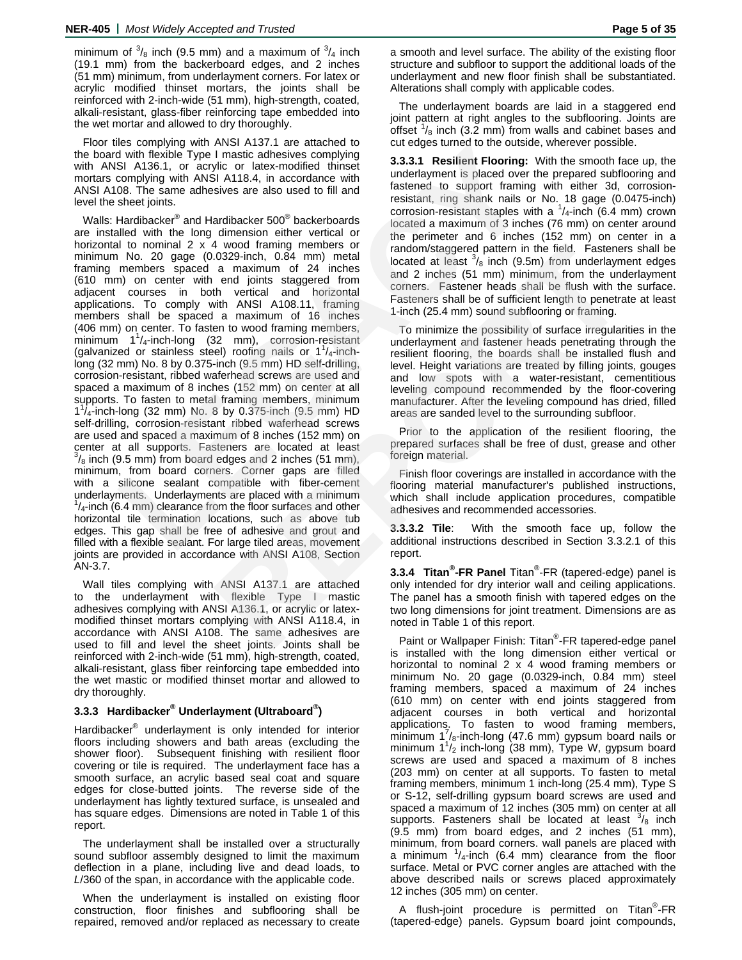minimum of  $\frac{3}{8}$  inch (9.5 mm) and a maximum of  $\frac{3}{4}$  inch (19.1 mm) from the backerboard edges, and 2 inches (51 mm) minimum, from underlayment corners. For latex or acrylic modified thinset mortars, the joints shall be reinforced with 2-inch-wide (51 mm), high-strength, coated, alkali-resistant, glass-fiber reinforcing tape embedded into the wet mortar and allowed to dry thoroughly.

Floor tiles complying with ANSI A137.1 are attached to the board with flexible Type I mastic adhesives complying with ANSI A136.1, or acrylic or latex-modified thinset mortars complying with ANSI A118.4, in accordance with ANSI A108. The same adhesives are also used to fill and level the sheet joints.

Walls: Hardibacker® and Hardibacker 500® backerboards are installed with the long dimension either vertical or horizontal to nominal  $2 \times 4$  wood framing members or minimum No. 20 gage (0.0329-inch, 0.84 mm) metal framing members spaced a maximum of 24 inches (610 mm) on center with end joints staggered from adjacent courses in both vertical and horizontal applications. To comply with ANSI A108.11, framing members shall be spaced a maximum of 16 inches (406 mm) on center. To fasten to wood framing members,  $\text{minimum}$   $1\frac{1}{4}$ -inch-long (32 mm), corrosion-resistant (galvanized or stainless steel) roofing nails or  $1^{1}/_{4}$ -inchlong (32 mm) No. 8 by 0.375-inch (9.5 mm) HD self-drilling, corrosion-resistant, ribbed waferhead screws are used and spaced a maximum of 8 inches (152 mm) on center at all supports. To fasten to metal framing members, minimum 11 /4-inch-long (32 mm) No. 8 by 0.375-inch (9.5 mm) HD self-drilling, corrosion-resistant ribbed waferhead screws are used and spaced a maximum of 8 inches (152 mm) on center at all supports. Fasteners are located at least  $\frac{3}{8}$  inch (9.5 mm) from board edges and 2 inches (51 mm), minimum, from board corners. Corner gaps are filled with a silicone sealant compatible with fiber-cement underlayments. Underlayments are placed with a minimum  $1/4$ -inch (6.4 mm) clearance from the floor surfaces and other horizontal tile termination locations, such as above tub edges. This gap shall be free of adhesive and grout and filled with a flexible sealant. For large tiled areas, movement joints are provided in accordance with ANSI A108, Section AN-3.7. less complying with AINSI A13.7.1 are attached to evid evidence of evidence with the state and the state manipulation of the state manipulation of the state of the state of the state of the state of the state of the state 4 wood traming members or random/staggered pattern in the field, Fastenen<br>
and maximum of 24 inches located at least <sup>3</sup><sub>8</sub> inch (9.5m) from underlayment<br>
and pinist staggered from and 2 inches (51 mm) minimum, from the un

Wall tiles complying with ANSI A137.1 are attached to the underlayment with flexible Type I mastic adhesives complying with ANSI A136.1, or acrylic or latexmodified thinset mortars complying with ANSI A118.4, in accordance with ANSI A108. The same adhesives are used to fill and level the sheet joints. Joints shall be reinforced with 2-inch-wide (51 mm), high-strength, coated, alkali-resistant, glass fiber reinforcing tape embedded into the wet mastic or modified thinset mortar and allowed to dry thoroughly.

# **3.3.3 Hardibacker® Underlayment (Ultraboard® )**

Hardibacker<sup>®</sup> underlayment is only intended for interior floors including showers and bath areas (excluding the shower floor). Subsequent finishing with resilient floor covering or tile is required. The underlayment face has a smooth surface, an acrylic based seal coat and square edges for close-butted joints. The reverse side of the underlayment has lightly textured surface, is unsealed and has square edges. Dimensions are noted in Table 1 of this report.

The underlayment shall be installed over a structurally sound subfloor assembly designed to limit the maximum deflection in a plane, including live and dead loads, to *L*/360 of the span, in accordance with the applicable code.

When the underlayment is installed on existing floor construction, floor finishes and subflooring shall be repaired, removed and/or replaced as necessary to create a smooth and level surface. The ability of the existing floor structure and subfloor to support the additional loads of the underlayment and new floor finish shall be substantiated. Alterations shall comply with applicable codes.

The underlayment boards are laid in a staggered end joint pattern at right angles to the subflooring. Joints are offset  $\frac{1}{8}$  inch (3.2 mm) from walls and cabinet bases and cut edges turned to the outside, wherever possible.

**3.3.3.1 Resilient Flooring:** With the smooth face up, the underlayment is placed over the prepared subflooring and fastened to support framing with either 3d, corrosionresistant, ring shank nails or No. 18 gage (0.0475-inch) corrosion-resistant staples with a  $\frac{1}{4}$ -inch (6.4 mm) crown located a maximum of 3 inches (76 mm) on center around the perimeter and 6 inches (152 mm) on center in a random/staggered pattern in the field. Fasteners shall be located at least  $\frac{3}{8}$  inch (9.5m) from underlayment edges and 2 inches (51 mm) minimum, from the underlayment corners. Fastener heads shall be flush with the surface. Fasteners shall be of sufficient length to penetrate at least 1-inch (25.4 mm) sound subflooring or framing.

To minimize the possibility of surface irregularities in the underlayment and fastener heads penetrating through the resilient flooring, the boards shall be installed flush and level. Height variations are treated by filling joints, gouges and low spots with a water-resistant, cementitious leveling compound recommended by the floor-covering manufacturer. After the leveling compound has dried, filled areas are sanded level to the surrounding subfloor.

Prior to the application of the resilient flooring, the prepared surfaces shall be free of dust, grease and other foreign material.

Finish floor coverings are installed in accordance with the flooring material manufacturer's published instructions, which shall include application procedures, compatible adhesives and recommended accessories.

**3.3.3.2 Tile**: With the smooth face up, follow the additional instructions described in Section 3.3.2.1 of this report.

**3.3.4 Titan® -FR Panel** Titan® -FR (tapered-edge) panel is only intended for dry interior wall and ceiling applications. The panel has a smooth finish with tapered edges on the two long dimensions for joint treatment. Dimensions are as noted in Table 1 of this report.

Paint or Wallpaper Finish: Titan®-FR tapered-edge panel is installed with the long dimension either vertical or horizontal to nominal 2 x 4 wood framing members or minimum No. 20 gage (0.0329-inch, 0.84 mm) steel framing members, spaced a maximum of 24 inches (610 mm) on center with end joints staggered from adjacent courses in both vertical and horizontal applications. To fasten to wood framing members,  $\frac{1}{2}$  minimum 1<sup>7</sup>/<sub>8</sub>-inch-long (47.6 mm) gypsum board nails or minimum  $1\frac{1}{2}$  inch-long (38 mm), Type W, gypsum board screws are used and spaced a maximum of 8 inches (203 mm) on center at all supports. To fasten to metal framing members, minimum 1 inch-long (25.4 mm), Type S or S-12, self-drilling gypsum board screws are used and spaced a maximum of 12 inches (305 mm) on center at all supports. Fasteners shall be located at least  $\frac{3}{8}$  inch (9.5 mm) from board edges, and 2 inches (51 mm), minimum, from board corners. wall panels are placed with a minimum  $\frac{1}{4}$ -inch (6.4 mm) clearance from the floor surface. Metal or PVC corner angles are attached with the above described nails or screws placed approximately 12 inches (305 mm) on center.

A flush-joint procedure is permitted on Titan<sup>®</sup>-FR (tapered-edge) panels. Gypsum board joint compounds,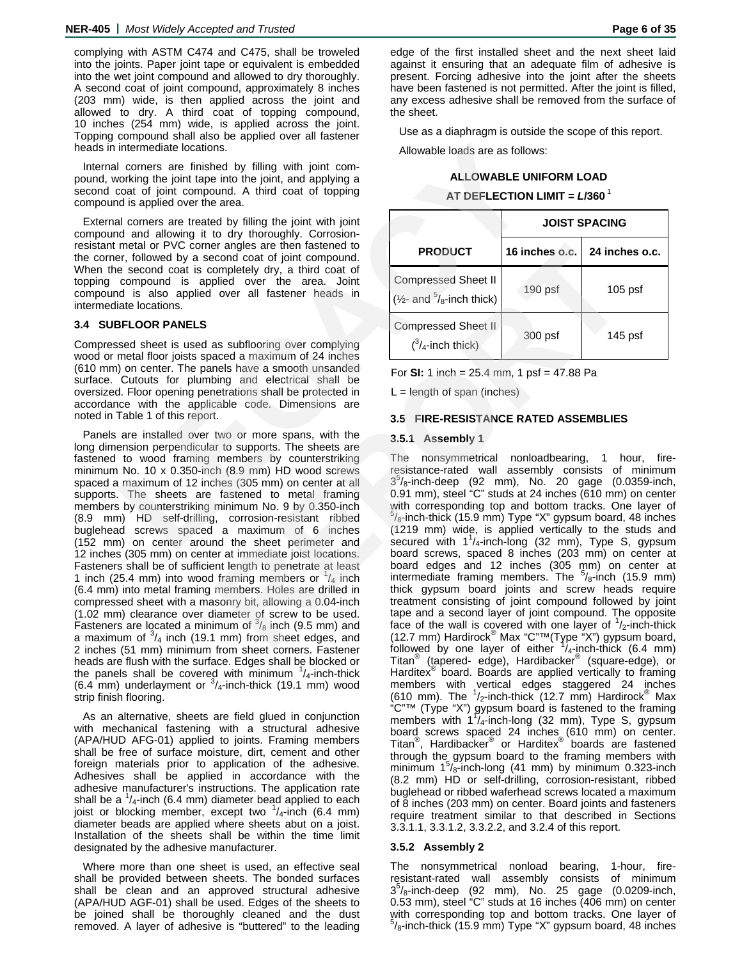complying with ASTM C474 and C475, shall be troweled into the joints. Paper joint tape or equivalent is embedded into the wet joint compound and allowed to dry thoroughly. A second coat of joint compound, approximately 8 inches (203 mm) wide, is then applied across the joint and allowed to dry. A third coat of topping compound, 10 inches (254 mm) wide, is applied across the joint. Topping compound shall also be applied over all fastener heads in intermediate locations.

Internal corners are finished by filling with joint compound, working the joint tape into the joint, and applying a second coat of joint compound. A third coat of topping compound is applied over the area.

External corners are treated by filling the joint with joint compound and allowing it to dry thoroughly. Corrosionresistant metal or PVC corner angles are then fastened to the corner, followed by a second coat of joint compound. When the second coat is completely dry, a third coat of topping compound is applied over the area. Joint compound is also applied over all fastener heads in intermediate locations.

#### **3.4 SUBFLOOR PANELS**

Compressed sheet is used as subflooring over complying wood or metal floor joists spaced a maximum of 24 inches (610 mm) on center. The panels have a smooth unsanded surface. Cutouts for plumbing and electrical shall be oversized. Floor opening penetrations shall be protected in accordance with the applicable code. Dimensions are noted in Table 1 of this report.

Panels are installed over two or more spans, with the long dimension perpendicular to supports. The sheets are fastened to wood framing members by counterstriking minimum No. 10 x 0.350-inch (8.9 mm) HD wood screws spaced a maximum of 12 inches (305 mm) on center at all supports. The sheets are fastened to metal framing members by counterstriking minimum No. 9 by 0.350-inch (8.9 mm) HD self-drilling, corrosion-resistant ribbed buglehead screws spaced a maximum of 6 inches (152 mm) on center around the sheet perimeter and 12 inches (305 mm) on center at immediate joist locations. Fasteners shall be of sufficient length to penetrate at least 1 inch (25.4 mm) into wood framing members or  $\frac{1}{4}$  inch (6.4 mm) into metal framing members. Holes are drilled in compressed sheet with a masonry bit, allowing a 0.04-inch (1.02 mm) clearance over diameter of screw to be used. Fasteners are located a minimum of  $\frac{3}{8}$  inch (9.5 mm) and a maximum of  $\frac{3}{4}$  inch (19.1 mm) from sheet edges, and 2 inches (51 mm) minimum from sheet corners. Fastener heads are flush with the surface. Edges shall be blocked or the panels shall be covered with minimum  $\frac{1}{4}$ -inch-thick  $(6.4 \text{ mm})$  underlayment or  $\frac{3}{4}$ -inch-thick (19.1 mm) wood strip finish flooring. intermediate locations.<br>
Intermediate locations.<br>
Intermediate locations and bijiling with joint com-<br>
Cocontrol princ the joint, and applying a<br>
and is applied over the area.<br>
In disisperise over the area.<br>
In disisperise

As an alternative, sheets are field glued in conjunction with mechanical fastening with a structural adhesive (APA/HUD AFG-01) applied to joints. Framing members shall be free of surface moisture, dirt, cement and other foreign materials prior to application of the adhesive. Adhesives shall be applied in accordance with the adhesive manufacturer's instructions. The application rate shall be a  $\frac{1}{4}$ -inch (6.4 mm) diameter bead applied to each joist or blocking member, except two  $\frac{1}{4}$ -inch (6.4 mm) diameter beads are applied where sheets abut on a joist. Installation of the sheets shall be within the time limit designated by the adhesive manufacturer.

Where more than one sheet is used, an effective seal shall be provided between sheets. The bonded surfaces shall be clean and an approved structural adhesive (APA/HUD AGF-01) shall be used. Edges of the sheets to be joined shall be thoroughly cleaned and the dust removed. A layer of adhesive is "buttered" to the leading edge of the first installed sheet and the next sheet laid against it ensuring that an adequate film of adhesive is present. Forcing adhesive into the joint after the sheets have been fastened is not permitted. After the joint is filled, any excess adhesive shall be removed from the surface of the sheet.

Use as a diaphragm is outside the scope of this report.

Allowable loads are as follows:

### **ALLOWABLE UNIFORM LOAD**

### **AT DEFLECTION LIMIT =** *L***/360**<sup>1</sup>

|                                                                               | <b>JOIST SPACING</b> |                |  |  |  |  |  |
|-------------------------------------------------------------------------------|----------------------|----------------|--|--|--|--|--|
| <b>PRODUCT</b>                                                                | 16 inches o.c.       | 24 inches o.c. |  |  |  |  |  |
| <b>Compressed Sheet II</b><br>$(\frac{1}{2}$ - and $\frac{5}{8}$ -inch thick) | 190 psf              | $105$ psf      |  |  |  |  |  |
| <b>Compressed Sheet II</b><br>$\binom{3}{4}$ -inch thick)                     | 300 psf              | 145 psf        |  |  |  |  |  |

For **SI:** 1 inch = 25.4 mm, 1 psf = 47.88 Pa

 $L =$  length of span (inches)

### **3.5 FIRE-RESISTANCE RATED ASSEMBLIES**

### **3.5.1 Assembly 1**

The nonsymmetrical nonloadbearing, 1 hour, fireresistance-rated wall assembly consists of minimum  $3<sup>5</sup>/8$ -inch-deep (92 mm), No. 20 gage (0.0359-inch, 0.91 mm), steel "C" studs at 24 inches (610 mm) on center with corresponding top and bottom tracks. One layer of  $5/8$ -inch-thick (15.9 mm) Type "X" gypsum board, 48 inches (1219 mm) wide, is applied vertically to the studs and secured with  $1^{1}/_4$ -inch-long (32 mm), Type S, gypsum board screws, spaced 8 inches (203 mm) on center at board edges and 12 inches (305 mm) on center at intermediate framing members. The  $5/8$ -inch (15.9 mm) thick gypsum board joints and screw heads require treatment consisting of joint compound followed by joint tape and a second layer of joint compound. The opposite face of the wall is covered with one layer of  $\frac{1}{2}$ -inch-thick (12.7 mm) Hardirock® Max "C"™(Type "X") gypsum board, followed by one layer of either  $\frac{1}{4}$ -inch-thick (6.4 mm) Titan® (tapered- edge), Hardibacker® (square-edge), or Harditex<sup>®</sup> board. Boards are applied vertically to framing members with vertical edges staggered 24 inches<br>(610 mm). The <sup>1</sup>/<sub>2</sub>-inch-thick (12.7 mm) Hardirock® Max "C"™ (Type "X") gypsum board is fastened to the framing<br>members with 1<sup>1</sup>/<sub>4</sub>-inch-long (32 mm), Type S, gypsum board screws spaced 24 inches (610 mm) on center.<br>Titan®, Hardibacker® or Harditex® boards are fastened through the gypsum board to the framing members with minimum  $1^5$ / $\frac{1}{8}$ -inch-long (41 mm) by minimum 0.323-inch (8.2 mm) HD or self-drilling, corrosion-resistant, ribbed buglehead or ribbed waferhead screws located a maximum of 8 inches (203 mm) on center. Board joints and fasteners require treatment similar to that described in Sections 3.3.1.1, 3.3.1.2, 3.3.2.2, and 3.2.4 of this report. r angles are then fastened to increase and a second by, a third over all tastener beads in<br>
giled over the area. Joint<br>
giled over the area. Joint<br>
giled over the area. Joint<br>
giled over the area. Joint<br>
( $\frac{1}{24}$ -inch t

### **3.5.2 Assembly 2**

The nonsymmetrical nonload bearing, 1-hour, fireresistant-rated wall assembly consists of minimum  $3^{5}/_{8}$ -inch-deep (92 mm), No. 25 gage (0.0209-inch, 0.53 mm), steel "C" studs at 16 inches (406 mm) on center with corresponding top and bottom tracks. One layer of  $5/8$ -inch-thick (15.9 mm) Type "X" gypsum board, 48 inches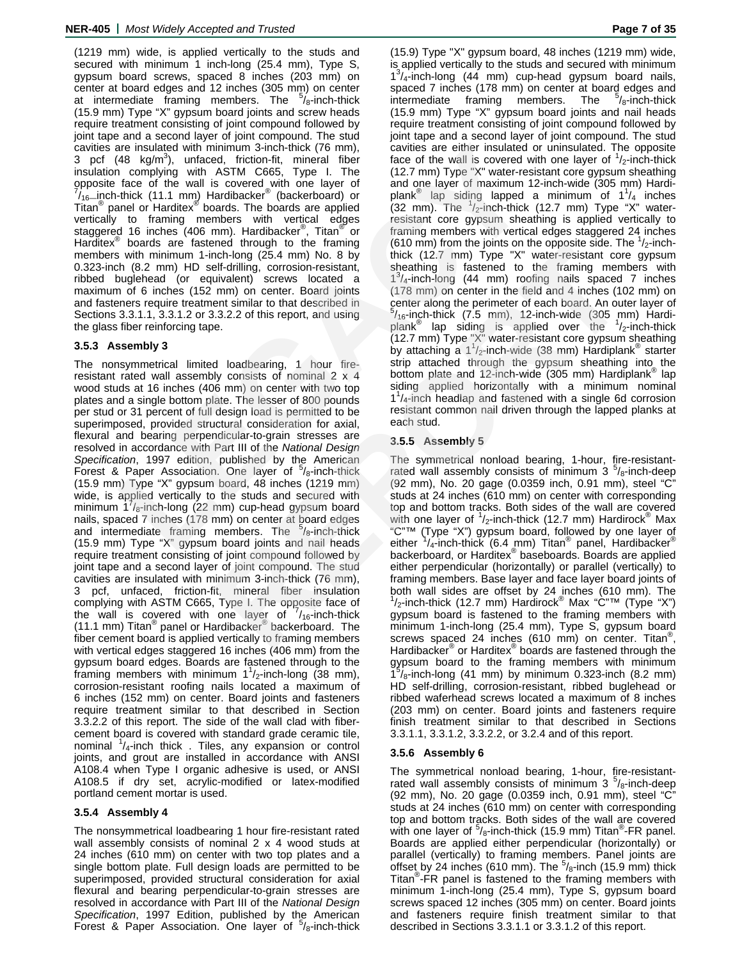(1219 mm) wide, is applied vertically to the studs and secured with minimum 1 inch-long (25.4 mm), Type S, gypsum board screws, spaced 8 inches (203 mm) on center at board edges and 12 inches (305 mm) on center at intermediate framing members. The  $5/8$ -inch-thick (15.9 mm) Type "X" gypsum board joints and screw heads require treatment consisting of joint compound followed by joint tape and a second layer of joint compound. The stud cavities are insulated with minimum 3-inch-thick (76 mm), 3 pcf  $(48 \text{ kg/m}^3)$ , unfaced, friction-fit, mineral fiber insulation complying with ASTM C665, Type I. The opposite face of the wall is covered with one layer of  $\frac{7}{2}$  inch thick (11.1 mm) Hardingeless<sup>®</sup> (bookgreened) or /16—inch-thick (11.1 mm) Hardibacker® (backerboard) or Titan® panel or Harditex® boards. The boards are applied vertically to framing members with vertical edges staggered 16 inches (406 mm). Hardibacker<sup>®</sup>, Titan<sup>®</sup> or Harditex<sup>®</sup> boards are fastened through to the framing members with minimum 1-inch-long (25.4 mm) No. 8 by 0.323-inch (8.2 mm) HD self-drilling, corrosion-resistant, ribbed buglehead (or equivalent) screws located a maximum of 6 inches (152 mm) on center. Board joints and fasteners require treatment similar to that described in Sections 3.3.1.1, 3.3.1.2 or 3.3.2.2 of this report, and using the glass fiber reinforcing tape.

# **3.5.3 Assembly 3**

The nonsymmetrical limited loadbearing, 1 hour fireresistant rated wall assembly consists of nominal 2 x 4 wood studs at 16 inches (406 mm) on center with two top plates and a single bottom plate. The lesser of 800 pounds per stud or 31 percent of full design load is permitted to be superimposed, provided structural consideration for axial, flexural and bearing perpendicular-to-grain stresses are resolved in accordance with Part III of the *National Design Specification*, 1997 edition, published by the American Forest & Paper Association. One layer of  $5/8$ -inch-thick (15.9 mm) Type "X" gypsum board, 48 inches (1219 mm) wide, is applied vertically to the studs and secured with minimum  $1/\sqrt{s}$ -inch-long (22 mm) cup-head gypsum board nails, spaced 7 inches (178 mm) on center at board edges and intermediate framing members. The <sup>5</sup>/<sub>8</sub>-inch-thick (15.9 mm) Type "X" gypsum board joints and nail heads require treatment consisting of joint compound followed by joint tape and a second layer of joint compound. The stud cavities are insulated with minimum 3-inch-thick (76 mm), 3 pcf, unfaced, friction-fit, mineral fiber insulation complying with ASTM C665, Type I. The opposite face of the wall is covered with one layer of 7/<sub>16</sub>-inch-thick<br>(11.1 mm) Titan<sup>®</sup> panel or Hardibacker® backerboard. The fiber cement board is applied vertically to framing members with vertical edges staggered 16 inches (406 mm) from the gypsum board edges. Boards are fastened through to the framing members with minimum  $1^{1}/2$ -inch-long (38 mm), corrosion-resistant roofing nails located a maximum of 6 inches (152 mm) on center. Board joints and fasteners require treatment similar to that described in Section 3.3.2.2 of this report. The side of the wall clad with fibercement board is covered with standard grade ceramic tile, nominal  $\frac{1}{4}$ -inch thick . Tiles, any expansion or control joints, and grout are installed in accordance with ANSI A108.4 when Type I organic adhesive is used, or ANSI A108.5 if dry set, acrylic-modified or latex-modified portland cement mortar is used.

# **3.5.4 Assembly 4**

The nonsymmetrical loadbearing 1 hour fire-resistant rated wall assembly consists of nominal 2 x 4 wood studs at 24 inches (610 mm) on center with two top plates and a single bottom plate. Full design loads are permitted to be superimposed, provided structural consideration for axial flexural and bearing perpendicular-to-grain stresses are resolved in accordance with Part III of the *National Design Specification*, 1997 Edition, published by the American Forest & Paper Association. One layer of  $5/8$ -inch-thick

(15.9) Type "X" gypsum board, 48 inches (1219 mm) wide, is applied vertically to the studs and secured with minimum  $1^{3}/_{4}$ -inch-long (44 mm) cup-head gypsum board nails, spaced 7 inches (178 mm) on center at board edges and<br>intermediate framing members. The <sup>5</sup>/<sub>8</sub>-inch-thick intermediate framing members.  $\frac{5}{8}$ -inch-thick (15.9 mm) Type "X" gypsum board joints and nail heads require treatment consisting of joint compound followed by joint tape and a second layer of joint compound. The stud cavities are either insulated or uninsulated. The opposite face of the wall is covered with one layer of  $\frac{1}{2}$ -inch-thick (12.7 mm) Type "X" water-resistant core gypsum sheathing and one layer of maximum 12-inch-wide (305 mm) Hardiplank $^{\circledR}$  lap siding lapped a minimum of 1<sup>1</sup>/<sub>4</sub> inches  $(32 \text{ mm})$ . The  $\frac{1}{2}$ -inch-thick  $(12.7 \text{ mm})$  Type "X" waterresistant core gypsum sheathing is applied vertically to framing members with vertical edges staggered 24 inches (610 mm) from the joints on the opposite side. The  $\frac{1}{2}$ -inchthick (12.7 mm) Type "X" water-resistant core gypsum sheathing is fastened to the framing members with 1<sup>3</sup>/<sub>4</sub>-inch-long (44 mm) roofing nails spaced 7 inches (178 mm) on center in the field and 4 inches (102 mm) on center along the perimeter of each board. An outer layer of  $5/16$ -inch-thick (7.5 mm), 12-inch-wide (305 mm) Hardiplank<sup>®</sup> lap siding is applied over the <sup>1</sup>/<sub>2</sub>-inch-thick (12.7 mm) Type "X" water-resistant core gypsum sheathing by attaching a 1<sup>1</sup>/<sub>2</sub>-inch-wide (38 mm) Hardiplank<sup>®</sup> starter strip attached through the gypsum sheathing into the bottom plate and 12-inch-wide (305 mm) Hardiplank<sup>®</sup> lap siding applied horizontally with a minimum nominal 1<sup>1</sup>/<sub>4</sub>-inch headlap and fastened with a single 6d corrosion resistant common nail driven through the lapped planks at each stud. are insulated with minimum 3-inch-hink (76 mm), cavities are either insulated or unin<br>Age kg/m<sup>3</sup>), undaced, friction-fit, mineral fiber face of the wall is covered with no<br>
face of the wall is covered with one layer of th

# **3.5.5 Assembly 5**

The symmetrical nonload bearing, 1-hour, fire-resistantrated wall assembly consists of minimum  $3^{5}/_8$ -inch-deep (92 mm), No. 20 gage (0.0359 inch, 0.91 mm), steel "C" studs at 24 inches (610 mm) on center with corresponding top and bottom tracks. Both sides of the wall are covered with one layer of  $\frac{1}{2}$ -inch-thick (12.7 mm) Hardirock<sup>®</sup> Max "C"™ (Type "X") gypsum board, followed by one layer of<br>either <sup>1</sup>/<sub>4</sub>-inch-thick (6.4 nm) Titan® panel, Hardibacker® backerboard, or Harditex® baseboards. Boards are applied either perpendicular (horizontally) or parallel (vertically) to framing members. Base layer and face layer board joints of both wall sides are offset by 24 inches (610 mm). The  $1/2$ -inch-thick (12.7 mm) Hardirock® Max "C"<sup>™</sup> (Type "X") gypsum board is fastened to the framing members with minimum 1-inch-long (25.4 mm), Type S, gypsum board screws spaced 24 inches (610 mm) on center. Titan<sup>®</sup> , Hardibacker® or Harditex® boards are fastened through the gypsum board to the framing members with minimum  $15/8$ -inch-long (41 mm) by minimum 0.323-inch (8.2 mm) HD self-drilling, corrosion-resistant, ribbed buglehead or ribbed waferhead screws located a maximum of 8 inches (203 mm) on center. Board joints and fasteners require finish treatment similar to that described in Sections 3.3.1.1, 3.3.1.2, 3.3.2.2, or 3.2.4 and of this report. mean muon contention of the framming the column of the published and the contention of the matter of contention of the framming members and the framming members of the framming members of the framming the state of the fram

# **3.5.6 Assembly 6**

The symmetrical nonload bearing, 1-hour, fire-resistantrated wall assembly consists of minimum  $3^{5}/_8$ -inch-deep (92 mm), No. 20 gage (0.0359 inch, 0.91 mm), steel "C" studs at 24 inches (610 mm) on center with corresponding top and bottom tracks. Both sides of the wall are covered with one layer of  $\frac{5}{8}$ -inch-thick (15.9 mm) Titan<sup>®</sup>-FR panel. Boards are applied either perpendicular (horizontally) or parallel (vertically) to framing members. Panel joints are offset by 24 inches (610 mm). The  $5/8$ -inch (15.9 mm) thick Titan® -FR panel is fastened to the framing members with minimum 1-inch-long (25.4 mm), Type S, gypsum board screws spaced 12 inches (305 mm) on center. Board joints and fasteners require finish treatment similar to that described in Sections 3.3.1.1 or 3.3.1.2 of this report.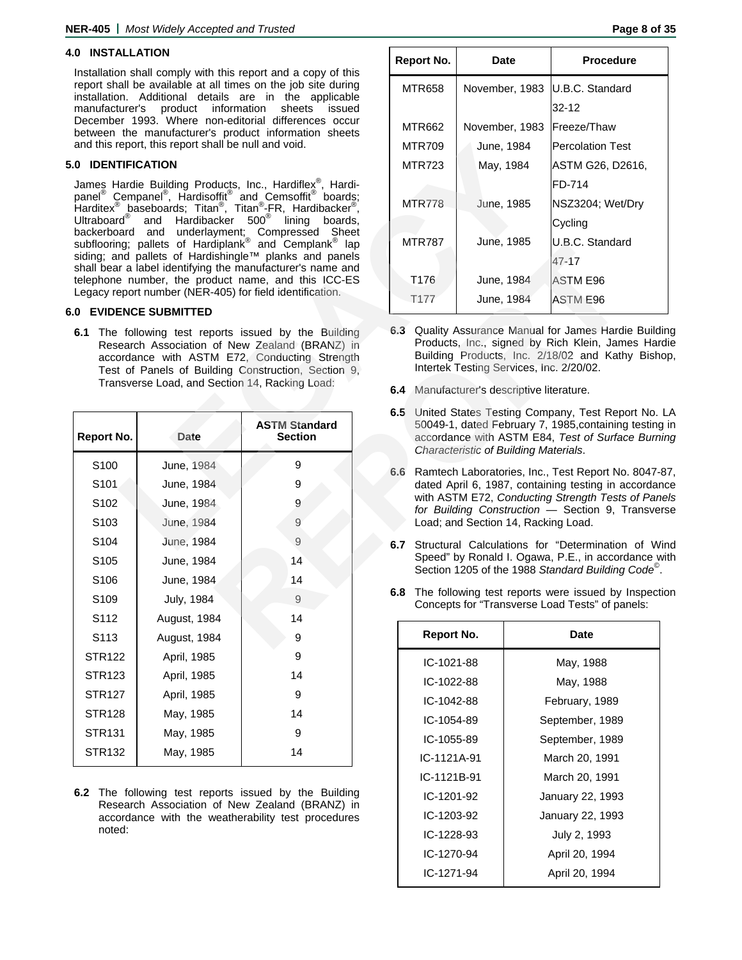# **4.0 INSTALLATION**

Installation shall comply with this report and a copy of this report shall be available at all times on the job site during installation. Additional details are in the applicable manufacturer's product information sheets issued December 1993. Where non-editorial differences occur between the manufacturer's product information sheets and this report, this report shall be null and void.

#### **5.0 IDENTIFICATION**

### **6.0 EVIDENCE SUBMITTED**

|                          | and this report, this report shall be null and void. | MTR709<br>June, 1984                                                                                                                                                                                                   |               |                                                                                                                                                                                  |                                                | <b>Percolation Tes</b> |                                                                                                                                                                                   |  |  |
|--------------------------|------------------------------------------------------|------------------------------------------------------------------------------------------------------------------------------------------------------------------------------------------------------------------------|---------------|----------------------------------------------------------------------------------------------------------------------------------------------------------------------------------|------------------------------------------------|------------------------|-----------------------------------------------------------------------------------------------------------------------------------------------------------------------------------|--|--|
| <b>.0 IDENTIFICATION</b> |                                                      |                                                                                                                                                                                                                        |               | <b>MTR723</b>                                                                                                                                                                    | May, 1984                                      |                        | ASTM G26. D2                                                                                                                                                                      |  |  |
|                          |                                                      | James Hardie Building Products, Inc., Hardiflex <sup>®</sup> , Hardi-                                                                                                                                                  |               |                                                                                                                                                                                  |                                                |                        | FD-714                                                                                                                                                                            |  |  |
|                          |                                                      | panel® Cempanel®, Hardisoffit® and Cemsoffit® boards;<br>Harditex® baseboards; Titan®, Titan®-FR, Hardibacker®,                                                                                                        | <b>MTR778</b> |                                                                                                                                                                                  |                                                | June, 1985             | NSZ3204; Wet/                                                                                                                                                                     |  |  |
| Ultraboard <sup>®</sup>  | Hardibacker<br>and                                   | $500^{\circ}$<br>lining<br>boards.                                                                                                                                                                                     |               |                                                                                                                                                                                  |                                                |                        | Cycling                                                                                                                                                                           |  |  |
|                          |                                                      | backerboard and underlayment; Compressed Sheet<br>subflooring; pallets of Hardiplank <sup>®</sup> and Cemplank <sup>®</sup> lap<br>Sheet                                                                               |               | <b>MTR787</b>                                                                                                                                                                    |                                                | June, 1985             | U.B.C. Standar                                                                                                                                                                    |  |  |
|                          |                                                      | siding; and pallets of Hardishingle™ planks and panels<br>shall bear a label identifying the manufacturer's name and                                                                                                   |               |                                                                                                                                                                                  |                                                |                        | $47 - 17$                                                                                                                                                                         |  |  |
|                          |                                                      | telephone number, the product name, and this ICC-ES                                                                                                                                                                    |               | T176                                                                                                                                                                             | June, 1984                                     |                        | ASTM E96                                                                                                                                                                          |  |  |
|                          |                                                      | Legacy report number (NER-405) for field identification.                                                                                                                                                               |               | T177                                                                                                                                                                             |                                                | June, 1984             | ASTM E96                                                                                                                                                                          |  |  |
|                          | .0 EVIDENCE SUBMITTED                                |                                                                                                                                                                                                                        |               |                                                                                                                                                                                  |                                                |                        |                                                                                                                                                                                   |  |  |
|                          | Transverse Load, and Section 14, Racking Load:       | <b>6.1</b> The following test reports issued by the Building<br>Research Association of New Zealand (BRANZ) in<br>accordance with ASTM E72, Conducting Strength<br>Test of Panels of Building Construction, Section 9, |               |                                                                                                                                                                                  | 6.4 Manufacturer's descriptive literature.     |                        | 6.3 Quality Assurance Manual for James Hardi<br>Products, Inc., signed by Rich Klein, Jam<br>Building Products, Inc. 2/18/02 and Kath<br>Intertek Testing Services, Inc. 2/20/02. |  |  |
| <b>Report No.</b>        | <b>Date</b>                                          | <b>ASTM Standard</b><br><b>Section</b>                                                                                                                                                                                 |               | 6.5 United States Testing Company, Test Repe<br>50049-1, dated February 7, 1985, containing<br>accordance with ASTM E84, Test of Surfac<br>Characteristic of Building Materials. |                                                |                        |                                                                                                                                                                                   |  |  |
| S100                     | June, 1984                                           | 9                                                                                                                                                                                                                      |               |                                                                                                                                                                                  | 6.6 Ramtech Laboratories, Inc., Test Report No |                        |                                                                                                                                                                                   |  |  |
| S101                     | June, 1984                                           | 9                                                                                                                                                                                                                      |               |                                                                                                                                                                                  | dated April 6, 1987, containing testing in a   |                        |                                                                                                                                                                                   |  |  |
| S102                     | June, 1984                                           | $\boldsymbol{9}$                                                                                                                                                                                                       |               |                                                                                                                                                                                  |                                                |                        | with ASTM E72, Conducting Strength Tests<br>for Building Construction - Section 9, T                                                                                              |  |  |
| S <sub>103</sub>         | June, 1984                                           | 9                                                                                                                                                                                                                      |               |                                                                                                                                                                                  | Load; and Section 14, Racking Load.            |                        |                                                                                                                                                                                   |  |  |
| S104                     | June, 1984                                           | $\overline{9}$                                                                                                                                                                                                         | 6.7           |                                                                                                                                                                                  |                                                |                        | Structural Calculations for "Determination                                                                                                                                        |  |  |
| S105                     | June, 1984                                           | 14                                                                                                                                                                                                                     |               |                                                                                                                                                                                  |                                                |                        | Speed" by Ronald I. Ogawa, P.E., in accord<br>Section 1205 of the 1988 Standard Building                                                                                          |  |  |
| S <sub>106</sub>         | June, 1984                                           | 14                                                                                                                                                                                                                     |               |                                                                                                                                                                                  |                                                |                        |                                                                                                                                                                                   |  |  |
| S109                     | <b>July, 1984</b>                                    | 9                                                                                                                                                                                                                      |               |                                                                                                                                                                                  |                                                |                        | 6.8 The following test reports were issued by<br>Concepts for "Transverse Load Tests" of pa                                                                                       |  |  |
| S112                     | August, 1984                                         | 14                                                                                                                                                                                                                     |               |                                                                                                                                                                                  |                                                |                        |                                                                                                                                                                                   |  |  |
| S113                     | August, 1984                                         | $\boldsymbol{9}$                                                                                                                                                                                                       |               | <b>Report No.</b>                                                                                                                                                                |                                                |                        | <b>Date</b>                                                                                                                                                                       |  |  |
| <b>STR122</b>            | April, 1985                                          | 9                                                                                                                                                                                                                      |               | IC-1021-88                                                                                                                                                                       |                                                |                        | May, 1988                                                                                                                                                                         |  |  |
| <b>STR123</b>            | April, 1985                                          | 14                                                                                                                                                                                                                     |               | IC-1022-88                                                                                                                                                                       |                                                |                        | May, 1988                                                                                                                                                                         |  |  |
| <b>STR127</b>            | April, 1985                                          | 9                                                                                                                                                                                                                      |               | IC-1042-88                                                                                                                                                                       |                                                |                        | February, 1989                                                                                                                                                                    |  |  |
| <b>STR128</b>            | May, 1985                                            | 14                                                                                                                                                                                                                     |               | IC-1054-89                                                                                                                                                                       |                                                |                        | September, 1989                                                                                                                                                                   |  |  |
| STR131                   | May, 1985                                            | 9                                                                                                                                                                                                                      |               | IC-1055-89                                                                                                                                                                       |                                                |                        | September, 1989                                                                                                                                                                   |  |  |
| STR132                   | May, 1985                                            | 14                                                                                                                                                                                                                     |               | IC-1121A-91                                                                                                                                                                      |                                                |                        | March 20, 1991                                                                                                                                                                    |  |  |

**6.2** The following test reports issued by the Building Research Association of New Zealand (BRANZ) in accordance with the weatherability test procedures noted:

| Report No.       | Date           | <b>Procedure</b>        |
|------------------|----------------|-------------------------|
| MTR658           | November, 1983 | U.B.C. Standard         |
|                  |                | 32-12                   |
| MTR662           | November, 1983 | Freeze/Thaw             |
| <b>MTR709</b>    | June, 1984     | <b>Percolation Test</b> |
| <b>MTR723</b>    | May, 1984      | ASTM G26, D2616,        |
|                  |                | FD-714                  |
| <b>MTR778</b>    | June, 1985     | NSZ3204; Wet/Dry        |
|                  |                | Cycling                 |
| <b>MTR787</b>    | June, 1985     | U.B.C. Standard         |
|                  |                | 47-17                   |
| T <sub>176</sub> | June, 1984     | ASTM E96                |
| T177             | June, 1984     | <b>ASTM E96</b>         |
|                  |                |                         |

- **6.3** Quality Assurance Manual for James Hardie Building Products, Inc., signed by Rich Klein, James Hardie Building Products, Inc. 2/18/02 and Kathy Bishop, Intertek Testing Services, Inc. 2/20/02.
- **6.4** Manufacturer's descriptive literature.
- **6.5** United States Testing Company, Test Report No. LA 50049-1, dated February 7, 1985,containing testing in accordance with ASTM E84, *Test of Surface Burning Characteristic of Building Materials*.
- **6.6** Ramtech Laboratories, Inc., Test Report No. 8047-87, dated April 6, 1987, containing testing in accordance with ASTM E72, *Conducting Strength Tests of Panels for Building Construction* — Section 9, Transverse Load; and Section 14, Racking Load.
- **6.7** Structural Calculations for "Determination of Wind Speed" by Ronald I. Ogawa, P.E., in accordance with Section 1205 of the 1988 *Standard Building Code*© .
- **6.8** The following test reports were issued by Inspection Concepts for "Transverse Load Tests" of panels:

| Report No.   | Date             |
|--------------|------------------|
| IC-1021-88   | May, 1988        |
| IC-1022-88   | May, 1988        |
| IC-1042-88   | February, 1989   |
| IC-1054-89   | September, 1989  |
| IC-1055-89   | September, 1989  |
| IC-1121A-91  | March 20, 1991   |
| IC-1121B-91  | March 20, 1991   |
| IC-1201-92   | January 22, 1993 |
| $IC-1203-92$ | January 22, 1993 |
| IC-1228-93   | July 2, 1993     |
| IC-1270-94   | April 20, 1994   |
| IC-1271-94   | April 20, 1994   |
|              |                  |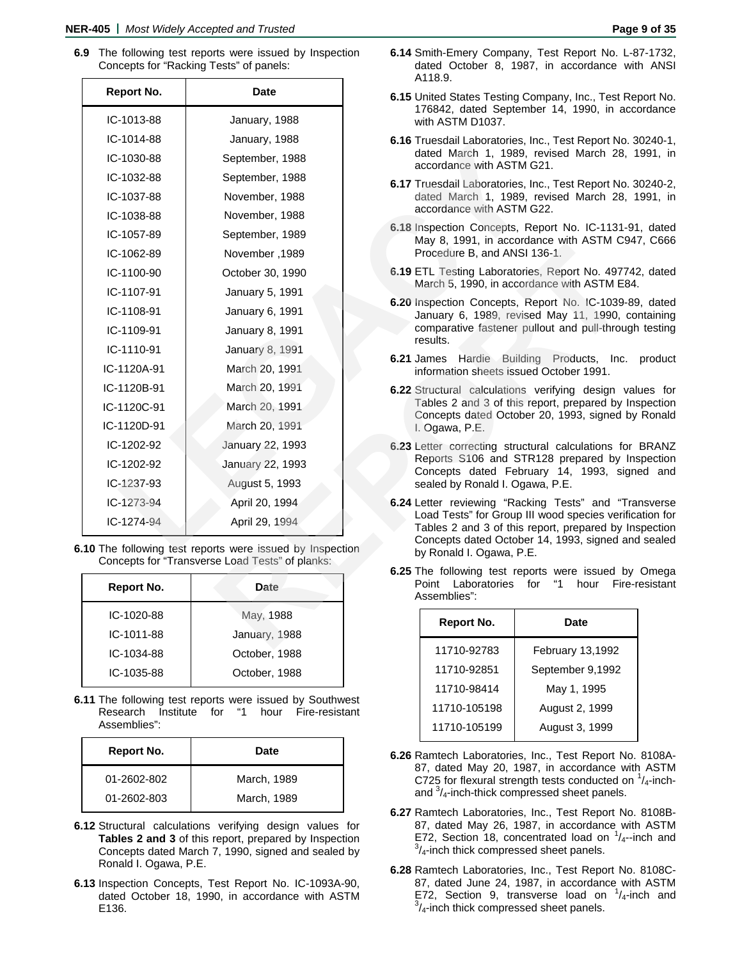**6.9** The following test reports were issued by Inspection Concepts for "Racking Tests" of panels:

|                   |                                                                                                            | A110.9.                                     |                                                                                             |
|-------------------|------------------------------------------------------------------------------------------------------------|---------------------------------------------|---------------------------------------------------------------------------------------------|
| <b>Report No.</b> | <b>Date</b>                                                                                                |                                             | 6.15 United States Testing Company, Inc., Test F<br>176842, dated September 14, 1990, in a  |
| IC-1013-88        | January, 1988                                                                                              | with ASTM D1037.                            |                                                                                             |
| IC-1014-88        | January, 1988                                                                                              |                                             | 6.16 Truesdail Laboratories, Inc., Test Report No                                           |
| IC-1030-88        | September, 1988                                                                                            | accordance with ASTM G21.                   | dated March 1, 1989, revised March 28,                                                      |
| IC-1032-88        | September, 1988                                                                                            |                                             | 6.17 Truesdail Laboratories, Inc., Test Report No                                           |
| IC-1037-88        | November, 1988                                                                                             |                                             | dated March 1, 1989, revised March 28,                                                      |
| IC-1038-88        | November, 1988                                                                                             | accordance with ASTM G22.                   |                                                                                             |
| IC-1057-89        | September, 1989                                                                                            |                                             | 6.18 Inspection Concepts, Report No. IC-1131-<br>May 8, 1991, in accordance with ASTM C9    |
| IC-1062-89        | November, 1989                                                                                             | Procedure B, and ANSI 136-1.                |                                                                                             |
| IC-1100-90        | October 30, 1990                                                                                           |                                             | 6.19 ETL Testing Laboratories, Report No. 4977<br>March 5, 1990, in accordance with ASTM Ea |
| IC-1107-91        | January 5, 1991                                                                                            |                                             | 6.20 Inspection Concepts, Report No. IC-1039-                                               |
| IC-1108-91        | January 6, 1991                                                                                            |                                             | January 6, 1989, revised May 11, 1990,                                                      |
| IC-1109-91        | January 8, 1991                                                                                            | results.                                    | comparative fastener pullout and pull-throu                                                 |
| IC-1110-91        | January 8, 1991                                                                                            | <b>6.21 James</b> Hardie Building Products, | Inc.                                                                                        |
| IC-1120A-91       | March 20, 1991                                                                                             |                                             | information sheets issued October 1991.                                                     |
| IC-1120B-91       | March 20, 1991                                                                                             |                                             | 6.22 Structural calculations verifying design \                                             |
| IC-1120C-91       | March 20, 1991                                                                                             |                                             | Tables 2 and 3 of this report, prepared by<br>Concepts dated October 20, 1993, signed       |
| IC-1120D-91       | March 20, 1991                                                                                             | I. Ogawa, P.E.                              |                                                                                             |
| IC-1202-92        | January 22, 1993                                                                                           |                                             | 6.23 Letter correcting structural calculations fo                                           |
| IC-1202-92        | January 22, 1993                                                                                           |                                             | Reports S106 and STR128 prepared by<br>Concepts dated February 14, 1993, sig                |
| $IC-1237-93$      | August 5, 1993                                                                                             | sealed by Ronald I. Ogawa, P.E.             |                                                                                             |
| $IC-1273-94$      | April 20, 1994                                                                                             |                                             | 6.24 Letter reviewing "Racking Tests" and "T                                                |
| IC-1274-94        | April 29, 1994                                                                                             |                                             | Load Tests" for Group III wood species veri<br>Tables 2 and 3 of this report, prepared by   |
|                   | 10 The following test reports were issued by Inspection<br>Concepts for "Transverse Load Tests" of planks: | by Ronald I. Ogawa, P.E.                    | Concepts dated October 14, 1993, signed a                                                   |
|                   |                                                                                                            | Point Laboratories                          | 6.25 The following test reports were issued b<br>for<br>"1<br>hour<br>Fir                   |
| <b>Report No.</b> | <b>Date</b>                                                                                                | Assemblies":                                |                                                                                             |
| IC-1020-88        | May, 1988                                                                                                  | <b>Report No.</b>                           | <b>Date</b>                                                                                 |
| IC-1011-88        | January, 1988                                                                                              |                                             |                                                                                             |
|                   |                                                                                                            | 1171000200                                  | $T_{\rm abs}$ $\ldots$ $T_{\rm obs}$ $T_{\rm obs}$ $T_{\rm obs}$                            |

| Report No. | Date          |
|------------|---------------|
| IC-1020-88 | May, 1988     |
| IC-1011-88 | January, 1988 |
| IC-1034-88 | October, 1988 |
| IC-1035-88 | October, 1988 |
|            |               |

**6.11** The following test reports were issued by Southwest Research Institute for "1 hour Fire-resistant Assemblies":

| Report No.  | <b>Date</b> |
|-------------|-------------|
| 01-2602-802 | March, 1989 |
| 01-2602-803 | March, 1989 |

- **6.12** Structural calculations verifying design values for **Tables 2 and 3** of this report, prepared by Inspection Concepts dated March 7, 1990, signed and sealed by Ronald I. Ogawa, P.E.
- **6.13** Inspection Concepts, Test Report No. IC-1093A-90, dated October 18, 1990, in accordance with ASTM E136.
- **6.14** Smith-Emery Company, Test Report No. L-87-1732, dated October 8, 1987, in accordance with ANSI A118.9.
- **6.15** United States Testing Company, Inc., Test Report No. 176842, dated September 14, 1990, in accordance with ASTM D1037.
- **6.16** Truesdail Laboratories, Inc., Test Report No. 30240-1, dated March 1, 1989, revised March 28, 1991, in accordance with ASTM G21.
- **6.17** Truesdail Laboratories, Inc., Test Report No. 30240-2, dated March 1, 1989, revised March 28, 1991, in accordance with ASTM G22.
- **6.18** Inspection Concepts, Report No. IC-1131-91, dated May 8, 1991, in accordance with ASTM C947, C666 Procedure B, and ANSI 136-1.
- **6.19** ETL Testing Laboratories, Report No. 497742, dated March 5, 1990, in accordance with ASTM E84.
- **6.20** Inspection Concepts, Report No. IC-1039-89, dated January 6, 1989, revised May 11, 1990, containing comparative fastener pullout and pull-through testing results.
- **6.21** James Hardie Building Products, Inc. product information sheets issued October 1991.
- **6.22** Structural calculations verifying design values for Tables 2 and 3 of this report, prepared by Inspection Concepts dated October 20, 1993, signed by Ronald I. Ogawa, P.E.
- **6.23** Letter correcting structural calculations for BRANZ Reports S106 and STR128 prepared by Inspection Concepts dated February 14, 1993, signed and sealed by Ronald I. Ogawa, P.E.
- **6.24** Letter reviewing "Racking Tests" and "Transverse Load Tests" for Group III wood species verification for Tables 2 and 3 of this report, prepared by Inspection Concepts dated October 14, 1993, signed and sealed by Ronald I. Ogawa, P.E.
- **6.25** The following test reports were issued by Omega Point Laboratories for "1 hour Fire-resistant Assemblies":

| Report No.   | Date             |
|--------------|------------------|
| 11710-92783  | February 13,1992 |
| 11710-92851  | September 9,1992 |
| 11710-98414  | May 1, 1995      |
| 11710-105198 | August 2, 1999   |
| 11710-105199 | August 3, 1999   |

- **6.26** Ramtech Laboratories, Inc., Test Report No. 8108A-87, dated May 20, 1987, in accordance with ASTM C725 for flexural strength tests conducted on  $1/4$ -inchand  $\frac{3}{4}$ -inch-thick compressed sheet panels.
- **6.27** Ramtech Laboratories, Inc., Test Report No. 8108B-87, dated May 26, 1987, in accordance with ASTM E72, Section 18, concentrated load on  $\frac{1}{4}$ -inch and  $\frac{3}{4}$  inch thick compressed sheet panels  $\frac{3}{4}$ -inch thick compressed sheet panels.
- **6.28** Ramtech Laboratories, Inc., Test Report No. 8108C-87, dated June 24, 1987, in accordance with ASTM E72, Section 9, transverse load on  $\frac{1}{4}$ -inch and  $\frac{3}{4}$  inch thick compressed sheet panels  $\frac{3}{4}$ -inch thick compressed sheet panels.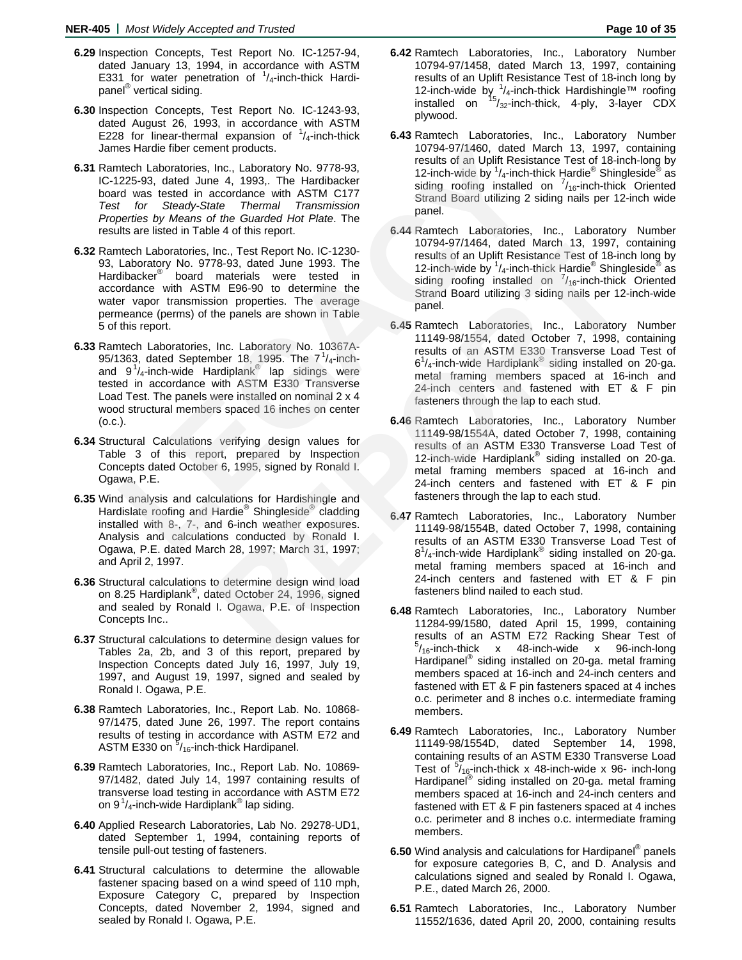- **6.29** Inspection Concepts, Test Report No. IC-1257-94, dated January 13, 1994, in accordance with ASTM E331 for water penetration of  $1/4$ -inch-thick Hardipanel® vertical siding.
- **6.30** Inspection Concepts, Test Report No. IC-1243-93, dated August 26, 1993, in accordance with ASTM E228 for linear-thermal expansion of  $\frac{1}{4}$ -inch-thick James Hardie fiber cement products.
- **6.31** Ramtech Laboratories, Inc., Laboratory No. 9778-93, IC-1225-93, dated June 4, 1993,. The Hardibacker board was tested in accordance with ASTM C177 *Test for Steady-State Thermal Transmission Properties by Means of the Guarded Hot Plate*. The results are listed in Table 4 of this report.
- **6.32** Ramtech Laboratories, Inc., Test Report No. IC-1230- 93, Laboratory No. 9778-93, dated June 1993. The Hardibacker® board materials were tested in accordance with ASTM E96-90 to determine the water vapor transmission properties. The average permeance (perms) of the panels are shown in Table 5 of this report.
- **6.33** Ramtech Laboratories, Inc. Laboratory No. 10367A-95/1363, dated September 18, 1995. The  $7\frac{1}{4}$ -inchand  $9^{1}/_{4}$ -inch-wide Hardiplank<sup>®</sup> lap sidings were tested in accordance with ASTM E330 Transverse Load Test. The panels were installed on nominal 2 x 4 wood structural members spaced 16 inches on center (o.c.). is Hardie fiber cement products.<br>
10794-97/1460, dated March Laboratorie, Inc., Laboratorie, The Hardibacker<br>
Hardibacker<br>
12-inch-wide by  $V_k$ -inch-thick hyber<br>
12-inch-wide by  $V_k$ -inch-thick hyber<br>
12-inch-wide by  $V_k$ -
- **6.34** Structural Calculations verifying design values for Table 3 of this report, prepared by Inspection Concepts dated October 6, 1995, signed by Ronald I. Ogawa, P.E.
- **6.35** Wind analysis and calculations for Hardishingle and Hardislate roofing and Hardie<sup>®</sup> Shingleside<sup>®</sup> cladding installed with 8-, 7-, and 6-inch weather exposures. Analysis and calculations conducted by Ronald I. Ogawa, P.E. dated March 28, 1997; March 31, 1997; and April 2, 1997.
- **6.36** Structural calculations to determine design wind load on 8.25 Hardiplank<sup>®</sup>, dated October 24, 1996, signed and sealed by Ronald I. Ogawa, P.E. of Inspection Concepts Inc..
- **6.37** Structural calculations to determine design values for Tables 2a, 2b, and 3 of this report, prepared by Inspection Concepts dated July 16, 1997, July 19, 1997, and August 19, 1997, signed and sealed by Ronald I. Ogawa, P.E.
- **6.38** Ramtech Laboratories, Inc., Report Lab. No. 10868- 97/1475, dated June 26, 1997. The report contains results of testing in accordance with ASTM E72 and ASTM E330 on <sup>5</sup>/<sub>16</sub>-inch-thick Hardipanel.
- **6.39** Ramtech Laboratories, Inc., Report Lab. No. 10869- 97/1482, dated July 14, 1997 containing results of transverse load testing in accordance with ASTM E72 on 9 $1/4$ -inch-wide Hardiplank® lap siding.
- **6.40** Applied Research Laboratories, Lab No. 29278-UD1, dated September 1, 1994, containing reports of tensile pull-out testing of fasteners.
- **6.41** Structural calculations to determine the allowable fastener spacing based on a wind speed of 110 mph, Exposure Category C, prepared by Inspection Concepts, dated November 2, 1994, signed and sealed by Ronald I. Ogawa, P.E.
- **6.42** Ramtech Laboratories, Inc., Laboratory Number 10794-97/1458, dated March 13, 1997, containing results of an Uplift Resistance Test of 18-inch long by 12-inch-wide by  $\frac{1}{4}$ -inch-thick Hardishingle™ roofing installed on  $^{15}/_{32}$ -inch-thick, 4-ply, 3-layer CDX plywood.
- **6.43** Ramtech Laboratories, Inc., Laboratory Number 10794-97/1460, dated March 13, 1997, containing results of an Uplift Resistance Test of 18-inch-long by 12-inch-wide by  $\frac{1}{4}$ -inch-thick Hardie<sup>®</sup> Shingleside<sup>®</sup> as siding roofing installed on  $\frac{7}{16}$ -inch-thick Oriented Strand Board utilizing 2 siding nails per 12-inch wide panel.
- **6.44** Ramtech Laboratories, Inc., Laboratory Number 10794-97/1464, dated March 13, 1997, containing results of an Uplift Resistance Test of 18-inch long by 12-inch-wide by  $\frac{1}{4}$ -inch-thick Hardie® Shingleside® as siding roofing installed on  $\frac{7}{16}$ -inch-thick Oriented Strand Board utilizing 3 siding nails per 12-inch-wide panel.
- **6.45** Ramtech Laboratories, Inc., Laboratory Number 11149-98/1554, dated October 7, 1998, containing results of an ASTM E330 Transverse Load Test of  $6<sup>1</sup>/4$ -inch-wide Hardiplank® siding installed on 20-ga. metal framing members spaced at 16-inch and 24-inch centers and fastened with ET & F pin fasteners through the lap to each stud. Inc., Test Report No. IC-1230-<br> **REPORT AND ASSUME THE STRAIGE WATERT 1.5**, 1997, THE TRIM THE materials were tested in 12-inch-wide by 1/<sub>4-inch</sub> hitch Hardie<sup>s</sup> Shing and Distribution properties. The average Strand Board
	- **6.46** Ramtech Laboratories, Inc., Laboratory Number 11149-98/1554A, dated October 7, 1998, containing results of an ASTM E330 Transverse Load Test of 12-inch-wide Hardiplank<sup>®</sup> siding installed on 20-ga. metal framing members spaced at 16-inch and 24-inch centers and fastened with ET & F pin fasteners through the lap to each stud.
	- **6.47** Ramtech Laboratories, Inc., Laboratory Number 11149-98/1554B, dated October 7, 1998, containing results of an ASTM E330 Transverse Load Test of  $8^{1}/_{4}$ -inch-wide Hardiplank® siding installed on 20-ga. metal framing members spaced at 16-inch and 24-inch centers and fastened with ET & F pin fasteners blind nailed to each stud.
	- **6.48** Ramtech Laboratories, Inc., Laboratory Number 11284-99/1580, dated April 15, 1999, containing results of an ASTM E72 Racking Shear Test of  $5/16$ -inch-thick x 48-inch-wide x 96-inch-long Hardipanel<sup>®</sup> siding installed on 20-ga. metal framing members spaced at 16-inch and 24-inch centers and fastened with ET & F pin fasteners spaced at 4 inches o.c. perimeter and 8 inches o.c. intermediate framing members.
	- **6.49** Ramtech Laboratories, Inc., Laboratory Number 11149-98/1554D, dated September 14, 1998, containing results of an ASTM E330 Transverse Load Test of  $\frac{5}{16}$ -inch-thick x 48-inch-wide x 96- inch-long Hardipanel<sup>®</sup> siding installed on 20-ga. metal framing members spaced at 16-inch and 24-inch centers and fastened with ET & F pin fasteners spaced at 4 inches o.c. perimeter and 8 inches o.c. intermediate framing members.
	- **6.50** Wind analysis and calculations for Hardipanel® panels for exposure categories B, C, and D. Analysis and calculations signed and sealed by Ronald I. Ogawa, P.E., dated March 26, 2000.
	- **6.51** Ramtech Laboratories, Inc., Laboratory Number 11552/1636, dated April 20, 2000, containing results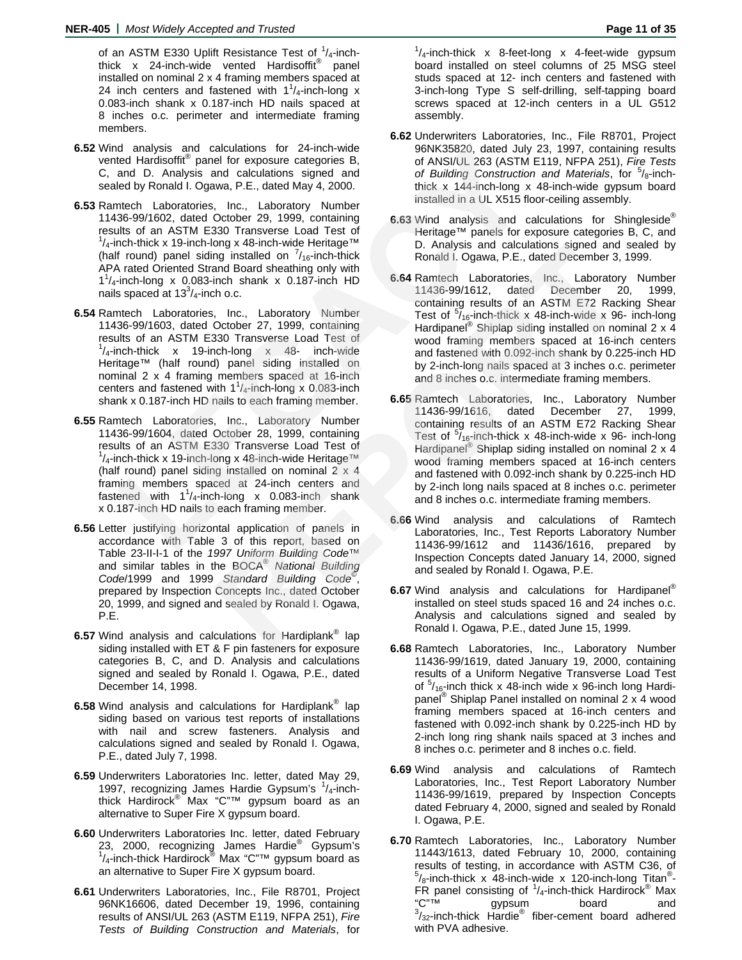of an ASTM E330 Uplift Resistance Test of  $1/4$ -inchthick x 24-inch-wide vented Hardisoffit<sup>®</sup> panel installed on nominal 2 x 4 framing members spaced at 24 inch centers and fastened with  $1^{1}/_{4}$ -inch-long x 0.083-inch shank x 0.187-inch HD nails spaced at 8 inches o.c. perimeter and intermediate framing members.

- **6.52** Wind analysis and calculations for 24-inch-wide vented Hardisoffit® panel for exposure categories B, C, and D. Analysis and calculations signed and sealed by Ronald I. Ogawa, P.E., dated May 4, 2000.
- **6.53** Ramtech Laboratories, Inc., Laboratory Number 11436-99/1602, dated October 29, 1999, containing results of an ASTM E330 Transverse Load Test of  $1/4$ -inch-thick x 19-inch-long x 48-inch-wide Heritage™ (half round) panel siding installed on  $\frac{7}{16}$ -inch-thick APA rated Oriented Strand Board sheathing only with  $1<sup>1</sup>/4$ -inch-long x 0.083-inch shank x 0.187-inch HD nails spaced at  $13<sup>3</sup>/4$ -inch o.c.
- **6.54** Ramtech Laboratories, Inc., Laboratory Number 11436-99/1603, dated October 27, 1999, containing results of an ASTM E330 Transverse Load Test of  $1/4$ -inch-thick x 19-inch-long x 48- inch-wide Heritage™ (half round) panel siding installed on nominal 2 x 4 framing members spaced at 16-inch centers and fastened with  $1^1/4$ -inch-long x 0.083-inch shank x 0.187-inch HD nails to each framing member. d analysis and calculations for 24-inch-wide by Rows Seazo, dated July 23, 11<br>
thed Hardisoffite<sup>®</sup> panel for exposure categories B, of ANSI/UL 263 (ASTM E119,<br>
and D. Analysis and calculations signed and of *Building Cons*
- **6.55** Ramtech Laboratories, Inc., Laboratory Number 11436-99/1604, dated October 28, 1999, containing results of an ASTM E330 Transverse Load Test of  $1/4$ -inch-thick x 19-inch-long x 48-inch-wide Heritage<sup> $\tau$ M</sup> (half round) panel siding installed on nominal  $2 \times 4$ framing members spaced at 24-inch centers and fastened with  $1^1$ /<sub>4</sub>-inch-long x 0.083-inch shank x 0.187-inch HD nails to each framing member.
- **6.56** Letter justifying horizontal application of panels in accordance with Table 3 of this report, based on Table 23-II-I-1 of the *1997 Uniform Building Code*™ and similar tables in the BOCA® *National Building Code*/1999 and 1999 *Standard Building Code*© , prepared by Inspection Concepts Inc., dated October 20, 1999, and signed and sealed by Ronald I. Ogawa, P.E.
- **6.57** Wind analysis and calculations for Hardiplank® lap siding installed with ET & F pin fasteners for exposure categories B, C, and D. Analysis and calculations signed and sealed by Ronald I. Ogawa, P.E., dated December 14, 1998.
- **6.58** Wind analysis and calculations for Hardiplank® lap siding based on various test reports of installations with nail and screw fasteners. Analysis and calculations signed and sealed by Ronald I. Ogawa, P.E., dated July 7, 1998.
- **6.59** Underwriters Laboratories Inc. letter, dated May 29, 1997, recognizing James Hardie Gypsum's 1/4-inchthick Hardirock® Max "C"<sup>™</sup> gypsum board as an alternative to Super Fire X gypsum board.
- **6.60** Underwriters Laboratories Inc. letter, dated February 23, 2000, recognizing James Hardie<sup>®</sup> Gypsum's<br><sup>1</sup>/<sub>4</sub>-inch-thick Hardirock<sup>®</sup> Max "C"™ gypsum board as an alternative to Super Fire X gypsum board.
- **6.61** Underwriters Laboratories, Inc., File R8701, Project 96NK16606, dated December 19, 1996, containing results of ANSI/UL 263 (ASTM E119, NFPA 251), *Fire Tests of Building Construction and Materials*, for

 $1/4$ -inch-thick x 8-feet-long x 4-feet-wide gypsum board installed on steel columns of 25 MSG steel studs spaced at 12- inch centers and fastened with 3-inch-long Type S self-drilling, self-tapping board screws spaced at 12-inch centers in a UL G512 assembly.

- **6.62** Underwriters Laboratories, Inc., File R8701, Project 96NK35820, dated July 23, 1997, containing results of ANSI/UL 263 (ASTM E119, NFPA 251), *Fire Tests*  of Building Construction and Materials, for <sup>5</sup>/8-inchthick x 144-inch-long x 48-inch-wide gypsum board installed in a UL X515 floor-ceiling assembly.
- **6.63** Wind analysis and calculations for Shingleside® Heritage™ panels for exposure categories B, C, and D. Analysis and calculations signed and sealed by Ronald I. Ogawa, P.E., dated December 3, 1999.
- **6.64** Ramtech Laboratories, Inc., Laboratory Number 11436-99/1612, dated December 20, 1999, containing results of an ASTM E72 Racking Shear Test of  $\frac{5}{16}$ -inch-thick x 48-inch-wide x 96- inch-long Hardipanel<sup>®</sup> Shiplap siding installed on nominal 2 x 4 wood framing members spaced at 16-inch centers and fastened with 0.092-inch shank by 0.225-inch HD by 2-inch-long nails spaced at 3 inches o.c. perimeter and 8 inches o.c. intermediate framing members. org x as-incri-wine Heriage<sup>181</sup><br>
ID. Analysis and calculations signed and Board and Board and Board and Board and Board Sheafting only with<br>
tho.c. 1187-inch HD 6.64 Ramtech Laboratories, Inc., Laboratory<br>
inch shank x 0.
	- **6.65** Ramtech Laboratories, Inc., Laboratory Number 11436-99/1616, dated December 27, 1999, containing results of an ASTM E72 Racking Shear Test of  $\frac{5}{16}$ -inch-thick x 48-inch-wide x 96- inch-long Hardipanel<sup>®</sup> Shiplap siding installed on nominal 2 x 4 wood framing members spaced at 16-inch centers and fastened with 0.092-inch shank by 0.225-inch HD by 2-inch long nails spaced at 8 inches o.c. perimeter and 8 inches o.c. intermediate framing members.
	- **6.66** Wind analysis and calculations of Ramtech Laboratories, Inc., Test Reports Laboratory Number 11436-99/1612 and 11436/1616, prepared by Inspection Concepts dated January 14, 2000, signed and sealed by Ronald I. Ogawa, P.E.
	- **6.67** Wind analysis and calculations for Hardipanel® installed on steel studs spaced 16 and 24 inches o.c. Analysis and calculations signed and sealed by Ronald I. Ogawa, P.E., dated June 15, 1999.
	- **6.68** Ramtech Laboratories, Inc., Laboratory Number 11436-99/1619, dated January 19, 2000, containing results of a Uniform Negative Transverse Load Test of  $5/16$ -inch thick x 48-inch wide x 96-inch long Hardipanel<sup>®</sup> Shiplap Panel installed on nominal 2 x 4 wood framing members spaced at 16-inch centers and fastened with 0.092-inch shank by 0.225-inch HD by 2-inch long ring shank nails spaced at 3 inches and 8 inches o.c. perimeter and 8 inches o.c. field.
	- **6.69** Wind analysis and calculations of Ramtech Laboratories, Inc., Test Report Laboratory Number 11436-99/1619, prepared by Inspection Concepts dated February 4, 2000, signed and sealed by Ronald I. Ogawa, P.E.
	- **6.70** Ramtech Laboratories, Inc., Laboratory Number 11443/1613, dated February 10, 2000, containing results of testing, in accordance with ASTM C36, of  $5/8$ -inch-thick x 48-inch-wide x 120-inch-long Titan<sup>®</sup>-FR panel consisting of  $1/4$ -inch-thick Hardirock<sup>®</sup> Max "C"™ gypsum board and  $3/32$ -inch-thick Hardie<sup>®</sup> fiber-cement board adhered with PVA adhesive.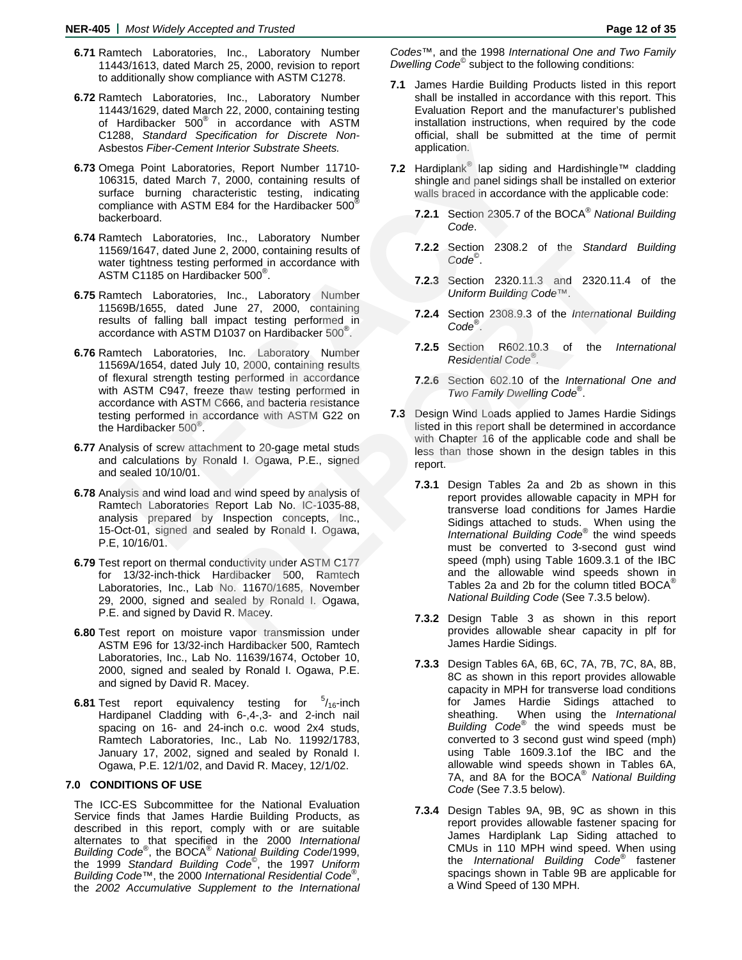- **6.71** Ramtech Laboratories, Inc., Laboratory Number 11443/1613, dated March 25, 2000, revision to report to additionally show compliance with ASTM C1278.
- **6.72** Ramtech Laboratories, Inc., Laboratory Number 11443/1629, dated March 22, 2000, containing testing of Hardibacker 500<sup>®</sup> in accordance with ASTM C1288, *Standard Specification for Discrete Non-*Asbestos *Fiber-Cement Interior Substrate Sheets.*
- **6.73** Omega Point Laboratories, Report Number 11710- 106315, dated March 7, 2000, containing results of surface burning characteristic testing, indicating compliance with ASTM E84 for the Hardibacker 500<sup>®</sup> backerboard.
- **6.74** Ramtech Laboratories, Inc., Laboratory Number 11569/1647, dated June 2, 2000, containing results of water tightness testing performed in accordance with ASTM C1185 on Hardibacker 500® .
- **6.75** Ramtech Laboratories, Inc., Laboratory Number 11569B/1655, dated June 27, 2000, containing results of falling ball impact testing performed in accordance with ASTM D1037 on Hardibacker 500® .
- **6.76** Ramtech Laboratories, Inc. Laboratory Number 11569A/1654, dated July 10, 2000, containing results of flexural strength testing performed in accordance with ASTM C947, freeze thaw testing performed in accordance with ASTM C666, and bacteria resistance testing performed in accordance with ASTM G22 on the Hardibacker 500® . estos *Fiber-Cement Interior* Substrate Sheets. application.<br>
egga Point Laboratories, Report Number 14710-<br>
315, dated March 7, 2000, containing results of<br>
shingle and panel sidings shall<br>
ace burning characteristic test
- **6.77** Analysis of screw attachment to 20-gage metal studs and calculations by Ronald I. Ogawa, P.E., signed and sealed 10/10/01.
- **6.78** Analysis and wind load and wind speed by analysis of Ramtech Laboratories Report Lab No. IC-1035-88, analysis prepared by Inspection concepts, Inc., 15-Oct-01, signed and sealed by Ronald I. Ogawa, P.E, 10/16/01.
- **6.79** Test report on thermal conductivity under ASTM C177 for 13/32-inch-thick Hardibacker 500, Ramtech Laboratories, Inc., Lab No. 11670/1685, November 29, 2000, signed and sealed by Ronald I. Ogawa, P.E. and signed by David R. Macey.
- **6.80** Test report on moisture vapor transmission under ASTM E96 for 13/32-inch Hardibacker 500, Ramtech Laboratories, Inc., Lab No. 11639/1674, October 10, 2000, signed and sealed by Ronald I. Ogawa, P.E. and signed by David R. Macey.
- **6.81** Test report equivalency testing for  $5/16$ -inch Hardipanel Cladding with 6-,4-,3- and 2-inch nail spacing on 16- and 24-inch o.c. wood 2x4 studs, Ramtech Laboratories, Inc., Lab No. 11992/1783, January 17, 2002, signed and sealed by Ronald I. Ogawa, P.E. 12/1/02, and David R. Macey, 12/1/02.

### **7.0 CONDITIONS OF USE**

The ICC-ES Subcommittee for the National Evaluation Service finds that James Hardie Building Products, as described in this report, comply with or are suitable alternates to that specified in the 2000 *International Building Code*® , the BOCA®  *National Building Code*/1999, the 1999 *Standard Building Code*© , the 1997 *Uniform Building Code*™, the 2000 *International Residential Code*® , the *2002 Accumulative Supplement to the International*  *Codes*™, and the 1998 *International One and Two Family Dwelling Code*© subject to the following conditions:

- **7.1** James Hardie Building Products listed in this report shall be installed in accordance with this report. This Evaluation Report and the manufacturer's published installation instructions, when required by the code official, shall be submitted at the time of permit application.
- **7.2** Hardiplank® lap siding and Hardishingle™ cladding shingle and panel sidings shall be installed on exterior walls braced in accordance with the applicable code:
	- **7.2.1** Section 2305.7 of the BOCA®  *National Building Code*.
	- **7.2.2** Section 2308.2 of the *Standard Building Code*© .
	- **7.2.3** Section 2320.11.3 and 2320.11.4 of the *Uniform Building Code*™.
	- **7.2.4** Section 2308.9.3 of the *International Building Code*® .
	- **7.2.5** Section R602.10.3 of the *International Residential Code®.*
	- **7.2.6** Section 602.10 of the *International One and Two Family Dwelling Code*® .
- **7.3** Design Wind Loads applied to James Hardie Sidings listed in this report shall be determined in accordance with Chapter 16 of the applicable code and shall be less than those shown in the design tables in this report.
- **7.3.1** Design Tables 2a and 2b as shown in this report provides allowable capacity in MPH for transverse load conditions for James Hardie Sidings attached to studs. When using the *International Building Code*® the wind speeds must be converted to 3-second gust wind speed (mph) using Table 1609.3.1 of the IBC and the allowable wind speeds shown in Tables 2a and 2b for the column titled BOCA® *National Building Code* (See 7.3.5 below). **REPORT**
	- **7.3.2** Design Table 3 as shown in this report provides allowable shear capacity in plf for James Hardie Sidings.
	- **7.3.3** Design Tables 6A, 6B, 6C, 7A, 7B, 7C, 8A, 8B, 8C as shown in this report provides allowable capacity in MPH for transverse load conditions for James Hardie Sidings attached to sheathing. When using the *International Building Code*® the wind speeds must be converted to 3 second gust wind speed (mph) using Table 1609.3.1of the IBC and the allowable wind speeds shown in Tables 6A, 7A, and 8A for the BOCA®  *National Building Code* (See 7.3.5 below).
	- **7.3.4** Design Tables 9A, 9B, 9C as shown in this report provides allowable fastener spacing for James Hardiplank Lap Siding attached to CMUs in 110 MPH wind speed. When using the *International Building Code*® fastener spacings shown in Table 9B are applicable for a Wind Speed of 130 MPH.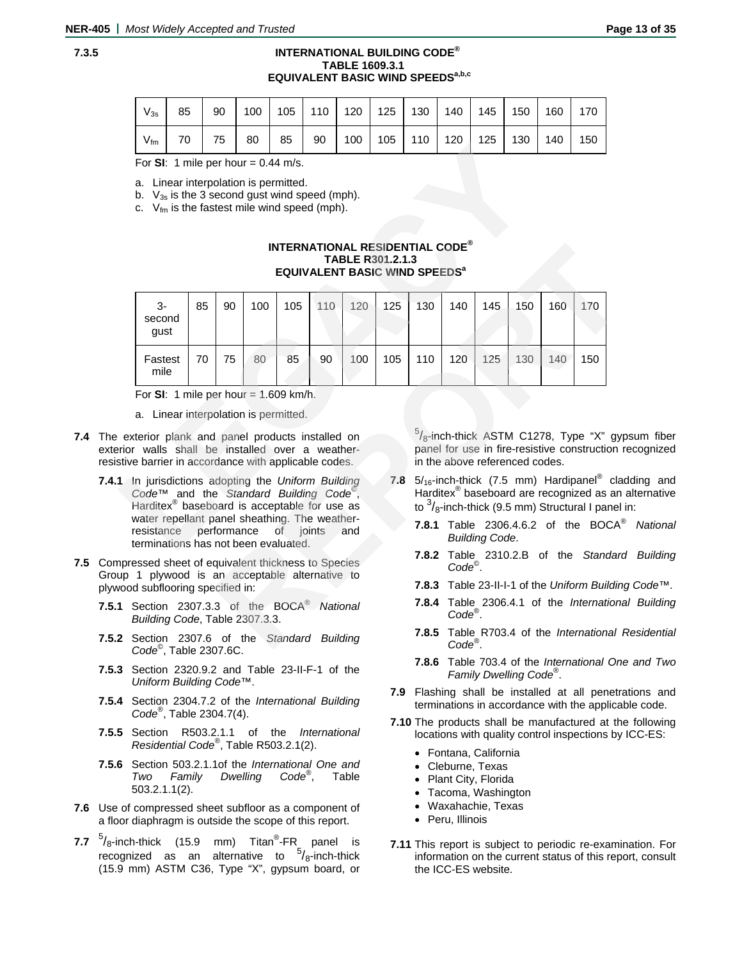# **7.3.5 INTERNATIONAL BUILDING CODE® TABLE 1609.3.1 EQUIVALENT BASIC WIND SPEEDS<sup>a,b,c</sup>**

| $V_{3s}$        | 85 | 90 |      | 100   105   110   120   125   130   140   145   150   160 |  |  |                                              |  | 170 |
|-----------------|----|----|------|-----------------------------------------------------------|--|--|----------------------------------------------|--|-----|
| $V_{\text{fm}}$ | 70 | 75 | 80 l | 85                                                        |  |  | 90   100   105   110   120   125   130   140 |  | 150 |

### **INTERNATIONAL RESIDENTIAL CODE® TABLE R301.2.1.3 EQUIVALENT BASIC WIND SPEEDS<sup>a</sup>**

| v IIII                                                                                                                                                                                                  |    |    |     |     |     |                                                                                                               | 1 v v |       | 14 Y                           |     |     |                                            | 1 v v                                                                                                                                                                             |
|---------------------------------------------------------------------------------------------------------------------------------------------------------------------------------------------------------|----|----|-----|-----|-----|---------------------------------------------------------------------------------------------------------------|-------|-------|--------------------------------|-----|-----|--------------------------------------------|-----------------------------------------------------------------------------------------------------------------------------------------------------------------------------------|
| For SI: 1 mile per hour = $0.44$ m/s.                                                                                                                                                                   |    |    |     |     |     |                                                                                                               |       |       |                                |     |     |                                            |                                                                                                                                                                                   |
| a. Linear interpolation is permitted.<br>b. $V_{3s}$ is the 3 second gust wind speed (mph).<br>c. $V_{\text{fm}}$ is the fastest mile wind speed (mph).                                                 |    |    |     |     |     |                                                                                                               |       |       |                                |     |     |                                            |                                                                                                                                                                                   |
|                                                                                                                                                                                                         |    |    |     |     |     | <b>INTERNATIONAL RESIDENTIAL CODE®</b><br>TABLE R301.2.1.3<br><b>EQUIVALENT BASIC WIND SPEEDS<sup>a</sup></b> |       |       |                                |     |     |                                            |                                                                                                                                                                                   |
| 3-<br>second<br>gust                                                                                                                                                                                    | 85 | 90 | 100 | 105 | 110 | 120                                                                                                           | 125   | 130   | 140                            | 145 | 150 | 160                                        | 170                                                                                                                                                                               |
| Fastest<br>mile                                                                                                                                                                                         | 70 | 75 | 80  | 85  | 90  | 100                                                                                                           | 105   | 110   | 120                            | 125 | 130 | 140                                        | 150                                                                                                                                                                               |
| For SI: 1 mile per hour = $1.609$ km/h.                                                                                                                                                                 |    |    |     |     |     |                                                                                                               |       |       |                                |     |     |                                            |                                                                                                                                                                                   |
| a. Linear interpolation is permitted.                                                                                                                                                                   |    |    |     |     |     |                                                                                                               |       |       |                                |     |     |                                            |                                                                                                                                                                                   |
| exterior plank and panel products installed on<br>erior walls shall be installed over a weather-<br>stive barrier in accordance with applicable codes.                                                  |    |    |     |     |     |                                                                                                               |       |       | in the above referenced codes. |     |     |                                            | $\frac{5}{8}$ -inch-thick ASTM C1278, Type "X" gyp<br>panel for use in fire-resistive construction r                                                                              |
| 1 In jurisdictions adopting the Uniform Building<br>Code <sup><math>\tau</math><i>M</i></sup> and the Standard Building Code <sup>®</sup> ,<br>Harditex <sup>®</sup> baseboard is acceptable for use as |    |    |     |     |     |                                                                                                               | 7.8   |       |                                |     |     |                                            | $5/_{16}$ -inch-thick (7.5 mm) Hardipanel <sup>®</sup> clad<br>Harditex <sup>®</sup> baseboard are recognized as an<br>to $\frac{3}{8}$ -inch-thick (9.5 mm) Structural I panel i |
| water repellant panel sheathing. The weather-<br>resistance<br>performance<br>of joints<br>and<br>terminations has not been evaluated.                                                                  |    |    |     |     |     |                                                                                                               |       |       | <b>Building Code.</b>          |     |     | <b>7.8.1</b> Table 2306.4.6.2 of the BOCA® |                                                                                                                                                                                   |
| npressed sheet of equivalent thickness to Species<br>up 1 plywood is an acceptable alternative to                                                                                                       |    |    |     |     |     |                                                                                                               |       |       | $Code^{\circ}$ .               |     |     |                                            | 7.8.2 Table 2310.2.B of the Standard                                                                                                                                              |
| vood subflooring specified in:                                                                                                                                                                          |    |    |     |     |     |                                                                                                               |       |       |                                |     |     |                                            | 7.8.3 Table 23-II-I-1 of the Uniform Building                                                                                                                                     |
| 1 Section 2307.3.3 of the BOCA <sup>®</sup> National<br>Building Code, Table 2307.3.3.                                                                                                                  |    |    |     |     |     |                                                                                                               |       |       | $Code^{\circledR}$ .           |     |     |                                            | 7.8.4 Table 2306.4.1 of the Internationa                                                                                                                                          |
| 2 Section 2307.6 of the Standard Building<br>$C_{\alpha}$ de Teble 2207.6C                                                                                                                              |    |    |     |     |     |                                                                                                               |       | 7.8.5 | $Code^{\circledR}$ .           |     |     |                                            | Table R703.4 of the International F                                                                                                                                               |

- **7.4** The exterior plank and panel products installed on exterior walls shall be installed over a weatherresistive barrier in accordance with applicable codes.
	- **7.4.1** In jurisdictions adopting the *Uniform Building Code™* and the *Standard Building Code*© , Harditex® baseboard is acceptable for use as water repellant panel sheathing. The weatherresistance performance of joints and terminations has not been evaluated.
- **7.5** Compressed sheet of equivalent thickness to Species Group 1 plywood is an acceptable alternative to plywood subflooring specified in:
	- **7.5.1** Section 2307.3.3 of the BOCA® *National Building Code*, Table 2307.3.3.
	- **7.5.2** Section 2307.6 of the *Standard Building Code*© , Table 2307.6C.
	- **7.5.3** Section 2320.9.2 and Table 23-II-F-1 of the *Uniform Building Code*™.
	- **7.5.4** Section 2304.7.2 of the *International Building Code*® , Table 2304.7(4).
	- **7.5.5** Section R503.2.1.1 of the *International Residential Code®*, Table R503.2.1(2).
	- **7.5.6** Section 503.2.1.1of the *International One and Two Family Dwelling Code*® , Table 503.2.1.1(2).
- **7.6** Use of compressed sheet subfloor as a component of a floor diaphragm is outside the scope of this report.
- **7.7** <sup>5</sup>/<sub>8</sub>-inch-thick (15.9 mm) Titan<sup>®</sup>-FR<sub>\_</sub> panel is recognized as an alternative to  $5/8$ -inch-thick (15.9 mm) ASTM C36, Type "X", gypsum board, or

 $5/8$ -inch-thick ASTM C1278, Type "X" gypsum fiber panel for use in fire-resistive construction recognized in the above referenced codes.

- **7.8** 5/16-inch-thick (7.5 mm) Hardipanel® cladding and Harditex® baseboard are recognized as an alternative to  $\frac{3}{8}$ -inch-thick (9.5 mm) Structural I panel in:
	- **7.8.1** Table 2306.4.6.2 of the BOCA® *National Building Code*.
	- **7.8.2** Table 2310.2.B of the *Standard Building Code*© .
	- **7.8.3** Table 23-II-I-1 of the *Uniform Building Code*™.
	- **7.8.4** Table 2306.4.1 of the *International Building Code*® .
	- **7.8.5** Table R703.4 of the *International Residential Code®*.
	- **7.8.6** Table 703.4 of the *International One and Two Family Dwelling Code*® .
- **7.9** Flashing shall be installed at all penetrations and terminations in accordance with the applicable code.
- **7.10** The products shall be manufactured at the following locations with quality control inspections by ICC-ES:
	- Fontana, California
	- Cleburne, Texas
	- Plant City, Florida
	- Tacoma, Washington
	- Waxahachie, Texas
	- Peru, Illinois
- **7.11** This report is subject to periodic re-examination. For information on the current status of this report, consult the ICC-ES website.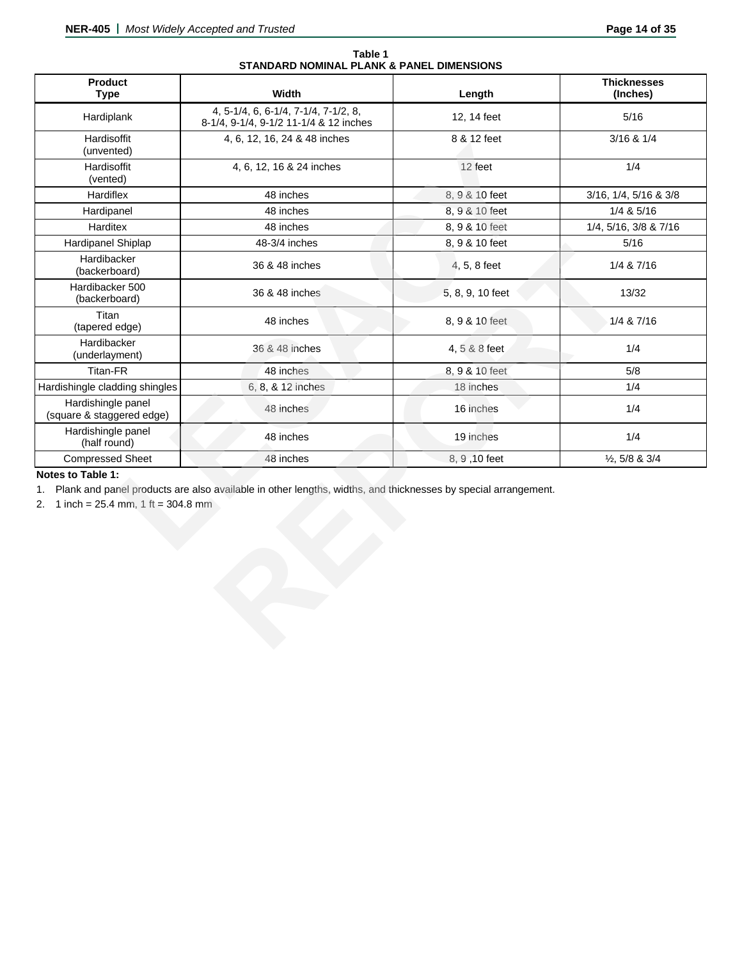|                                           | Table 1 |  |  |
|-------------------------------------------|---------|--|--|
| STANDARD NOMINAL PLANK & PANEL DIMENSIONS |         |  |  |

| <b>Product</b><br><b>Type</b>                                          | Width                                                                                                         | Length           | <b>Thicknesses</b><br>(Inches) |
|------------------------------------------------------------------------|---------------------------------------------------------------------------------------------------------------|------------------|--------------------------------|
| Hardiplank                                                             | 4, 5-1/4, 6, 6-1/4, 7-1/4, 7-1/2, 8,<br>8-1/4, 9-1/4, 9-1/2 11-1/4 & 12 inches                                | 12, 14 feet      | $5/16$                         |
| Hardisoffit<br>(unvented)                                              | 4, 6, 12, 16, 24 & 48 inches                                                                                  | 8 & 12 feet      | $3/16$ & $1/4$                 |
| Hardisoffit<br>(vented)                                                | 4, 6, 12, 16 & 24 inches                                                                                      | 12 feet          | 1/4                            |
| Hardiflex                                                              | 48 inches                                                                                                     | 8, 9 & 10 feet   | 3/16, 1/4, 5/16 & 3/8          |
| Hardipanel                                                             | 48 inches                                                                                                     | 8, 9 & 10 feet   | 1/4 & 5/16                     |
| Harditex                                                               | 48 inches                                                                                                     | 8, 9 & 10 feet   | 1/4, 5/16, 3/8 & 7/16          |
| Hardipanel Shiplap                                                     | 48-3/4 inches                                                                                                 | 8, 9 & 10 feet   | $5/16$                         |
| Hardibacker<br>(backerboard)                                           | 36 & 48 inches                                                                                                | 4, 5, 8 feet     | 1/4 & 7/16                     |
| Hardibacker 500<br>(backerboard)                                       | 36 & 48 inches                                                                                                | 5, 8, 9, 10 feet | 13/32                          |
| Titan<br>(tapered edge)                                                | 48 inches                                                                                                     | 8, 9 & 10 feet   | 1/4 & 7/16                     |
| Hardibacker<br>(underlayment)                                          | 36 & 48 inches                                                                                                | 4, 5 & 8 feet    | 1/4                            |
| Titan-FR                                                               | 48 inches                                                                                                     | 8, 9 & 10 feet   | $5/8$                          |
| Hardishingle cladding shingles                                         | 6, 8, & 12 inches                                                                                             | 18 inches        | 1/4                            |
| Hardishingle panel<br>(square & staggered edge)                        | 48 inches                                                                                                     | 16 inches        | 1/4                            |
| Hardishingle panel<br>(half round)                                     | 48 inches                                                                                                     | 19 inches        | 1/4                            |
| <b>Compressed Sheet</b>                                                | 48 inches                                                                                                     | 8, 9, 10 feet    | $\frac{1}{2}$ , 5/8 & 3/4      |
| Notes to Table 1:<br>1.<br>1 inch = $25.4$ mm, 1 ft = $304.8$ mm<br>2. | Plank and panel products are also available in other lengths, widths, and thicknesses by special arrangement. |                  |                                |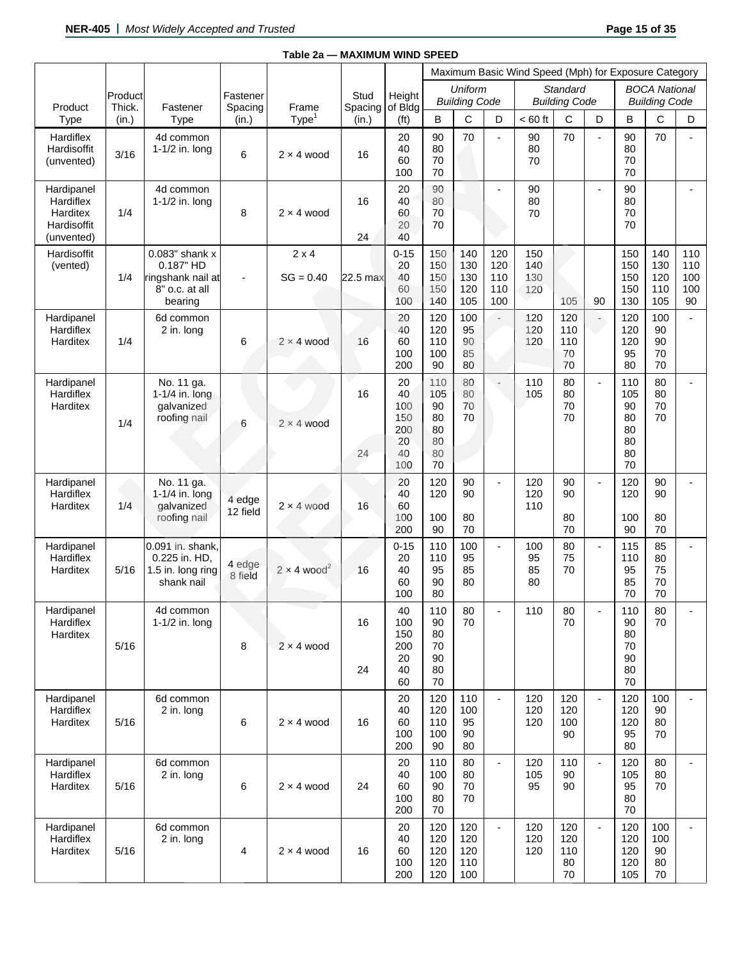|                                                                  |                   |                                                                               |                     |                                |                 |                                                  |                                                |                                        |                                 | Maximum Basic Wind Speed (Mph) for Exposure Category |                                         |                          |                                                |                                              |                                |
|------------------------------------------------------------------|-------------------|-------------------------------------------------------------------------------|---------------------|--------------------------------|-----------------|--------------------------------------------------|------------------------------------------------|----------------------------------------|---------------------------------|------------------------------------------------------|-----------------------------------------|--------------------------|------------------------------------------------|----------------------------------------------|--------------------------------|
| Product                                                          | Product<br>Thick. | Fastener                                                                      | Fastener<br>Spacing | Frame                          | Stud<br>Spacing | Height<br>of Bldg                                |                                                | <b>Uniform</b><br><b>Building Code</b> |                                 |                                                      | <b>Standard</b><br><b>Building Code</b> |                          |                                                | <b>BOCA National</b><br><b>Building Code</b> |                                |
| <b>Type</b>                                                      | (in.)             | <b>Type</b>                                                                   | (in.)               | Type                           | (in.)           | (f <sup>t</sup> )                                | B                                              | C                                      | D                               | $< 60$ ft                                            | C                                       | D                        | B                                              | C                                            | D                              |
| Hardiflex<br>Hardisoffit<br>(unvented)                           | 3/16              | 4d common<br>1-1/2 in. long                                                   | 6                   | $2 \times 4$ wood              | 16              | 20<br>40<br>60<br>100                            | 90<br>80<br>70<br>70                           | 70                                     | $\blacksquare$                  | 90<br>80<br>70                                       | 70                                      | $\overline{a}$           | 90<br>80<br>70<br>70                           | 70                                           |                                |
| Hardipanel<br>Hardiflex<br>Harditex<br>Hardisoffit<br>(unvented) | 1/4               | 4d common<br>1-1/2 in. long                                                   | 8                   | $2 \times 4$ wood              | 16<br>24        | 20<br>40<br>60<br>20<br>40                       | 90<br>80<br>70<br>70                           |                                        | $\overline{a}$                  | 90<br>80<br>70                                       |                                         | $\overline{\phantom{0}}$ | 90<br>80<br>70<br>70                           |                                              |                                |
| Hardisoffit<br>(vented)                                          | 1/4               | 0.083" shank x<br>0.187" HD<br>ringshank nail at<br>8" o.c. at all<br>bearing | $\overline{a}$      | $2 \times 4$<br>$SG = 0.40$    | 22.5 max        | $0 - 15$<br>20<br>40<br>60<br>100                | 150<br>150<br>150<br>150<br>140                | 140<br>130<br>130<br>120<br>105        | 120<br>120<br>110<br>110<br>100 | 150<br>140<br>130<br>120                             | 105                                     | 90                       | 150<br>150<br>150<br>150<br>130                | 140<br>130<br>120<br>110<br>105              | 110<br>110<br>100<br>100<br>90 |
| Hardipanel<br>Hardiflex<br>Harditex                              | 1/4               | 6d common<br>2 in. long                                                       | 6                   | $2 \times 4$ wood              | 16              | 20<br>40<br>60<br>100<br>200                     | 120<br>120<br>110<br>100<br>90                 | 100<br>95<br>90<br>85<br>80            |                                 | 120<br>120<br>120                                    | 120<br>110<br>110<br>70<br>70           | -                        | 120<br>120<br>120<br>95<br>80                  | 100<br>90<br>90<br>70<br>70                  | $\mathbf{r}$                   |
| Hardipanel<br>Hardiflex<br>Harditex                              | 1/4               | No. 11 ga.<br>1-1/4 in. long<br>qalvanized<br>roofing nail                    | 6                   | $2 \times 4$ wood              | 16<br>24        | 20<br>40<br>100<br>150<br>200<br>20<br>40<br>100 | 110<br>105<br>90<br>80<br>80<br>80<br>80<br>70 | 80<br>80<br>70<br>70                   |                                 | 110<br>105                                           | 80<br>80<br>70<br>70                    | $\overline{a}$           | 110<br>105<br>90<br>80<br>80<br>80<br>80<br>70 | 80<br>80<br>70<br>70                         |                                |
| Hardipanel<br>Hardiflex<br>Harditex                              | 1/4               | No. 11 ga.<br>1-1/4 in. long<br>qalvanized<br>roofing nail                    | 4 edge<br>12 field  | $2 \times 4$ wood              | 16              | 20<br>40<br>60<br>100<br>200                     | 120<br>120<br>100<br>90                        | 90<br>90<br>80<br>70                   | $\blacksquare$                  | 120<br>120<br>110                                    | 90<br>90<br>80<br>70                    | $\overline{a}$           | 120<br>120<br>100<br>90                        | 90<br>90<br>80<br>70                         |                                |
| Hardipanel<br>Hardiflex<br>Harditex                              | 5/16              | 0.091 in. shank,<br>0.225 in. HD,<br>1.5 in. long ring<br>shank nail          | 4 edge<br>8 field   | $2 \times 4$ wood <sup>2</sup> | 16              | $0 - 15$<br>20<br>40<br>60<br>100                | 110<br>110<br>95<br>90<br>80                   | 100<br>95<br>85<br>80                  | $\blacksquare$                  | 100<br>95<br>85<br>80                                | 80<br>75<br>70                          | $\overline{\phantom{a}}$ | 115<br>110<br>95<br>85<br>70                   | 85<br>80<br>75<br>70<br>70                   |                                |
| Hardipanel<br>Hardiflex<br>Harditex                              | 5/16              | 4d common<br>1-1/2 in. long                                                   | 8                   | $2 \times 4$ wood              | 16<br>24        | 40<br>100<br>150<br>200<br>20<br>40<br>60        | 110<br>90<br>80<br>70<br>90<br>80<br>70        | 80<br>70                               |                                 | 110                                                  | 80<br>70                                |                          | 110<br>90<br>80<br>70<br>90<br>80<br>70        | 80<br>70                                     |                                |
| Hardipanel<br>Hardiflex<br>Harditex                              | 5/16              | 6d common<br>2 in. long                                                       | 6                   | $2 \times 4$ wood              | 16              | 20<br>40<br>60<br>100<br>200                     | 120<br>120<br>110<br>100<br>90                 | 110<br>100<br>95<br>90<br>80           | $\overline{\phantom{a}}$        | 120<br>120<br>120                                    | 120<br>120<br>100<br>90                 | $\overline{\phantom{a}}$ | 120<br>120<br>120<br>95<br>80                  | 100<br>90<br>80<br>70                        |                                |
| Hardipanel<br>Hardiflex<br>Harditex                              | 5/16              | 6d common<br>2 in. long                                                       | 6                   | $2 \times 4$ wood              | 24              | 20<br>40<br>60<br>100<br>200                     | 110<br>100<br>90<br>80<br>70                   | 80<br>80<br>70<br>70                   | $\overline{\phantom{a}}$        | 120<br>105<br>95                                     | 110<br>90<br>90                         | $\overline{\phantom{0}}$ | 120<br>105<br>95<br>80<br>70                   | 80<br>80<br>70                               |                                |
| Hardipanel<br>Hardiflex<br>Harditex                              | 5/16              | 6d common<br>2 in. long                                                       | 4                   | $2 \times 4$ wood              | 16              | 20<br>40<br>60<br>100<br>200                     | 120<br>120<br>120<br>120<br>120                | 120<br>120<br>120<br>110<br>100        | $\blacksquare$                  | 120<br>120<br>120                                    | 120<br>120<br>110<br>80<br>70           | $\overline{\phantom{0}}$ | 120<br>120<br>120<br>120<br>105                | 100<br>100<br>90<br>80<br>70                 |                                |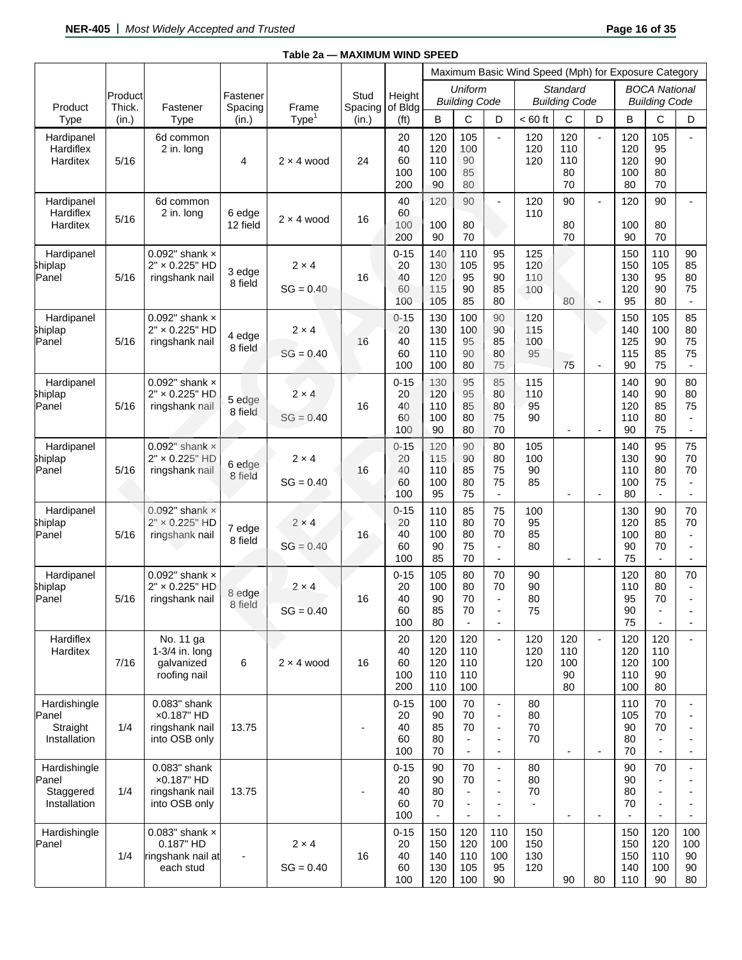|                                                    |                   |                                                                      |                     |                             |                 |                                   |                                 |                                                              |                                                                                                  | Maximum Basic Wind Speed (Mph) for Exposure Category |                                         |                          |                                                  |                                                  |                                            |
|----------------------------------------------------|-------------------|----------------------------------------------------------------------|---------------------|-----------------------------|-----------------|-----------------------------------|---------------------------------|--------------------------------------------------------------|--------------------------------------------------------------------------------------------------|------------------------------------------------------|-----------------------------------------|--------------------------|--------------------------------------------------|--------------------------------------------------|--------------------------------------------|
| Product                                            | Product<br>Thick. | Fastener                                                             | Fastener<br>Spacing | Frame                       | Stud<br>Spacing | Height<br>of Bldg                 |                                 | Uniform<br><b>Building Code</b>                              |                                                                                                  |                                                      | <b>Standard</b><br><b>Building Code</b> |                          |                                                  | <b>BOCA National</b><br><b>Building Code</b>     |                                            |
| <b>Type</b>                                        | (in.)             | <b>Type</b>                                                          | (in.)               | Type                        | (in.)           | (f <sup>t</sup> )                 | В                               | С                                                            | D                                                                                                | $< 60$ ft                                            | С                                       | D                        | B                                                | C                                                | D                                          |
| Hardipanel<br>Hardiflex<br>Harditex                | 5/16              | 6d common<br>2 in. long                                              | 4                   | $2 \times 4$ wood           | 24              | 20<br>40<br>60<br>100<br>200      | 120<br>120<br>110<br>100<br>90  | 105<br>100<br>90<br>85<br>80                                 |                                                                                                  | 120<br>120<br>120                                    | 120<br>110<br>110<br>80<br>70           |                          | 120<br>120<br>120<br>100<br>80                   | 105<br>95<br>90<br>80<br>70                      |                                            |
| Hardipanel<br>Hardiflex<br>Harditex                | 5/16              | 6d common<br>2 in. long                                              | 6 edge<br>12 field  | $2 \times 4$ wood           | 16              | 40<br>60<br>100<br>200            | 120<br>100<br>90                | 90<br>80<br>70                                               | $\overline{a}$                                                                                   | 120<br>110                                           | 90<br>80<br>70                          | $\blacksquare$           | 120<br>100<br>90                                 | 90<br>80<br>70                                   |                                            |
| Hardipanel<br><b>Shiplap</b><br>Panel              | 5/16              | 0.092" shank $\times$<br>2" × 0.225" HD<br>ringshank nail            | 3 edge<br>8 field   | $2 \times 4$<br>$SG = 0.40$ | 16              | $0 - 15$<br>20<br>40<br>60<br>100 | 140<br>130<br>120<br>115<br>105 | 110<br>105<br>95<br>90<br>85                                 | 95<br>95<br>90<br>85<br>80                                                                       | 125<br>120<br>110<br>100                             | 80                                      |                          | 150<br>150<br>130<br>120<br>95                   | 110<br>105<br>95<br>90<br>80                     | 90<br>85<br>80<br>75                       |
| Hardipanel<br>Shiplap<br>Panel                     | 5/16              | 0.092" shank $\times$<br>2" × 0.225" HD<br>ringshank nail            | 4 edge<br>8 field   | $2 \times 4$<br>$SG = 0.40$ | 16              | $0 - 15$<br>20<br>40<br>60<br>100 | 130<br>130<br>115<br>110<br>100 | 100<br>100<br>95<br>90<br>80                                 | 90<br>90<br>85<br>80<br>75                                                                       | 120<br>115<br>100<br>95                              | 75                                      | $\blacksquare$           | 150<br>140<br>125<br>115<br>90                   | 105<br>100<br>90<br>85<br>75                     | 85<br>80<br>75<br>75<br>$\blacksquare$     |
| Hardipanel<br>Shiplap<br>Panel                     | 5/16              | 0.092" shank $\times$<br>2" × 0.225" HD<br>ringshank nail            | 5 edge<br>8 field   | $2 \times 4$<br>$SG = 0.40$ | 16              | $0 - 15$<br>20<br>40<br>60<br>100 | 130<br>120<br>110<br>100<br>90  | 95<br>95<br>85<br>80<br>80                                   | 85<br>80<br>80<br>75<br>70                                                                       | 115<br>110<br>95<br>90                               | ÷,                                      | $\blacksquare$           | 140<br>140<br>120<br>110<br>90                   | 90<br>90<br>85<br>80<br>75                       | 80<br>80<br>75<br>$\blacksquare$           |
| Hardipanel<br><b>Shiplap</b><br>Panel              | 5/16              | $0.092$ " shank $\times$<br>2" × 0.225" HD<br>ringshank nail         | 6 edge<br>8 field   | $2 \times 4$<br>$SG = 0.40$ | 16              | $0 - 15$<br>20<br>40<br>60<br>100 | 120<br>115<br>110<br>100<br>95  | 90<br>90<br>85<br>80<br>75                                   | 80<br>80<br>75<br>75<br>$\overline{\phantom{a}}$                                                 | 105<br>100<br>90<br>85                               | ٠                                       | $\overline{\phantom{a}}$ | 140<br>130<br>110<br>100<br>80                   | 95<br>90<br>80<br>75                             | 75<br>70<br>70<br>$\overline{\phantom{a}}$ |
| Hardipanel<br>Shiplap<br>Panel                     | 5/16              | $0.092"$ shank $\times$<br>2" × 0.225" HD<br>ringshank nail          | 7 edge<br>8 field   | $2 \times 4$<br>$SG = 0.40$ | 16              | $0 - 15$<br>20<br>40<br>60<br>100 | 110<br>110<br>100<br>90<br>85   | 85<br>80<br>80<br>75<br>70                                   | 75<br>70<br>70<br>$\overline{\phantom{a}}$<br>$\overline{a}$                                     | 100<br>95<br>85<br>80                                | ۰                                       | $\blacksquare$           | 130<br>120<br>100<br>90<br>75                    | 90<br>85<br>80<br>70<br>$\overline{a}$           | 70<br>70                                   |
| Hardipanel<br>Shiplap<br>Panel                     | 5/16              | 0.092" shank $\times$<br>2" × 0.225" HD<br>ringshank nail            | 8 edge<br>8 field   | $2 \times 4$<br>$SG = 0.40$ | 16              | $0 - 15$<br>20<br>40<br>60<br>100 | 105<br>100<br>90<br>85<br>80    | 80<br>80<br>70<br>70<br>$\blacksquare$                       | 70<br>70<br>$\overline{a}$<br>$\overline{\phantom{a}}$<br>$\overline{a}$                         | 90<br>90<br>80<br>75                                 |                                         |                          | 120<br>110<br>95<br>90<br>75                     | 80<br>80<br>70<br>$\overline{\phantom{a}}$<br>L, | 70<br>$\blacksquare$                       |
| Hardiflex<br>Harditex                              | 7/16              | No. 11 ga<br>$1-3/4$ in. long<br>galvanized<br>roofing nail          | 6                   | $2 \times 4$ wood           | 16              | 20<br>40<br>60<br>100<br>200      | 120<br>120<br>120<br>110<br>110 | 120<br>110<br>110<br>110<br>100                              | $\overline{\phantom{0}}$                                                                         | 120<br>120<br>120                                    | 120<br>110<br>100<br>90<br>80           | $\blacksquare$           | 120<br>120<br>120<br>110<br>100                  | 120<br>110<br>100<br>90<br>80                    |                                            |
| Hardishingle<br>Panel<br>Straight<br>Installation  | 1/4               | 0.083" shank<br>x0.187" HD<br>ringshank nail<br>into OSB only        | 13.75               |                             |                 | $0 - 15$<br>20<br>40<br>60<br>100 | 100<br>90<br>85<br>80<br>70     | 70<br>70<br>70<br>$\overline{\phantom{a}}$<br>$\overline{a}$ | $\overline{a}$<br>$\overline{a}$<br>$\overline{\phantom{a}}$<br>$\blacksquare$                   | 80<br>80<br>70<br>70                                 |                                         | $\overline{\phantom{a}}$ | 110<br>105<br>90<br>80<br>70                     | 70<br>70<br>70                                   |                                            |
| Hardishingle<br>Panel<br>Staggered<br>Installation | 1/4               | 0.083" shank<br>x0.187" HD<br>ringshank nail<br>into OSB only        | 13.75               |                             |                 | $0 - 15$<br>20<br>40<br>60<br>100 | 90<br>90<br>80<br>70            | 70<br>70<br>$\overline{\phantom{a}}$<br>÷,<br>÷,             | $\blacksquare$<br>$\overline{\phantom{a}}$<br>$\overline{a}$<br>$\overline{a}$<br>$\blacksquare$ | 80<br>80<br>70                                       | $\overline{\phantom{a}}$                | $\overline{a}$           | 90<br>90<br>80<br>70<br>$\overline{\phantom{a}}$ | 70<br>$\overline{a}$<br>J.                       | $\blacksquare$                             |
| Hardishingle<br>Panel                              | 1/4               | 0.083" shank $\times$<br>0.187" HD<br>ringshank nail at<br>each stud |                     | $2 \times 4$<br>$SG = 0.40$ | 16              | $0 - 15$<br>20<br>40<br>60<br>100 | 150<br>150<br>140<br>130<br>120 | 120<br>120<br>110<br>105<br>100                              | 110<br>100<br>100<br>95<br>90                                                                    | 150<br>150<br>130<br>120                             | 90                                      | 80                       | 150<br>150<br>150<br>140<br>110                  | 120<br>120<br>110<br>100<br>90                   | 100<br>100<br>90<br>90<br>80               |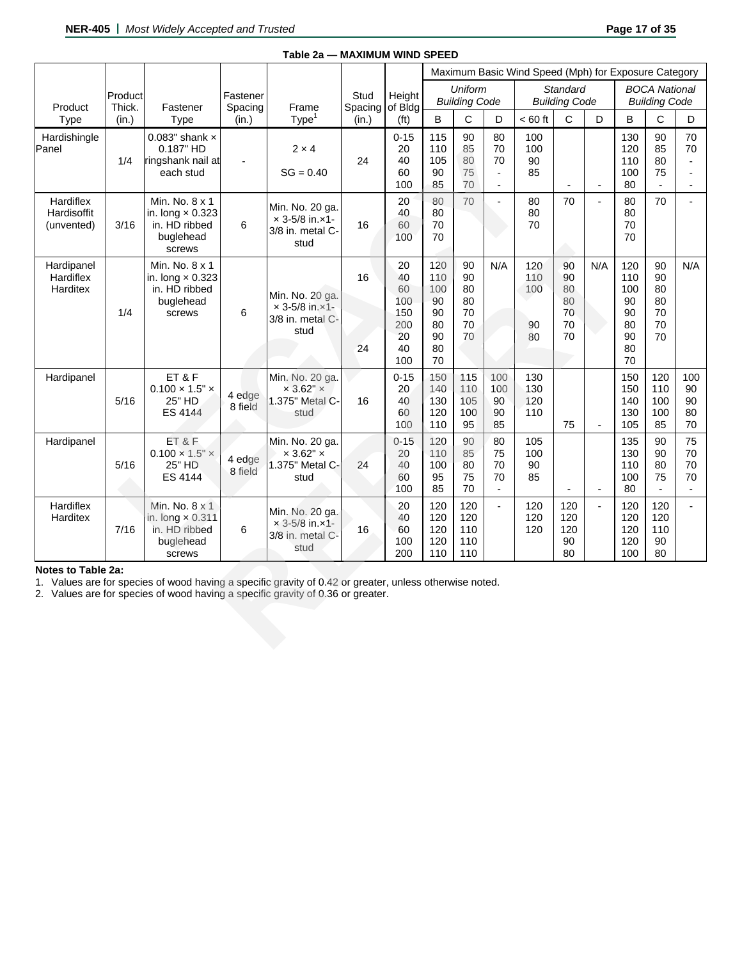|                                        |                   |                                                                                                                                                                                            |                     | Table 2a - MAXIMUM WIND SPEED                                         |                 |                                                                                                                   |                                                       |                                        |                                                              |                               |                                        |                          |                                                       |                                        |                                              |  |
|----------------------------------------|-------------------|--------------------------------------------------------------------------------------------------------------------------------------------------------------------------------------------|---------------------|-----------------------------------------------------------------------|-----------------|-------------------------------------------------------------------------------------------------------------------|-------------------------------------------------------|----------------------------------------|--------------------------------------------------------------|-------------------------------|----------------------------------------|--------------------------|-------------------------------------------------------|----------------------------------------|----------------------------------------------|--|
|                                        |                   |                                                                                                                                                                                            |                     |                                                                       |                 | Maximum Basic Wind Speed (Mph) for Exposure Category<br><b>Uniform</b><br><b>Standard</b><br><b>BOCA National</b> |                                                       |                                        |                                                              |                               |                                        |                          |                                                       |                                        |                                              |  |
| Product                                | Product<br>Thick. | Fastener                                                                                                                                                                                   | Fastener<br>Spacing | Frame                                                                 | Stud<br>Spacing | Height<br>of Bldg                                                                                                 |                                                       | <b>Building Code</b>                   |                                                              |                               | <b>Building Code</b>                   |                          |                                                       | <b>Building Code</b>                   |                                              |  |
| Type                                   | (in.)             | Type                                                                                                                                                                                       | (in.)               | Type <sup>1</sup>                                                     | (in.)           | (f <sup>t</sup> )                                                                                                 | B                                                     | $\mathsf{C}$                           | D                                                            | $< 60$ ft                     | C                                      | D                        | B                                                     | C                                      | D                                            |  |
| Hardishingle<br>Panel                  | 1/4               | 0.083" shank $\times$<br>0.187" HD<br>ringshank nail at<br>each stud                                                                                                                       |                     | $2 \times 4$<br>$SG = 0.40$                                           | 24              | $0 - 15$<br>20<br>40<br>60<br>100                                                                                 | 115<br>110<br>105<br>90<br>85                         | 90<br>85<br>80<br>75<br>70             | 80<br>70<br>70<br>$\overline{\phantom{a}}$<br>$\blacksquare$ | 100<br>100<br>90<br>85        |                                        | $\overline{\phantom{a}}$ | 130<br>120<br>110<br>100<br>80                        | 90<br>85<br>80<br>75                   | 70<br>70<br>$\overline{a}$<br>$\blacksquare$ |  |
| Hardiflex<br>Hardisoffit<br>(unvented) | 3/16              | Min. No. 8 x 1<br>in. long $\times$ 0.323<br>in. HD ribbed<br>buglehead<br>screws                                                                                                          | 6                   | Min. No. 20 ga.<br>$x 3 - 5/8$ in. $x1 -$<br>3/8 in. metal C-<br>stud | 16              | 20<br>40<br>60<br>100                                                                                             | 80<br>80<br>70<br>70                                  | 70                                     | $\overline{\phantom{a}}$                                     | 80<br>80<br>70                | 70                                     | $\overline{a}$           | 80<br>80<br>70<br>70                                  | 70                                     | $\overline{a}$                               |  |
| Hardipanel<br>Hardiflex<br>Harditex    | 1/4               | Min. No. 8 x 1<br>in. long $\times$ 0.323<br>in. HD ribbed<br>buglehead<br>screws                                                                                                          | 6                   | Min. No. 20 ga.<br>$× 3 - 5/8$ in. $×1 -$<br>3/8 in. metal C-<br>stud | 16<br>24        | 20<br>40<br>60<br>100<br>150<br>200<br>20<br>40<br>100                                                            | 120<br>110<br>100<br>90<br>90<br>80<br>90<br>80<br>70 | 90<br>90<br>80<br>80<br>70<br>70<br>70 | N/A                                                          | 120<br>110<br>100<br>90<br>80 | 90<br>90<br>80<br>80<br>70<br>70<br>70 | N/A                      | 120<br>110<br>100<br>90<br>90<br>80<br>90<br>80<br>70 | 90<br>90<br>80<br>80<br>70<br>70<br>70 | N/A                                          |  |
| Hardipanel                             | 5/16              | ET&F<br>$0.100 \times 1.5" \times$<br>25" HD<br>ES 4144                                                                                                                                    | 4 edge<br>8 field   | Min. No. 20 ga.<br>$\times$ 3.62" $\times$<br>1.375" Metal C-<br>stud | 16              | $0 - 15$<br>20<br>40<br>60<br>100                                                                                 | 150<br>140<br>130<br>120<br>110                       | 115<br>110<br>105<br>100<br>95         | 100<br>100<br>90<br>90<br>85                                 | 130<br>130<br>120<br>110      | 75                                     |                          | 150<br>150<br>140<br>130<br>105                       | 120<br>110<br>100<br>100<br>85         | 100<br>90<br>90<br>80<br>70                  |  |
| Hardipanel                             | 5/16              | ET&F<br>$0.100 \times 1.5" \times$<br>25" HD<br>ES 4144                                                                                                                                    | 4 edge<br>8 field   | Min. No. 20 ga.<br>$\times$ 3.62" $\times$<br>1.375" Metal C-<br>stud | 24              | $0 - 15$<br>20<br>40<br>60<br>100                                                                                 | 120<br>110<br>100<br>95<br>85                         | 90<br>85<br>80<br>75<br>70             | 80<br>75<br>70<br>70<br>$\overline{\phantom{a}}$             | 105<br>100<br>90<br>85        |                                        |                          | 135<br>130<br>110<br>100<br>80                        | 90<br>90<br>80<br>75                   | 75<br>70<br>70<br>70                         |  |
| Hardiflex<br>Harditex                  | 7/16              | Min. No. 8 x 1<br>in. long $\times$ 0.311<br>in. HD ribbed<br>buglehead<br>screws                                                                                                          | 6                   | Min. No. 20 ga.<br>$× 3-5/8$ in. $×1-$<br>3/8 in. metal C-<br>stud    | 16              | 20<br>40<br>60<br>100<br>200                                                                                      | 120<br>120<br>120<br>120<br>110                       | 120<br>120<br>110<br>110<br>110        | $\mathbf{L}$                                                 | 120<br>120<br>120             | 120<br>120<br>120<br>90<br>80          | $\overline{a}$           | 120<br>120<br>120<br>120<br>100                       | 120<br>120<br>110<br>90<br>80          |                                              |  |
| Notes to Table 2a:                     |                   | 1. Values are for species of wood having a specific gravity of 0.42 or greater, unless otherwise noted.<br>2. Values are for species of wood having a specific gravity of 0.36 or greater. |                     |                                                                       |                 |                                                                                                                   |                                                       |                                        |                                                              |                               |                                        |                          |                                                       |                                        |                                              |  |

# **Notes to Table 2a:**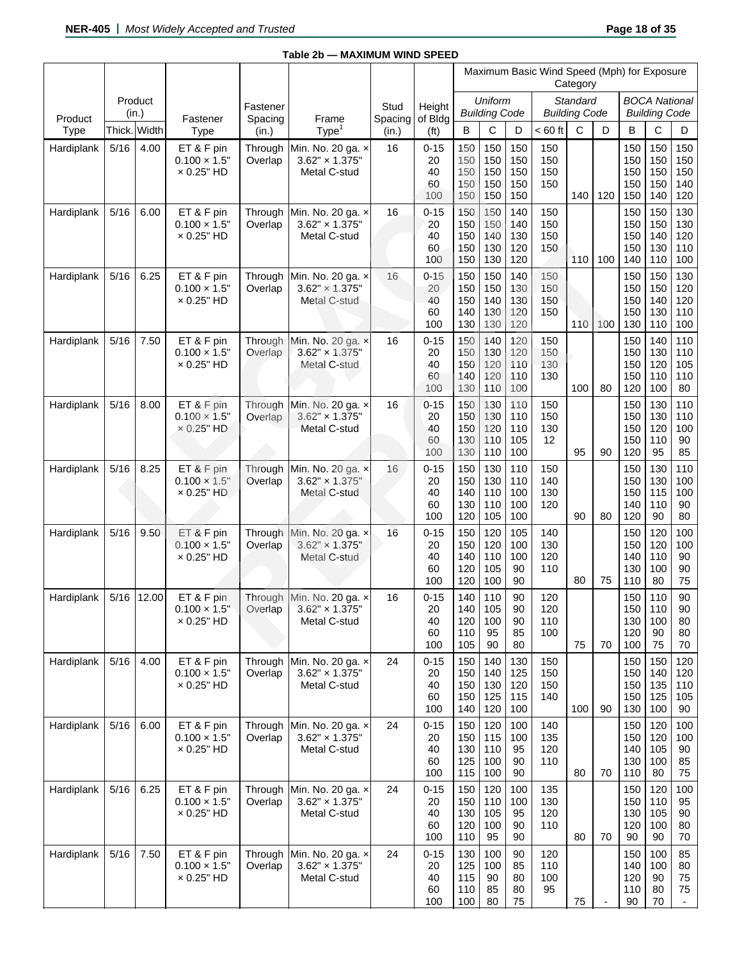|                 |        |                  |                                                         |                           |                                                                    |                  |                                   |                                 |                                 |                                 | Maximum Basic Wind Speed (Mph) for Exposure | Category                         |     |                                 |                                              |                                 |
|-----------------|--------|------------------|---------------------------------------------------------|---------------------------|--------------------------------------------------------------------|------------------|-----------------------------------|---------------------------------|---------------------------------|---------------------------------|---------------------------------------------|----------------------------------|-----|---------------------------------|----------------------------------------------|---------------------------------|
|                 |        | Product<br>(in.) |                                                         | Fastener                  |                                                                    | Stud             | Height                            |                                 | Uniform<br><b>Building Code</b> |                                 |                                             | Standard<br><b>Building Code</b> |     |                                 | <b>BOCA National</b><br><b>Building Code</b> |                                 |
| Product<br>Type | Thick. | Width            | Fastener<br>Type                                        | Spacing<br>(in.)          | Frame<br>Type <sup>1</sup>                                         | Spacing<br>(in.) | of Bldg<br>(f <sup>t</sup> )      | B                               | С                               | D                               | $< 60$ ft                                   | $\mathsf{C}$                     | D   | B                               | C                                            | D                               |
| Hardiplank      | 5/16   | 4.00             | ET & F pin<br>$0.100 \times 1.5$ "<br>$\times$ 0.25" HD | Through<br>Overlap        | Min. No. 20 ga. x<br>$3.62" \times 1.375"$<br>Metal C-stud         | 16               | $0 - 15$<br>20<br>40<br>60<br>100 | 150<br>150<br>150<br>150<br>150 | 150<br>150<br>150<br>150<br>150 | 150<br>150<br>150<br>150<br>150 | 150<br>150<br>150<br>150                    | 140                              | 120 | 150<br>150<br>150<br>150<br>150 | 150<br>150<br>150<br>150<br>140              | 150<br>150<br>150<br>140<br>120 |
| Hardiplank      | 5/16   | 6.00             | ET & F pin<br>$0.100 \times 1.5$ "<br>$\times$ 0.25" HD | Through<br>Overlap        | Min. No. 20 ga. x<br>$3.62" \times 1.375"$<br>Metal C-stud         | 16               | $0 - 15$<br>20<br>40<br>60<br>100 | 150<br>150<br>150<br>150<br>150 | 150<br>150<br>140<br>130<br>130 | 140<br>140<br>130<br>120<br>120 | 150<br>150<br>150<br>150                    | 110                              | 100 | 150<br>150<br>150<br>150<br>140 | 150<br>150<br>140<br>130<br>110              | 130<br>130<br>120<br>110<br>100 |
| Hardiplank      | 5/16   | 6.25             | ET & F pin<br>$0.100 \times 1.5"$<br>$\times$ 0.25" HD  | Through<br>Overlap        | Min. No. 20 ga. x<br>$3.62" \times 1.375"$<br>Metal C-stud         | 16               | $0 - 15$<br>20<br>40<br>60<br>100 | 150<br>150<br>150<br>140<br>130 | 150<br>150<br>140<br>130<br>130 | 140<br>130<br>130<br>120<br>120 | 150<br>150<br>150<br>150                    | 110                              | 100 | 150<br>150<br>150<br>150<br>130 | 150<br>150<br>140<br>130<br>110              | 130<br>120<br>120<br>110<br>100 |
| Hardiplank      | 5/16   | 7.50             | ET & F pin<br>$0.100 \times 1.5$ "<br>$\times$ 0.25" HD | Through<br>Overlap        | Min. No. 20 ga. x<br>$3.62" \times 1.375"$<br>Metal C-stud         | 16               | $0 - 15$<br>20<br>40<br>60<br>100 | 150<br>150<br>150<br>140<br>130 | 140<br>130<br>120<br>120<br>110 | 120<br>120<br>110<br>110<br>100 | 150<br>150<br>130<br>130                    | 100                              | 80  | 150<br>150<br>150<br>150<br>120 | 140<br>130<br>120<br>110<br>100              | 110<br>110<br>105<br>110<br>80  |
| Hardiplank      | 5/16   | 8.00             | ET & F pin<br>$0.100 \times 1.5"$<br>$\times$ 0.25" HD  | Through<br>Overlap        | Min. No. 20 ga. x<br>$3.62'' \times 1.375''$<br>Metal C-stud       | 16               | $0 - 15$<br>20<br>40<br>60<br>100 | 150<br>150<br>150<br>130<br>130 | 130<br>130<br>120<br>110<br>110 | 110<br>110<br>110<br>105<br>100 | 150<br>150<br>130<br>12                     | 95                               | 90  | 150<br>150<br>150<br>150<br>120 | 130<br>130<br>120<br>110<br>95               | 110<br>110<br>100<br>90<br>85   |
| Hardiplank      | 5/16   | 8.25             | ET & F pin<br>$0.100 \times 1.5$ "<br>$\times$ 0.25" HD | Through<br>Overlap        | Min. No. 20 ga. x<br>$3.62" \times 1.375"$<br>Metal C-stud         | 16               | $0 - 15$<br>20<br>40<br>60<br>100 | 150<br>150<br>140<br>130<br>120 | 130<br>130<br>110<br>110<br>105 | 110<br>110<br>100<br>100<br>100 | 150<br>140<br>130<br>120                    | 90                               | 80  | 150<br>150<br>150<br>140<br>120 | 130<br>130<br>115<br>110<br>90               | 110<br>100<br>100<br>90<br>80   |
| Hardiplank      | 5/16   | 9.50             | ET & F pin<br>$0.100 \times 1.5"$<br>$\times$ 0.25" HD  | <b>Through</b><br>Overlap | Min. No. 20 ga. x<br>$3.62" \times 1.375"$<br>Metal C-stud         | 16               | $0 - 15$<br>20<br>40<br>60<br>100 | 150<br>150<br>140<br>120<br>120 | 120<br>120<br>110<br>105<br>100 | 105<br>100<br>100<br>90<br>90   | 140<br>130<br>120<br>110                    | 80                               | 75  | 150<br>150<br>140<br>130<br>110 | 120<br>120<br>110<br>100<br>80               | 100<br>100<br>90<br>90<br>75    |
| Hardiplank      | 5/16   | 12.00            | ET & F pin<br>$0.100 \times 1.5$ "<br>$\times$ 0.25" HD | Overlap                   | Through Min. No. 20 ga. x<br>$3.62" \times 1.375"$<br>Metal C-stud | 16               | $0 - 15$<br>20<br>40<br>60<br>100 | 140<br>140<br>120<br>110<br>105 | 110<br>105<br>100<br>95<br>90   | 90<br>90<br>90<br>85<br>80      | 120<br>120<br>110<br>100                    | 75                               | 70  | 150<br>150<br>130<br>120<br>100 | 110<br>110<br>100<br>90<br>75                | 90<br>90<br>80<br>80<br>70      |
| Hardiplank      | $5/16$ | 4.00             | ET & F pin<br>$0.100 \times 1.5"$<br>$\times$ 0.25" HD  | Through<br>Overlap        | Min. No. 20 ga. x<br>$3.62" \times 1.375"$<br>Metal C-stud         | 24               | $0 - 15$<br>20<br>40<br>60<br>100 | 150<br>150<br>150<br>150<br>140 | 140<br>140<br>130<br>125<br>120 | 130<br>125<br>120<br>115<br>100 | 150<br>150<br>150<br>140                    | 100                              | 90  | 150<br>150<br>150<br>150<br>130 | 150<br>140<br>135<br>125<br>100              | 120<br>120<br>110<br>105<br>90  |
| Hardiplank      | 5/16   | 6.00             | ET & F pin<br>$0.100 \times 1.5"$<br>$\times$ 0.25" HD  | Through<br>Overlap        | Min. No. 20 ga. x<br>$3.62" \times 1.375"$<br>Metal C-stud         | 24               | $0 - 15$<br>20<br>40<br>60<br>100 | 150<br>150<br>130<br>125<br>115 | 120<br>115<br>110<br>100<br>100 | 100<br>100<br>95<br>90<br>90    | 140<br>135<br>120<br>110                    | 80                               | 70  | 150<br>150<br>140<br>130<br>110 | 120<br>120<br>105<br>100<br>80               | 100<br>100<br>90<br>85<br>75    |
| Hardiplank      | $5/16$ | 6.25             | ET & F pin<br>$0.100 \times 1.5"$<br>$\times$ 0.25" HD  | Through<br>Overlap        | Min. No. 20 ga. x<br>$3.62" \times 1.375"$<br>Metal C-stud         | 24               | $0 - 15$<br>20<br>40<br>60<br>100 | 150<br>150<br>130<br>120<br>110 | 120<br>110<br>105<br>100<br>95  | 100<br>100<br>95<br>90<br>90    | 135<br>130<br>120<br>110                    | 80                               | 70  | 150<br>150<br>130<br>120<br>90  | 120<br>110<br>105<br>100<br>90               | 100<br>95<br>90<br>80<br>70     |
| Hardiplank      | 5/16   | 7.50             | ET & F pin<br>$0.100 \times 1.5"$<br>$\times$ 0.25" HD  | Through<br>Overlap        | Min. No. 20 ga. x<br>$3.62" \times 1.375"$<br>Metal C-stud         | 24               | $0 - 15$<br>20<br>40<br>60<br>100 | 130<br>125<br>115<br>110<br>100 | 100<br>100<br>90<br>85<br>80    | 90<br>85<br>80<br>80<br>75      | 120<br>110<br>100<br>95                     | 75                               |     | 150<br>140<br>120<br>110<br>90  | 100<br>100<br>90<br>80<br>70                 | 85<br>80<br>75<br>75<br>$\sim$  |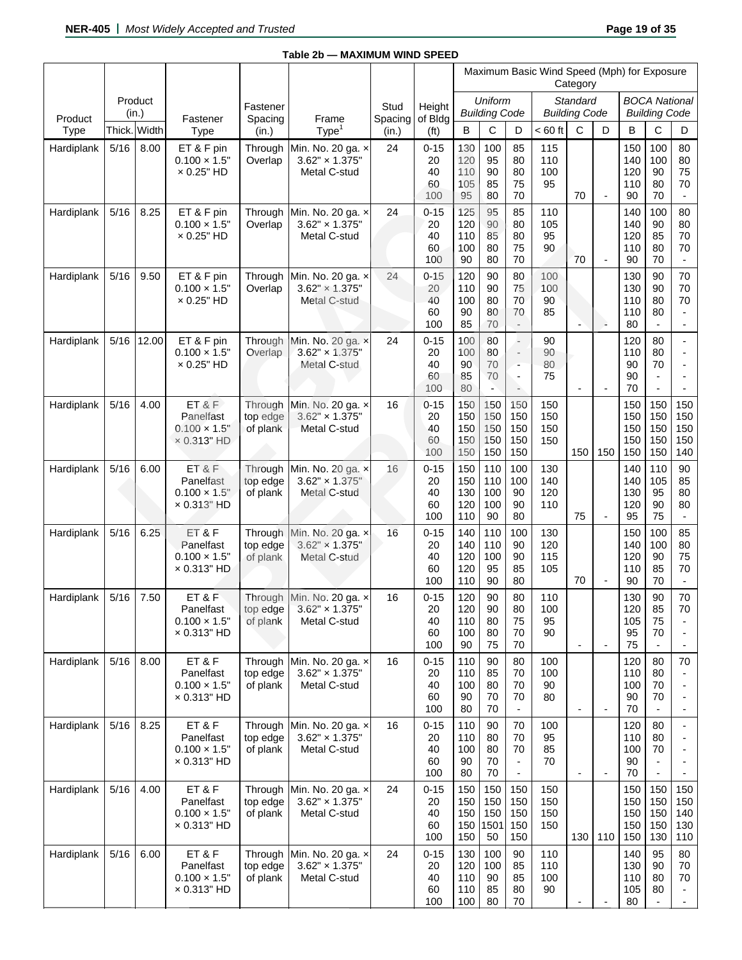|            |        |                  |                                                                   |                                 |                                                              |                 |                                   |                                 |                                 |                                                              | Maximum Basic Wind Speed (Mph) for Exposure | Category                         |                          |                                 |                                                    |                                                              |
|------------|--------|------------------|-------------------------------------------------------------------|---------------------------------|--------------------------------------------------------------|-----------------|-----------------------------------|---------------------------------|---------------------------------|--------------------------------------------------------------|---------------------------------------------|----------------------------------|--------------------------|---------------------------------|----------------------------------------------------|--------------------------------------------------------------|
| Product    |        | Product<br>(in.) | Fastener                                                          | Fastener<br>Spacing             | Frame                                                        | Stud<br>Spacing | Height<br>of Bldg                 |                                 | Uniform<br><b>Building Code</b> |                                                              |                                             | Standard<br><b>Building Code</b> |                          |                                 | <b>BOCA National</b><br><b>Building Code</b>       |                                                              |
| Type       |        | Thick. Width     | Type                                                              | (in.)                           | Type <sup>1</sup>                                            | (in.)           | (f <sup>t</sup> )                 | B                               | С                               | D                                                            | $< 60$ ft                                   | $\mathsf{C}$                     | D                        | B                               | C                                                  | D                                                            |
| Hardiplank | 5/16   | 8.00             | ET & F pin<br>$0.100 \times 1.5$ "<br>$\times$ 0.25" HD           | Through<br>Overlap              | Min. No. 20 ga. x<br>$3.62" \times 1.375"$<br>Metal C-stud   | 24              | $0 - 15$<br>20<br>40<br>60<br>100 | 130<br>120<br>110<br>105<br>95  | 100<br>95<br>90<br>85<br>80     | 85<br>80<br>80<br>75<br>70                                   | 115<br>110<br>100<br>95                     | 70                               | $\blacksquare$           | 150<br>140<br>120<br>110<br>90  | 100<br>100<br>90<br>80<br>70                       | 80<br>80<br>75<br>70<br>$\blacksquare$                       |
| Hardiplank | 5/16   | 8.25             | ET & F pin<br>$0.100 \times 1.5$ "<br>$\times$ 0.25" HD           | Through<br>Overlap              | Min. No. 20 ga. x<br>$3.62" \times 1.375"$<br>Metal C-stud   | 24              | $0 - 15$<br>20<br>40<br>60<br>100 | 125<br>120<br>110<br>100<br>90  | 95<br>90<br>85<br>80<br>80      | 85<br>80<br>80<br>75<br>70                                   | 110<br>105<br>95<br>90                      | 70                               | $\overline{\phantom{a}}$ | 140<br>140<br>120<br>110<br>90  | 100<br>90<br>85<br>80<br>70                        | 80<br>80<br>70<br>70<br>$\blacksquare$                       |
| Hardiplank | 5/16   | 9.50             | ET & F pin<br>$0.100 \times 1.5$ "<br>$\times$ 0.25" HD           | Through<br>Overlap              | Min. No. 20 ga. x<br>$3.62" \times 1.375"$<br>Metal C-stud   | 24              | $0 - 15$<br>20<br>40<br>60<br>100 | 120<br>110<br>100<br>90<br>85   | 90<br>90<br>80<br>80<br>70      | 80<br>75<br>70<br>70<br>$\overline{\phantom{a}}$             | 100<br>100<br>90<br>85                      | $\overline{a}$                   | D.                       | 130<br>130<br>110<br>110<br>80  | 90<br>90<br>80<br>80                               | 70<br>70<br>70<br>$\blacksquare$<br>$\overline{\phantom{0}}$ |
| Hardiplank | 5/16   | 12.00            | ET & F pin<br>$0.100 \times 1.5$ "<br>$\times$ 0.25" HD           | Through<br>Overlap              | Min. No. 20 ga. x<br>$3.62" \times 1.375"$<br>Metal C-stud   | 24              | $0 - 15$<br>20<br>40<br>60<br>100 | 100<br>100<br>90<br>85<br>80    | 80<br>80<br>70<br>70<br>÷,      | ÷.<br>$\overline{\phantom{a}}$<br>÷<br>$\blacksquare$<br>÷   | 90<br>90<br>80<br>75                        | $\overline{\phantom{a}}$         | ÷,                       | 120<br>110<br>90<br>90<br>70    | 80<br>80<br>70<br>$\blacksquare$<br>$\overline{a}$ | $\frac{1}{2}$<br>$\overline{\phantom{a}}$<br>$\overline{a}$  |
| Hardiplank | 5/16   | 4.00             | ET & F<br>Panelfast<br>$0.100 \times 1.5$ "<br>$\times$ 0.313" HD | Through<br>top edge<br>of plank | Min. No. 20 ga. x<br>$3.62'' \times 1.375''$<br>Metal C-stud | 16              | $0 - 15$<br>20<br>40<br>60<br>100 | 150<br>150<br>150<br>150<br>150 | 150<br>150<br>150<br>150<br>150 | 150<br>150<br>150<br>150<br>150                              | 150<br>150<br>150<br>150                    | 150                              | 150                      | 150<br>150<br>150<br>150<br>150 | 150<br>150<br>150<br>150<br>150                    | 150<br>150<br>150<br>150<br>140                              |
| Hardiplank | $5/16$ | 6.00             | ET&F<br>Panelfast<br>$0.100 \times 1.5$ "<br>× 0.313" HD          | Through<br>top edge<br>of plank | Min. No. 20 ga. x<br>$3.62" \times 1.375"$<br>Metal C-stud   | 16              | $0 - 15$<br>20<br>40<br>60<br>100 | 150<br>150<br>130<br>120<br>110 | 110<br>110<br>100<br>100<br>90  | 100<br>100<br>90<br>90<br>80                                 | 130<br>140<br>120<br>110                    | 75                               | $\blacksquare$           | 140<br>140<br>130<br>120<br>95  | 110<br>105<br>95<br>90<br>75                       | 90<br>85<br>80<br>80<br>$\blacksquare$                       |
| Hardiplank | 5/16   | 6.25             | ET&F<br>Panelfast<br>$0.100 \times 1.5$ "<br>× 0.313" HD          | Through<br>top edge<br>of plank | Min. No. 20 ga. x<br>$3.62" \times 1.375"$<br>Metal C-stud   | 16              | $0 - 15$<br>20<br>40<br>60<br>100 | 140<br>140<br>120<br>120<br>110 | 110<br>110<br>100<br>95<br>90   | 100<br>90<br>90<br>85<br>80                                  | 130<br>120<br>115<br>105                    | 70                               | $\overline{\phantom{a}}$ | 150<br>140<br>120<br>110<br>90  | 100<br>100<br>90<br>85<br>70                       | 85<br>80<br>75<br>70<br>$\blacksquare$                       |
| Hardiplank | 5/16   | 7.50             | ET&F<br>Panelfast<br>$0.100 \times 1.5"$<br>$\times$ 0.313" HD    | Through<br>top edge<br>of plank | Min. No. 20 ga. x<br>$3.62" \times 1.375"$<br>Metal C-stud   | 16              | $0 - 15$<br>20<br>40<br>60<br>100 | 120<br>120<br>110<br>100<br>90  | 90<br>90<br>80<br>80<br>75      | 80<br>80<br>75<br>70<br>70                                   | 110<br>100<br>95<br>90                      | $\overline{\phantom{a}}$         | $\overline{\phantom{a}}$ | 130<br>120<br>105<br>95<br>75   | 90<br>85<br>75<br>70<br>$\overline{\phantom{0}}$   | 70<br>70<br>$\overline{\phantom{a}}$                         |
| Hardiplank | $5/16$ | 8.00             | ET&F<br>Panelfast<br>$0.100 \times 1.5$ "<br>$\times$ 0.313" HD   | Through<br>top edge<br>of plank | Min. No. 20 ga. x<br>$3.62" \times 1.375"$<br>Metal C-stud   | 16              | $0 - 15$<br>20<br>40<br>60<br>100 | 110<br>110<br>100<br>90<br>80   | 90<br>85<br>80<br>70<br>70      | 80<br>70<br>70<br>70                                         | 100<br>100<br>90<br>80                      | $\overline{\phantom{a}}$         | $\overline{\phantom{a}}$ | 120<br>110<br>100<br>90<br>70   | 80<br>80<br>70<br>70                               | 70<br>$\overline{\phantom{a}}$                               |
| Hardiplank | 5/16   | 8.25             | ET&F<br>Panelfast<br>$0.100 \times 1.5$ "<br>$\times$ 0.313" HD   | Through<br>top edge<br>of plank | Min. No. 20 ga. x<br>$3.62" \times 1.375"$<br>Metal C-stud   | 16              | $0 - 15$<br>20<br>40<br>60<br>100 | 110<br>110<br>100<br>90<br>80   | 90<br>80<br>80<br>70<br>70      | 70<br>70<br>70<br>$\blacksquare$<br>$\overline{\phantom{a}}$ | 100<br>95<br>85<br>70                       | $\overline{\phantom{a}}$         | $\overline{\phantom{a}}$ | 120<br>110<br>100<br>90<br>70   | 80<br>80<br>70<br>$\overline{a}$                   | $\overline{\phantom{0}}$                                     |
| Hardiplank | $5/16$ | 4.00             | ET&F<br>Panelfast<br>$0.100 \times 1.5$ "<br>$\times$ 0.313" HD   | Through<br>top edge<br>of plank | Min. No. 20 ga. x<br>$3.62" \times 1.375"$<br>Metal C-stud   | 24              | $0 - 15$<br>20<br>40<br>60<br>100 | 150<br>150<br>150<br>150<br>150 | 150<br>150<br>150<br>1501<br>50 | 150<br>150<br>150<br>150<br>150                              | 150<br>150<br>150<br>150                    | 130                              | 110                      | 150<br>150<br>150<br>150<br>150 | 150<br>150<br>150<br>150<br>130                    | 150<br>150<br>140<br>130<br>110                              |
| Hardiplank | 5/16   | 6.00             | ET&F<br>Panelfast<br>$0.100 \times 1.5"$<br>$\times$ 0.313" HD    | Through<br>top edge<br>of plank | Min. No. 20 ga. x<br>$3.62" \times 1.375"$<br>Metal C-stud   | 24              | $0 - 15$<br>20<br>40<br>60<br>100 | 130<br>120<br>110<br>110<br>100 | 100<br>100<br>90<br>85<br>80    | 90<br>85<br>85<br>80<br>70                                   | 110<br>110<br>100<br>90                     |                                  |                          | 140<br>130<br>110<br>105<br>80  | 95<br>90<br>80<br>80<br>$\frac{1}{2}$              | 80<br>70<br>70<br>$\sim$                                     |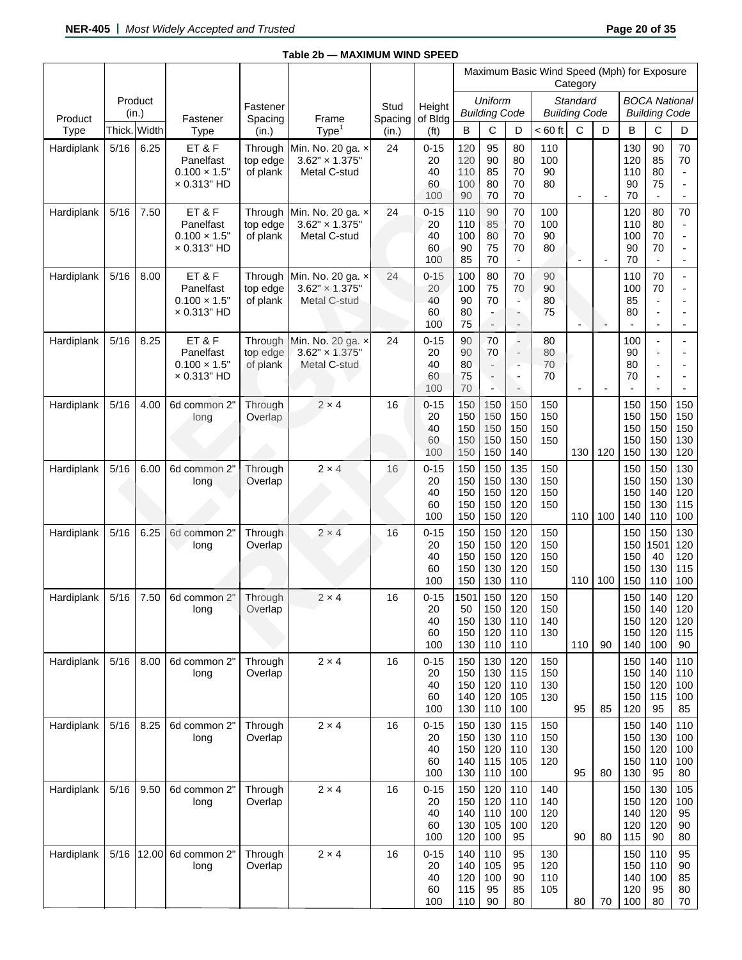|            |      |                  |                                                                 |                                 |                                                            |                         |                                   |                                 |                                                                        |                                                                                                                   | Maximum Basic Wind Speed (Mph) for Exposure | Category                         |                          |                                 |                                                  |                                                                              |
|------------|------|------------------|-----------------------------------------------------------------|---------------------------------|------------------------------------------------------------|-------------------------|-----------------------------------|---------------------------------|------------------------------------------------------------------------|-------------------------------------------------------------------------------------------------------------------|---------------------------------------------|----------------------------------|--------------------------|---------------------------------|--------------------------------------------------|------------------------------------------------------------------------------|
| Product    |      | Product<br>(in.) |                                                                 | Fastener                        | Frame                                                      | Stud<br>Spacing of Bldg | Height                            |                                 | Uniform<br><b>Building Code</b>                                        |                                                                                                                   |                                             | Standard<br><b>Building Code</b> |                          |                                 | <b>BOCA National</b><br><b>Building Code</b>     |                                                                              |
| Type       |      | Thick. Width     | Fastener<br><b>Type</b>                                         | Spacing<br>(in.)                | Type <sup>1</sup>                                          | (in.)                   | (f <sup>t</sup> )                 | B                               | С                                                                      | D                                                                                                                 | $< 60$ ft                                   | $\mathbf C$                      | D                        | B                               | C                                                | D                                                                            |
| Hardiplank | 5/16 | 6.25             | ET&F<br>Panelfast<br>$0.100 \times 1.5$ "<br>$\times$ 0.313" HD | Through<br>top edge<br>of plank | Min. No. 20 ga. x<br>$3.62" \times 1.375"$<br>Metal C-stud | 24                      | $0 - 15$<br>20<br>40<br>60<br>100 | 120<br>120<br>110<br>100<br>90  | 95<br>90<br>85<br>80<br>70                                             | 80<br>80<br>70<br>70<br>70                                                                                        | 110<br>100<br>90<br>80                      | $\overline{\phantom{a}}$         | $\overline{\phantom{a}}$ | 130<br>120<br>110<br>90<br>70   | 90<br>85<br>80<br>75<br>$\overline{\phantom{a}}$ | 70<br>$70\,$<br>$\blacksquare$<br>$\overline{\phantom{a}}$<br>$\blacksquare$ |
| Hardiplank | 5/16 | 7.50             | ET&F<br>Panelfast<br>$0.100 \times 1.5$ "<br>× 0.313" HD        | Through<br>top edge<br>of plank | Min. No. 20 ga. x<br>$3.62" \times 1.375"$<br>Metal C-stud | 24                      | $0 - 15$<br>20<br>40<br>60<br>100 | 110<br>110<br>100<br>90<br>85   | 90<br>85<br>80<br>75<br>70                                             | 70<br>70<br>70<br>70<br>$\overline{\phantom{a}}$                                                                  | 100<br>100<br>90<br>80                      | $\overline{\phantom{a}}$         | $\overline{\phantom{a}}$ | 120<br>110<br>100<br>90<br>70   | 80<br>80<br>70<br>70<br>$\overline{\phantom{a}}$ | 70<br>$\overline{\phantom{0}}$<br>$\overline{\phantom{a}}$                   |
| Hardiplank | 5/16 | 8.00             | ET&F<br>Panelfast<br>$0.100 \times 1.5$ "<br>× 0.313" HD        | Through<br>top edge<br>of plank | Min. No. 20 ga. x<br>$3.62" \times 1.375"$<br>Metal C-stud | 24                      | $0 - 15$<br>20<br>40<br>60<br>100 | 100<br>100<br>90<br>80<br>75    | 80<br>75<br>70<br>$\overline{\phantom{a}}$<br>$\overline{\phantom{a}}$ | 70<br>70<br>$\overline{\phantom{a}}$<br>$\overline{\phantom{a}}$<br>÷,                                            | 90<br>90<br>80<br>75                        | $\overline{\phantom{a}}$         | à                        | 110<br>100<br>85<br>80          | 70<br>70<br>$\blacksquare$<br>÷,                 | $\overline{\phantom{a}}$                                                     |
| Hardiplank | 5/16 | 8.25             | ET&F<br>Panelfast<br>$0.100 \times 1.5$ "<br>$\times$ 0.313" HD | Through<br>top edge<br>of plank | Min. No. 20 ga. x<br>$3.62" \times 1.375"$<br>Metal C-stud | 24                      | $0 - 15$<br>20<br>40<br>60<br>100 | 90<br>90<br>80<br>75<br>70      | 70<br>70<br>$\overline{\phantom{a}}$<br>$\overline{\phantom{a}}$       | $\overline{\phantom{m}}$<br>$\overline{\phantom{a}}$<br>٠<br>$\overline{\phantom{a}}$<br>$\overline{\phantom{a}}$ | 80<br>80<br>70<br>70                        | $\overline{\phantom{a}}$         | $\overline{a}$           | 100<br>90<br>80<br>70           | $\blacksquare$<br>$\blacksquare$                 |                                                                              |
| Hardiplank | 5/16 | 4.00             | 6d common 2"<br>long                                            | Through<br>Overlap              | $2 \times 4$                                               | 16                      | $0 - 15$<br>20<br>40<br>60<br>100 | 150<br>150<br>150<br>150<br>150 | 150<br>150<br>150<br>150<br>150                                        | 150<br>150<br>150<br>150<br>140                                                                                   | 150<br>150<br>150<br>150                    | 130                              | 120                      | 150<br>150<br>150<br>150<br>150 | 150<br>150<br>150<br>150<br>130                  | 150<br>150<br>150<br>130<br>120                                              |
| Hardiplank | 5/16 | 6.00             | 6d common 2"<br>long                                            | Through<br>Overlap              | $2 \times 4$                                               | 16                      | $0 - 15$<br>20<br>40<br>60<br>100 | 150<br>150<br>150<br>150<br>150 | 150<br>150<br>150<br>150<br>150                                        | 135<br>130<br>120<br>120<br>120                                                                                   | 150<br>150<br>150<br>150                    | 110                              | 100                      | 150<br>150<br>150<br>150<br>140 | 150<br>150<br>140<br>130<br>110                  | 130<br>130<br>120<br>115<br>100                                              |
| Hardiplank | 5/16 | 6.25             | 6d common 2"<br>long                                            | Through<br>Overlap              | $2 \times 4$                                               | 16                      | $0 - 15$<br>20<br>40<br>60<br>100 | 150<br>150<br>150<br>150<br>150 | 150<br>150<br>150<br>130<br>130                                        | 120<br>120<br>120<br>120<br>110                                                                                   | 150<br>150<br>150<br>150                    | 110                              | 100                      | 150<br>150<br>150<br>150<br>150 | 150<br>1501<br>40<br>130<br>110                  | 130<br>120<br>120<br>115<br>100                                              |
| Hardiplank | 5/16 | 7.50             | 6d common 2"<br>long                                            | Through<br>Overlap              | $2 \times 4$                                               | 16                      | $0 - 15$<br>20<br>40<br>60<br>100 | 1501<br>50<br>150<br>150<br>130 | 150<br>150<br>130<br>120<br>110                                        | 120<br>120<br>110<br>110<br>110                                                                                   | 150<br>150<br>140<br>130                    | 110                              | 90                       | 150<br>150<br>150<br>150<br>140 | 140<br>140<br>120<br>120<br>100                  | 120<br>120<br>120<br>115<br>90                                               |
| Hardiplank | 5/16 | 8.00             | 6d common 2"<br>long                                            | Through<br>Overlap              | $2 \times 4$                                               | 16                      | $0 - 15$<br>20<br>40<br>60<br>100 | 150<br>150<br>150<br>140<br>130 | 130<br>130<br>120<br>120<br>110                                        | 120<br>115<br>110<br>105<br>100                                                                                   | 150<br>150<br>130<br>130                    | 95                               | 85                       | 150<br>150<br>150<br>150<br>120 | 140<br>140<br>120<br>115<br>95                   | 110<br>110<br>100<br>100<br>85                                               |
| Hardiplank | 5/16 | 8.25             | 6d common 2"<br>long                                            | Through<br>Overlap              | $2 \times 4$                                               | 16                      | $0 - 15$<br>20<br>40<br>60<br>100 | 150<br>150<br>150<br>140<br>130 | 130<br>130<br>120<br>115<br>110                                        | 115<br>110<br>110<br>105<br>100                                                                                   | 150<br>150<br>130<br>120                    | 95                               | 80                       | 150<br>150<br>150<br>150<br>130 | 140<br>130<br>120<br>110<br>95                   | 110<br>100<br>100<br>100<br>80                                               |
| Hardiplank | 5/16 | 9.50             | 6d common 2"<br>long                                            | Through<br>Overlap              | $2 \times 4$                                               | 16                      | $0 - 15$<br>20<br>40<br>60<br>100 | 150<br>150<br>140<br>130<br>120 | 120<br>120<br>110<br>105<br>100                                        | 110<br>110<br>100<br>100<br>95                                                                                    | 140<br>140<br>120<br>120                    | 90                               | 80                       | 150<br>150<br>140<br>120<br>115 | 130<br>120<br>120<br>120<br>90                   | 105<br>100<br>95<br>90<br>80                                                 |
| Hardiplank | 5/16 |                  | 12.00 6d common 2"<br>long                                      | Through<br>Overlap              | $2 \times 4$                                               | 16                      | $0 - 15$<br>20<br>40<br>60<br>100 | 140<br>140<br>120<br>115<br>110 | 110<br>105<br>100<br>95<br>90                                          | 95<br>95<br>90<br>85<br>80                                                                                        | 130<br>120<br>110<br>105                    | 80                               | 70                       | 150<br>150<br>140<br>120<br>100 | 110<br>110<br>100<br>95<br>80                    | 95<br>90<br>85<br>80<br>70                                                   |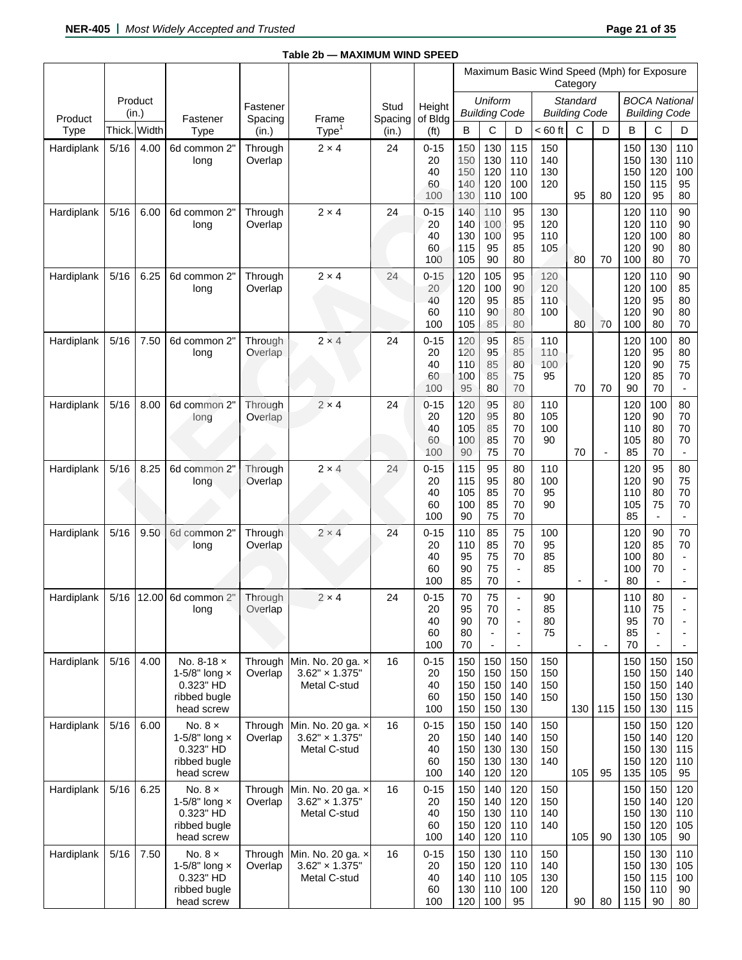|                 |      |                  |                                                                                   |                    |                                                            |                  |                                   |                                 |                                            |                                                                                          | Maximum Basic Wind Speed (Mph) for Exposure | Category                         |                          |                                 |                                                  |                                                                                    |
|-----------------|------|------------------|-----------------------------------------------------------------------------------|--------------------|------------------------------------------------------------|------------------|-----------------------------------|---------------------------------|--------------------------------------------|------------------------------------------------------------------------------------------|---------------------------------------------|----------------------------------|--------------------------|---------------------------------|--------------------------------------------------|------------------------------------------------------------------------------------|
|                 |      | Product<br>(in.) |                                                                                   | Fastener           |                                                            | Stud             | Height                            |                                 | <b>Uniform</b><br><b>Building Code</b>     |                                                                                          |                                             | Standard<br><b>Building Code</b> |                          |                                 | <b>BOCA National</b><br><b>Building Code</b>     |                                                                                    |
| Product<br>Type |      | Thick. Width     | Fastener<br>Type                                                                  | Spacing<br>(in.)   | Frame<br>Type <sup>1</sup>                                 | Spacing<br>(in.) | of Bldg<br>(f <sub>t</sub> )      | B                               | C                                          | D                                                                                        | $< 60$ ft                                   | C                                | D                        | B                               | С                                                | D                                                                                  |
| Hardiplank      | 5/16 | 4.00             | 6d common 2"<br>long                                                              | Through<br>Overlap | $2 \times 4$                                               | 24               | $0 - 15$<br>20<br>40<br>60<br>100 | 150<br>150<br>150<br>140<br>130 | 130<br>130<br>120<br>120<br>110            | 115<br>110<br>110<br>100<br>100                                                          | 150<br>140<br>130<br>120                    | 95                               | 80                       | 150<br>150<br>150<br>150<br>120 | 130<br>130<br>120<br>115<br>95                   | 110<br>110<br>100<br>95<br>80                                                      |
| Hardiplank      | 5/16 | 6.00             | 6d common 2"<br>long                                                              | Through<br>Overlap | $2 \times 4$                                               | 24               | $0 - 15$<br>20<br>40<br>60<br>100 | 140<br>140<br>130<br>115<br>105 | 110<br>100<br>100<br>95<br>90              | 95<br>95<br>95<br>85<br>80                                                               | 130<br>120<br>110<br>105                    | 80                               | 70                       | 120<br>120<br>120<br>120<br>100 | 110<br>110<br>100<br>90<br>80                    | 90<br>90<br>80<br>80<br>70                                                         |
| Hardiplank      | 5/16 | 6.25             | 6d common 2"<br>long                                                              | Through<br>Overlap | $2 \times 4$                                               | 24               | $0 - 15$<br>20<br>40<br>60<br>100 | 120<br>120<br>120<br>110<br>105 | 105<br>100<br>95<br>90<br>85               | 95<br>90<br>85<br>80<br>80                                                               | 120<br>120<br>110<br>100                    | 80                               | 70                       | 120<br>120<br>120<br>120<br>100 | 110<br>100<br>95<br>90<br>80                     | 90<br>85<br>80<br>80<br>70                                                         |
| Hardiplank      | 5/16 | 7.50             | 6d common 2"<br>long                                                              | Through<br>Overlap | $2 \times 4$                                               | 24               | $0 - 15$<br>20<br>40<br>60<br>100 | 120<br>120<br>110<br>100<br>95  | 95<br>95<br>85<br>85<br>80                 | 85<br>85<br>80<br>75<br>70                                                               | 110<br>110<br>100<br>95                     | 70                               | 70                       | 120<br>120<br>120<br>120<br>90  | 100<br>95<br>90<br>85<br>70                      | 80<br>80<br>75<br>70<br>$\overline{\phantom{a}}$                                   |
| Hardiplank      | 5/16 | 8.00             | 6d common 2"<br>long                                                              | Through<br>Overlap | $2 \times 4$                                               | 24               | $0 - 15$<br>20<br>40<br>60<br>100 | 120<br>120<br>105<br>100<br>90  | 95<br>95<br>85<br>85<br>75                 | 80<br>80<br>70<br>70<br>70                                                               | 110<br>105<br>100<br>90                     | 70                               | $\blacksquare$           | 120<br>120<br>110<br>105<br>85  | 100<br>90<br>80<br>80<br>70                      | 80<br>70<br>70<br>70<br>$\blacksquare$                                             |
| Hardiplank      | 5/16 | 8.25             | 6d common 2"<br>long                                                              | Through<br>Overlap | $2 \times 4$                                               | 24               | $0 - 15$<br>20<br>40<br>60<br>100 | 115<br>115<br>105<br>100<br>90  | 95<br>95<br>85<br>85<br>75                 | 80<br>80<br>70<br>70<br>70                                                               | 110<br>100<br>95<br>90                      |                                  |                          | 120<br>120<br>110<br>105<br>85  | 95<br>90<br>80<br>75<br>$\overline{\phantom{a}}$ | 80<br>75<br>70<br>70<br>$\blacksquare$                                             |
| Hardiplank      | 5/16 | 9.50             | 6d common 2"<br>long                                                              | Through<br>Overlap | $2 \times 4$                                               | 24               | $0 - 15$<br>20<br>40<br>60<br>100 | 110<br>110<br>95<br>90<br>85    | 85<br>85<br>75<br>75<br>70                 | 75<br>70<br>70<br>$\overline{\phantom{a}}$<br>$\overline{\phantom{a}}$                   | 100<br>95<br>85<br>85                       | $\overline{\phantom{a}}$         | $\overline{a}$           | 120<br>120<br>100<br>100<br>80  | 90<br>85<br>80<br>70<br>$\overline{\phantom{0}}$ | 70<br>70<br>$\blacksquare$<br>$\overline{\phantom{0}}$<br>$\overline{\phantom{a}}$ |
| Hardiplank      |      | 5/16 12.00       | 6d common 2"<br>long                                                              | Through<br>Overlap | $2 \times 4$                                               | 24               | $0 - 15$<br>20<br>40<br>60<br>100 | 70<br>95<br>90<br>80<br>70      | 75<br>70<br>70<br>$\overline{\phantom{a}}$ | $\overline{a}$<br>$\overline{a}$<br>$\overline{\phantom{a}}$<br>$\overline{\phantom{a}}$ | 90<br>85<br>80<br>75                        | $\overline{\phantom{a}}$         | $\overline{\phantom{a}}$ | 110<br>110<br>95<br>85<br>70    | 80<br>75<br>70<br>$\overline{\phantom{a}}$<br>÷, | $\blacksquare$<br>$\overline{\phantom{a}}$                                         |
| Hardiplank      | 5/16 | 4.00             | No. 8-18 x<br>1-5/8" long x<br>0.323" HD<br>ribbed bugle<br>head screw            | Through<br>Overlap | Min. No. 20 ga. x<br>$3.62" \times 1.375"$<br>Metal C-stud | 16               | $0 - 15$<br>20<br>40<br>60<br>100 | 150<br>150<br>150<br>150<br>150 | 150<br>150<br>150<br>150<br>150            | 150<br>150<br>140<br>140<br>130                                                          | 150<br>150<br>150<br>150                    | 130                              | 115                      | 150<br>150<br>150<br>150<br>150 | 150<br>150<br>150<br>150<br>130                  | 150<br>140<br>140<br>130<br>115                                                    |
| Hardiplank      | 5/16 | 6.00             | No. $8 \times$<br>1-5/8" long x<br>0.323" HD<br>ribbed bugle<br>head screw        | Through<br>Overlap | Min. No. 20 ga. x<br>$3.62" \times 1.375"$<br>Metal C-stud | 16               | $0 - 15$<br>20<br>40<br>60<br>100 | 150<br>150<br>150<br>150<br>140 | 150<br>140<br>130<br>130<br>120            | 140<br>140<br>130<br>130<br>120                                                          | 150<br>150<br>150<br>140                    | 105                              | 95                       | 150<br>150<br>150<br>150<br>135 | 150<br>140<br>130<br>120<br>105                  | 120<br>120<br>115<br>110<br>95                                                     |
| Hardiplank      | 5/16 | 6.25             | No. $8 \times$<br>1-5/8" long $\times$<br>0.323" HD<br>ribbed bugle<br>head screw | Through<br>Overlap | Min. No. 20 ga. x<br>$3.62" \times 1.375"$<br>Metal C-stud | 16               | $0 - 15$<br>20<br>40<br>60<br>100 | 150<br>150<br>150<br>150<br>140 | 140<br>140<br>130<br>120<br>120            | 120<br>120<br>110<br>110<br>110                                                          | 150<br>150<br>140<br>140                    | 105                              | 90                       | 150<br>150<br>150<br>150<br>130 | 150<br>140<br>130<br>120<br>105                  | 120<br>120<br>110<br>105<br>90                                                     |
| Hardiplank      | 5/16 | 7.50             | No. $8 \times$<br>1-5/8" long x<br>0.323" HD<br>ribbed bugle<br>head screw        | Through<br>Overlap | Min. No. 20 ga. x<br>$3.62" \times 1.375"$<br>Metal C-stud | 16               | $0 - 15$<br>20<br>40<br>60<br>100 | 150<br>150<br>140<br>130<br>120 | 130<br>120<br>110<br>110<br>100            | 110<br>110<br>105<br>100<br>95                                                           | 150<br>140<br>130<br>120                    | 90                               | 80                       | 150<br>150<br>150<br>150<br>115 | 130<br>130<br>115<br>110<br>90                   | 110<br>105<br>100<br>90<br>80                                                      |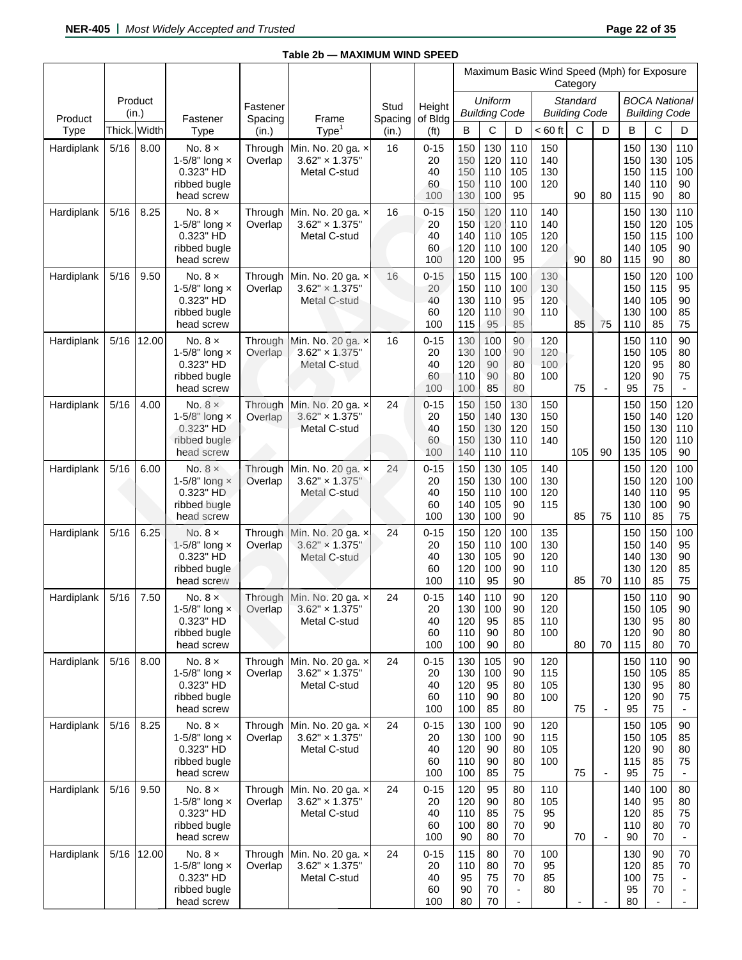|                 |              |            |                                                                                   |                           |                                                                    |                  |                                   |                                 |                                 |                                                                        | Maximum Basic Wind Speed (Mph) for Exposure | Category                         |                          |                                 |                                              |                                                                  |
|-----------------|--------------|------------|-----------------------------------------------------------------------------------|---------------------------|--------------------------------------------------------------------|------------------|-----------------------------------|---------------------------------|---------------------------------|------------------------------------------------------------------------|---------------------------------------------|----------------------------------|--------------------------|---------------------------------|----------------------------------------------|------------------------------------------------------------------|
|                 | (in.)        | Product    |                                                                                   | Fastener                  |                                                                    | Stud             | Height                            |                                 | Uniform<br><b>Building Code</b> |                                                                        |                                             | Standard<br><b>Building Code</b> |                          |                                 | <b>BOCA National</b><br><b>Building Code</b> |                                                                  |
| Product<br>Type | Thick. Width |            | Fastener<br><b>Type</b>                                                           | Spacing<br>(in.)          | Frame<br>Type <sup>1</sup>                                         | Spacing<br>(in.) | of Bldg<br>(f <sub>t</sub> )      | B                               | С                               | D                                                                      | $< 60$ ft                                   | C                                | D                        | B                               | C                                            | D                                                                |
| Hardiplank      | 5/16         | 8.00       | No. $8 \times$<br>1-5/8" long x<br>0.323" HD<br>ribbed bugle<br>head screw        | Through<br>Overlap        | Min. No. 20 ga. x<br>$3.62" \times 1.375"$<br>Metal C-stud         | 16               | $0 - 15$<br>20<br>40<br>60<br>100 | 150<br>150<br>150<br>150<br>130 | 130<br>120<br>110<br>110<br>100 | 110<br>110<br>105<br>100<br>95                                         | 150<br>140<br>130<br>120                    | 90                               | 80                       | 150<br>150<br>150<br>140<br>115 | 130<br>130<br>115<br>110<br>90               | 110<br>105<br>100<br>90<br>80                                    |
| Hardiplank      | 5/16         | 8.25       | No. $8 \times$<br>1-5/8" long $\times$<br>0.323" HD<br>ribbed bugle<br>head screw | Through<br>Overlap        | Min. No. 20 ga. x<br>$3.62" \times 1.375"$<br>Metal C-stud         | 16               | $0 - 15$<br>20<br>40<br>60<br>100 | 150<br>150<br>140<br>120<br>120 | 120<br>120<br>110<br>110<br>100 | 110<br>110<br>105<br>100<br>95                                         | 140<br>140<br>120<br>120                    | 90                               | 80                       | 150<br>150<br>150<br>140<br>115 | 130<br>120<br>115<br>105<br>90               | 110<br>105<br>100<br>90<br>80                                    |
| Hardiplank      | 5/16         | 9.50       | No. $8 \times$<br>1-5/8" long $\times$<br>0.323" HD<br>ribbed bugle<br>head screw | Through<br>Overlap        | Min. No. 20 ga. x<br>$3.62" \times 1.375"$<br><b>Metal C-stud</b>  | 16               | $0 - 15$<br>20<br>40<br>60<br>100 | 150<br>150<br>130<br>120<br>115 | 115<br>110<br>110<br>110<br>95  | 100<br>100<br>95<br>90<br>85                                           | 130<br>130<br>120<br>110                    | 85                               | 75                       | 150<br>150<br>140<br>130<br>110 | 120<br>115<br>105<br>100<br>85               | 100<br>95<br>90<br>85<br>75                                      |
| Hardiplank      | 5/16         | 12.00      | No. $8 \times$<br>1-5/8" long $\times$<br>0.323" HD<br>ribbed bugle<br>head screw | Through<br>Overlap        | Min. No. 20 ga. x<br>$3.62" \times 1.375"$<br>Metal C-stud         | 16               | $0 - 15$<br>20<br>40<br>60<br>100 | 130<br>130<br>120<br>110<br>100 | 100<br>100<br>90<br>90<br>85    | 90<br>90<br>80<br>80<br>80                                             | 120<br>120<br>100<br>100                    | 75                               | $\blacksquare$           | 150<br>150<br>120<br>120<br>95  | 110<br>105<br>95<br>90<br>75                 | 90<br>80<br>80<br>75<br>$\blacksquare$                           |
| Hardiplank      | 5/16         | 4.00       | No. $8 \times$<br>1-5/8" long $\times$<br>0.323" HD<br>ribbed bugle<br>head screw | Through<br>Overlap        | Min. No. 20 ga. x<br>$3.62'' \times 1.375''$<br>Metal C-stud       | 24               | $0 - 15$<br>20<br>40<br>60<br>100 | 150<br>150<br>150<br>150<br>140 | 150<br>140<br>130<br>130<br>110 | 130<br>130<br>120<br>110<br>110                                        | 150<br>150<br>150<br>140                    | 105                              | 90                       | 150<br>150<br>150<br>150<br>135 | 150<br>140<br>130<br>120<br>105              | 120<br>120<br>110<br>110<br>90                                   |
| Hardiplank      | 5/16         | 6.00       | No. $8 \times$<br>1-5/8" $long \times$<br>0.323" HD<br>ribbed bugle<br>head screw | Through<br>Overlap        | Min. No. 20 ga. x<br>$3.62" \times 1.375"$<br>Metal C-stud         | 24               | $0 - 15$<br>20<br>40<br>60<br>100 | 150<br>150<br>150<br>140<br>130 | 130<br>130<br>110<br>105<br>100 | 105<br>100<br>100<br>90<br>90                                          | 140<br>130<br>120<br>115                    | 85                               | 75                       | 150<br>150<br>140<br>130<br>110 | 120<br>120<br>110<br>100<br>85               | 100<br>100<br>95<br>90<br>75                                     |
| Hardiplank      | 5/16         | 6.25       | No. $8 \times$<br>1-5/8" long $\times$<br>0.323" HD<br>ribbed bugle<br>head screw | <b>Through</b><br>Overlap | Min. No. 20 ga. x<br>$3.62" \times 1.375"$<br>Metal C-stud         | 24               | $0 - 15$<br>20<br>40<br>60<br>100 | 150<br>150<br>130<br>120<br>110 | 120<br>110<br>105<br>100<br>95  | 100<br>100<br>90<br>90<br>90                                           | 135<br>130<br>120<br>110                    | 85                               | 70                       | 150<br>150<br>140<br>130<br>110 | 150<br>140<br>130<br>120<br>85               | 100<br>95<br>90<br>85<br>75                                      |
| Hardiplank      | 5/16         | 7.50       | No. $8 \times$<br>1-5/8" long $\times$<br>0.323" HD<br>ribbed bugle<br>head screw | Overlap                   | Through Min. No. 20 ga. x<br>$3.62" \times 1.375"$<br>Metal C-stud | 24               | $0 - 15$<br>20<br>40<br>60<br>100 | 140<br>130<br>120<br>110<br>100 | 110<br>100<br>95<br>90<br>90    | 90<br>90<br>85<br>80<br>80                                             | 120<br>120<br>110<br>100                    | 80                               | 70                       | 150<br>150<br>130<br>120<br>115 | 110<br>105<br>95<br>90<br>80                 | 90<br>90<br>80<br>80<br>70                                       |
| Hardiplank      | 5/16         | 8.00       | No. $8 \times$<br>1-5/8" long x<br>0.323" HD<br>ribbed bugle<br>head screw        | Through<br>Overlap        | Min. No. 20 ga. x<br>$3.62" \times 1.375"$<br>Metal C-stud         | 24               | $0 - 15$<br>20<br>40<br>60<br>100 | 130<br>130<br>120<br>110<br>100 | 105<br>100<br>95<br>90<br>85    | 90<br>90<br>80<br>80<br>80                                             | 120<br>115<br>105<br>100                    | 75                               | $\overline{\phantom{a}}$ | 150<br>150<br>130<br>120<br>95  | 110<br>105<br>95<br>90<br>75                 | 90<br>85<br>80<br>75<br>$\blacksquare$                           |
| Hardiplank      | 5/16         | 8.25       | No. $8 \times$<br>1-5/8" long $\times$<br>0.323" HD<br>ribbed bugle<br>head screw | Through<br>Overlap        | Min. No. 20 ga. x<br>$3.62" \times 1.375"$<br>Metal C-stud         | 24               | $0 - 15$<br>20<br>40<br>60<br>100 | 130<br>130<br>120<br>110<br>100 | 100<br>100<br>90<br>90<br>85    | 90<br>90<br>80<br>80<br>75                                             | 120<br>115<br>105<br>100                    | 75                               | $\overline{\phantom{a}}$ | 150<br>150<br>120<br>115<br>95  | 105<br>105<br>90<br>85<br>75                 | 90<br>85<br>80<br>75                                             |
| Hardiplank      | 5/16         | 9.50       | No. $8 \times$<br>1-5/8" long $\times$<br>0.323" HD<br>ribbed bugle<br>head screw | Through<br>Overlap        | Min. No. 20 ga. x<br>$3.62" \times 1.375"$<br>Metal C-stud         | 24               | $0 - 15$<br>20<br>40<br>60<br>100 | 120<br>120<br>110<br>100<br>90  | 95<br>90<br>85<br>80<br>80      | 80<br>80<br>75<br>70<br>70                                             | 110<br>105<br>95<br>90                      | 70                               | $\overline{\phantom{a}}$ | 140<br>140<br>120<br>110<br>90  | 100<br>95<br>85<br>80<br>70                  | 80<br>80<br>75<br>70<br>$\blacksquare$                           |
| Hardiplank      |              | 5/16 12.00 | No. $8 \times$<br>1-5/8" long $\times$<br>0.323" HD<br>ribbed bugle<br>head screw | Through<br>Overlap        | Min. No. 20 ga. x<br>$3.62" \times 1.375"$<br>Metal C-stud         | 24               | $0 - 15$<br>20<br>40<br>60<br>100 | 115<br>110<br>95<br>90<br>80    | 80<br>80<br>75<br>70<br>70      | 70<br>70<br>70<br>$\overline{\phantom{a}}$<br>$\overline{\phantom{a}}$ | 100<br>95<br>85<br>80                       |                                  |                          | 130<br>120<br>100<br>95<br>80   | 90<br>85<br>75<br>70<br>$\blacksquare$       | 70<br>70<br>$\overline{\phantom{a}}$<br>$\blacksquare$<br>$\sim$ |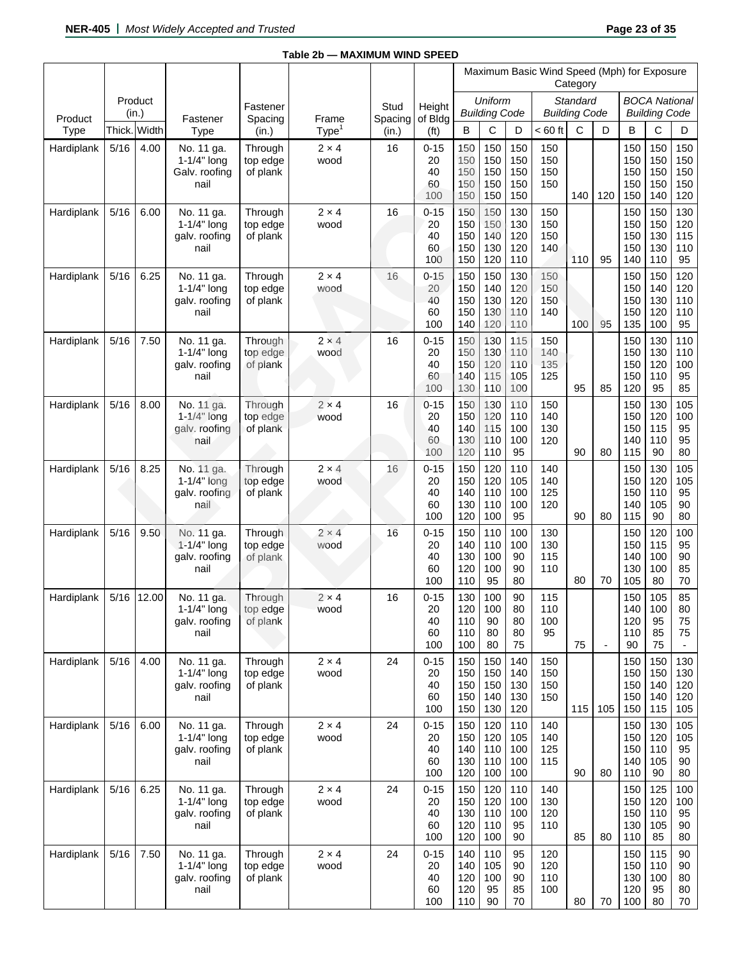|                 |        |                  |                                                         |                                 |                            |                  |                                   |                                 |                                 |                                 | Maximum Basic Wind Speed (Mph) for Exposure | Category                         |                          |                                 |                                              |                                        |
|-----------------|--------|------------------|---------------------------------------------------------|---------------------------------|----------------------------|------------------|-----------------------------------|---------------------------------|---------------------------------|---------------------------------|---------------------------------------------|----------------------------------|--------------------------|---------------------------------|----------------------------------------------|----------------------------------------|
|                 |        | Product<br>(in.) |                                                         | Fastener                        |                            | Stud             | Height                            |                                 | Uniform<br><b>Building Code</b> |                                 |                                             | Standard<br><b>Building Code</b> |                          |                                 | <b>BOCA National</b><br><b>Building Code</b> |                                        |
| Product<br>Type |        | Thick. Width     | Fastener<br>Type                                        | Spacing<br>(in.)                | Frame<br>Type <sup>1</sup> | Spacing<br>(in.) | of Bldg<br>(f <sup>t</sup> )      | B                               | C                               | D                               | $< 60$ ft                                   | C                                | D                        | B                               | C                                            | D                                      |
| Hardiplank      | 5/16   | 4.00             | No. 11 ga.<br>$1-1/4"$ long<br>Galv. roofing<br>nail    | Through<br>top edge<br>of plank | $2 \times 4$<br>wood       | 16               | $0 - 15$<br>20<br>40<br>60<br>100 | 150<br>150<br>150<br>150<br>150 | 150<br>150<br>150<br>150<br>150 | 150<br>150<br>150<br>150<br>150 | 150<br>150<br>150<br>150                    | 140                              | 120                      | 150<br>150<br>150<br>150<br>150 | 150<br>150<br>150<br>150<br>140              | 150<br>150<br>150<br>150<br>120        |
| Hardiplank      | 5/16   | 6.00             | No. 11 ga.<br>$1-1/4"$ long<br>galv. roofing<br>nail    | Through<br>top edge<br>of plank | $2 \times 4$<br>wood       | 16               | $0 - 15$<br>20<br>40<br>60<br>100 | 150<br>150<br>150<br>150<br>150 | 150<br>150<br>140<br>130<br>120 | 130<br>130<br>120<br>120<br>110 | 150<br>150<br>150<br>140                    | 110                              | 95                       | 150<br>150<br>150<br>150<br>140 | 150<br>150<br>130<br>130<br>110              | 130<br>120<br>115<br>110<br>95         |
| Hardiplank      | 5/16   | 6.25             | No. 11 ga.<br>$1-1/4"$ long<br>galv. roofing<br>nail    | Through<br>top edge<br>of plank | $2 \times 4$<br>wood       | 16               | $0 - 15$<br>20<br>40<br>60<br>100 | 150<br>150<br>150<br>150<br>140 | 150<br>140<br>130<br>130<br>120 | 130<br>120<br>120<br>110<br>110 | 150<br>150<br>150<br>140                    | 100                              | 95                       | 150<br>150<br>150<br>150<br>135 | 150<br>140<br>130<br>120<br>100              | 120<br>120<br>110<br>110<br>95         |
| Hardiplank      | 5/16   | 7.50             | No. 11 ga.<br>$1-1/4"$ long<br>galv. roofing<br>nail    | Through<br>top edge<br>of plank | $2 \times 4$<br>wood       | 16               | $0 - 15$<br>20<br>40<br>60<br>100 | 150<br>150<br>150<br>140<br>130 | 130<br>130<br>120<br>115<br>110 | 115<br>110<br>110<br>105<br>100 | 150<br>140<br>135<br>125                    | 95                               | 85                       | 150<br>150<br>150<br>150<br>120 | 130<br>130<br>120<br>110<br>95               | 110<br>110<br>100<br>95<br>85          |
| Hardiplank      | 5/16   | 8.00             | No. 11 ga.<br>$1-1/4$ " long<br>galv. roofing<br>nail   | Through<br>top edge<br>of plank | $2 \times 4$<br>wood       | 16               | $0 - 15$<br>20<br>40<br>60<br>100 | 150<br>150<br>140<br>130<br>120 | 130<br>120<br>115<br>110<br>110 | 110<br>110<br>100<br>100<br>95  | 150<br>140<br>130<br>120                    | 90                               | 80                       | 150<br>150<br>150<br>140<br>115 | 130<br>120<br>115<br>110<br>90               | 105<br>100<br>95<br>95<br>80           |
| Hardiplank      | $5/16$ | 8.25             | No. 11 ga.<br>$1-1/4"$ long<br>galv. roofing<br>nail    | Through<br>top edge<br>of plank | $2 \times 4$<br>wood       | 16               | $0 - 15$<br>20<br>40<br>60<br>100 | 150<br>150<br>140<br>130<br>120 | 120<br>120<br>110<br>110<br>100 | 110<br>105<br>100<br>100<br>95  | 140<br>140<br>125<br>120                    | 90                               | 80                       | 150<br>150<br>150<br>140<br>115 | 130<br>120<br>110<br>105<br>90               | 105<br>105<br>95<br>90<br>80           |
| Hardiplank      | 5/16   | 9.50             | No. 11 ga.<br>$1 - 1/4$ " long<br>galv. roofing<br>nail | Through<br>top edge<br>of plank | $2 \times 4$<br>wood       | 16               | $0 - 15$<br>20<br>40<br>60<br>100 | 150<br>140<br>130<br>120<br>110 | 110<br>110<br>100<br>100<br>95  | 100<br>100<br>90<br>90<br>80    | 130<br>130<br>115<br>110                    | 80                               | 70                       | 150<br>150<br>140<br>130<br>105 | 120<br>115<br>100<br>100<br>80               | 100<br>95<br>90<br>85<br>70            |
| Hardiplank      | 5/16   | 12.00            | No. 11 ga.<br>1-1/4" $long$<br>galv. roofing<br>nail    | Through<br>top edge<br>of plank | $2 \times 4$<br>wood       | 16               | $0 - 15$<br>20<br>40<br>60<br>100 | 130<br>120<br>110<br>110<br>100 | 100<br>100<br>90<br>80<br>80    | 90<br>80<br>80<br>80<br>75      | 115<br>110<br>100<br>95                     | 75                               | $\overline{\phantom{a}}$ | 150<br>140<br>120<br>110<br>90  | 105<br>100<br>95<br>85<br>75                 | 85<br>80<br>75<br>75<br>$\blacksquare$ |
| Hardiplank      | 5/16   | 4.00             | No. 11 ga.<br>1-1/4" long<br>galv. roofing<br>nail      | Through<br>top edge<br>of plank | $2 \times 4$<br>wood       | 24               | $0 - 15$<br>20<br>40<br>60<br>100 | 150<br>150<br>150<br>150<br>150 | 150<br>150<br>150<br>140<br>130 | 140<br>140<br>130<br>130<br>120 | 150<br>150<br>150<br>150                    | 115                              | 105                      | 150<br>150<br>150<br>150<br>150 | 150<br>150<br>140<br>140<br>115              | 130<br>130<br>120<br>120<br>105        |
| Hardiplank      | $5/16$ | 6.00             | No. 11 ga.<br>1-1/4" long<br>galv. roofing<br>nail      | Through<br>top edge<br>of plank | $2 \times 4$<br>wood       | 24               | $0 - 15$<br>20<br>40<br>60<br>100 | 150<br>150<br>140<br>130<br>120 | 120<br>120<br>110<br>110<br>100 | 110<br>105<br>100<br>100<br>100 | 140<br>140<br>125<br>115                    | 90                               | 80                       | 150<br>150<br>150<br>140<br>110 | 130<br>120<br>110<br>105<br>90               | 105<br>105<br>95<br>90<br>80           |
| Hardiplank      | $5/16$ | 6.25             | No. 11 ga.<br>1-1/4" long<br>galv. roofing<br>nail      | Through<br>top edge<br>of plank | $2 \times 4$<br>wood       | 24               | $0 - 15$<br>20<br>40<br>60<br>100 | 150<br>150<br>130<br>120<br>120 | 120<br>120<br>110<br>110<br>100 | 110<br>100<br>100<br>95<br>90   | 140<br>130<br>120<br>110                    | 85                               | 80                       | 150<br>150<br>150<br>130<br>110 | 125<br>120<br>110<br>105<br>85               | 100<br>100<br>95<br>90<br>80           |
| Hardiplank      | 5/16   | 7.50             | No. 11 ga.<br>$1-1/4"$ long<br>galv. roofing<br>nail    | Through<br>top edge<br>of plank | $2 \times 4$<br>wood       | 24               | $0 - 15$<br>20<br>40<br>60<br>100 | 140<br>140<br>120<br>120<br>110 | 110<br>105<br>100<br>95<br>90   | 95<br>90<br>90<br>85<br>70      | 120<br>120<br>110<br>100                    | 80                               | 70                       | 150<br>150<br>130<br>120<br>100 | 115<br>110<br>100<br>95<br>80                | 90<br>90<br>80<br>80<br>70             |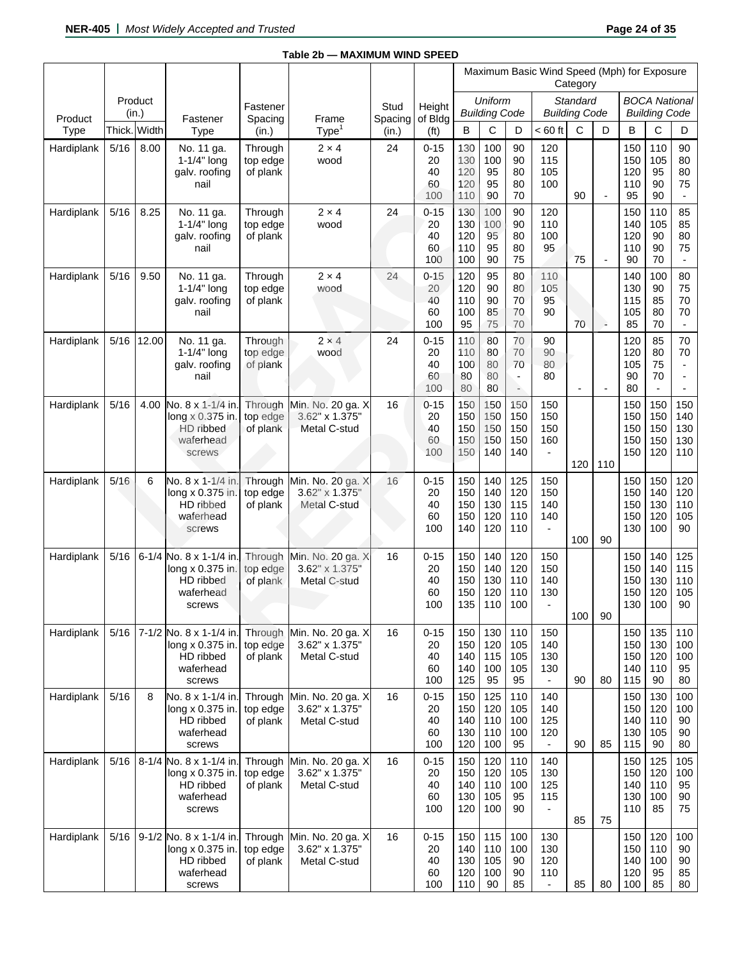|            |        |                  |                                                                                 |                                 |                                                     |                 |                                   |                                 |                                 |                                                 | Maximum Basic Wind Speed (Mph) for Exposure          | Category                         |                          |                                 |                                              |                                        |
|------------|--------|------------------|---------------------------------------------------------------------------------|---------------------------------|-----------------------------------------------------|-----------------|-----------------------------------|---------------------------------|---------------------------------|-------------------------------------------------|------------------------------------------------------|----------------------------------|--------------------------|---------------------------------|----------------------------------------------|----------------------------------------|
| Product    |        | Product<br>(in.) | Fastener                                                                        | Fastener<br>Spacing             | Frame                                               | Stud<br>Spacing | Height<br>of Bldg                 |                                 | Uniform<br><b>Building Code</b> |                                                 |                                                      | Standard<br><b>Building Code</b> |                          |                                 | <b>BOCA National</b><br><b>Building Code</b> |                                        |
| Type       | Thick. | Width            | Type                                                                            | (in.)                           | Type <sup>1</sup>                                   | (in.)           | (f <sup>t</sup> )                 | B                               | C                               | D                                               | $< 60$ ft                                            | $\mathbf C$                      | D                        | B                               | C                                            | D                                      |
| Hardiplank | 5/16   | 8.00             | No. 11 ga.<br>1-1/4" long<br>galv. roofing<br>nail                              | Through<br>top edge<br>of plank | $2 \times 4$<br>wood                                | 24              | $0 - 15$<br>20<br>40<br>60<br>100 | 130<br>130<br>120<br>120<br>110 | 100<br>100<br>95<br>95<br>90    | 90<br>90<br>80<br>80<br>70                      | 120<br>115<br>105<br>100                             | 90                               | $\overline{\phantom{a}}$ | 150<br>150<br>120<br>110<br>95  | 110<br>105<br>95<br>90<br>90                 | 90<br>80<br>80<br>75<br>$\blacksquare$ |
| Hardiplank | 5/16   | 8.25             | No. 11 ga.<br>$1-1/4"$ long<br>galv. roofing<br>nail                            | Through<br>top edge<br>of plank | $2 \times 4$<br>wood                                | 24              | $0 - 15$<br>20<br>40<br>60<br>100 | 130<br>130<br>120<br>110<br>100 | 100<br>100<br>95<br>95<br>90    | 90<br>90<br>80<br>80<br>75                      | 120<br>110<br>100<br>95                              | 75                               | $\overline{\phantom{a}}$ | 150<br>140<br>120<br>110<br>90  | 110<br>105<br>90<br>90<br>70                 | 85<br>85<br>80<br>75<br>$\blacksquare$ |
| Hardiplank | 5/16   | 9.50             | No. 11 ga.<br>$1-1/4"$ long<br>galv. roofing<br>nail                            | Through<br>top edge<br>of plank | $2 \times 4$<br>wood                                | 24              | $0 - 15$<br>20<br>40<br>60<br>100 | 120<br>120<br>110<br>100<br>95  | 95<br>90<br>90<br>85<br>75      | 80<br>80<br>70<br>70<br>70                      | 110<br>105<br>95<br>90                               | 70                               | ÷                        | 140<br>130<br>115<br>105<br>85  | 100<br>90<br>85<br>80<br>70                  | 80<br>75<br>70<br>70<br>$\blacksquare$ |
| Hardiplank | 5/16   | 12.00            | No. 11 ga.<br>$1-1/4"$ long<br>galv. roofing<br>nail                            | Through<br>top edge<br>of plank | $2 \times 4$<br>wood                                | 24              | $0 - 15$<br>20<br>40<br>60<br>100 | 110<br>110<br>100<br>80<br>80   | 80<br>80<br>80<br>80<br>80      | 70<br>70<br>70<br>$\overline{\phantom{a}}$<br>÷ | 90<br>90<br>80<br>80                                 | $\overline{a}$                   | $\overline{a}$           | 120<br>120<br>105<br>90<br>80   | 85<br>80<br>75<br>70<br>$\frac{1}{2}$        | 70<br>70                               |
| Hardiplank | $5/16$ | 4.00             | No. 8 x 1-1/4 in<br>long x 0.375 in.<br>HD ribbed<br>waferhead<br>screws        | Through<br>top edge<br>of plank | Min. No. 20 ga. X<br>3.62" x 1.375"<br>Metal C-stud | 16              | $0 - 15$<br>20<br>40<br>60<br>100 | 150<br>150<br>150<br>150<br>150 | 150<br>150<br>150<br>150<br>140 | 150<br>150<br>150<br>150<br>140                 | 150<br>150<br>150<br>160                             | 120                              | 110                      | 150<br>150<br>150<br>150<br>150 | 150<br>150<br>150<br>150<br>120              | 150<br>140<br>130<br>130<br>110        |
| Hardiplank | 5/16   | 6                | No. 8 x 1-1/4 in<br>long x 0.375 in.<br>HD ribbed<br>waferhead<br>screws        | Through<br>top edge<br>of plank | Min. No. 20 ga. X<br>3.62" x 1.375"<br>Metal C-stud | 16              | $0 - 15$<br>20<br>40<br>60<br>100 | 150<br>150<br>150<br>150<br>140 | 140<br>140<br>130<br>120<br>120 | 125<br>120<br>115<br>110<br>110                 | 150<br>150<br>140<br>140                             | 100                              | 90                       | 150<br>150<br>150<br>150<br>130 | 150<br>140<br>130<br>120<br>100              | 120<br>120<br>110<br>105<br>90         |
| Hardiplank | 5/16   | $6 - 1/4$        | No. 8 x 1-1/4 in<br>long x 0.375 in.<br>HD ribbed<br>waferhead<br>screws        | Through<br>top edge<br>of plank | Min. No. 20 ga. X<br>3.62" x 1.375"<br>Metal C-stud | 16              | $0 - 15$<br>20<br>40<br>60<br>100 | 150<br>150<br>150<br>150<br>135 | 140<br>140<br>130<br>120<br>110 | 120<br>120<br>110<br>110<br>100                 | 150<br>150<br>140<br>130                             | 100                              | 90                       | 150<br>150<br>150<br>150<br>130 | 140<br>140<br>130<br>120<br>100              | 125<br>115<br>110<br>105<br>90         |
| Hardiplank | 5/16   |                  | 7-1/2 No. 8 x 1-1/4 in.<br>long x 0.375 in.<br>HD ribbed<br>waferhead<br>screws | Through<br>top edge<br>of plank | Min. No. 20 ga. X<br>3.62" x 1.375"<br>Metal C-stud | 16              | $0 - 15$<br>20<br>40<br>60<br>100 | 150<br>150<br>140<br>140<br>125 | 130<br>120<br>115<br>100<br>95  | 110<br>105<br>105<br>105<br>95                  | 150<br>140<br>130<br>130                             | 90                               | 80                       | 150<br>150<br>150<br>140<br>115 | 135<br>130<br>120<br>110<br>90               | 110<br>100<br>100<br>95<br>80          |
| Hardiplank | 5/16   | 8                | No. 8 x 1-1/4 in.<br>long x 0.375 in.<br>HD ribbed<br>waferhead<br>screws       | Through<br>top edge<br>of plank | Min. No. 20 ga. X<br>3.62" x 1.375"<br>Metal C-stud | 16              | $0 - 15$<br>20<br>40<br>60<br>100 | 150<br>150<br>140<br>130<br>120 | 125<br>120<br>110<br>110<br>100 | 110<br>105<br>100<br>100<br>95                  | 140<br>140<br>125<br>120                             | 90                               | 85                       | 150<br>150<br>140<br>130<br>115 | 130<br>120<br>110<br>105<br>90               | 100<br>100<br>90<br>90<br>80           |
| Hardiplank | $5/16$ |                  | 8-1/4 No. 8 x 1-1/4 in<br>long x 0.375 in.<br>HD ribbed<br>waferhead<br>screws  | Through<br>top edge<br>of plank | Min. No. 20 ga. X<br>3.62" x 1.375"<br>Metal C-stud | 16              | $0 - 15$<br>20<br>40<br>60<br>100 | 150<br>150<br>140<br>130<br>120 | 120<br>120<br>110<br>105<br>100 | 110<br>105<br>100<br>95<br>90                   | 140<br>130<br>125<br>115                             | 85                               | 75                       | 150<br>150<br>140<br>130<br>110 | 125<br>120<br>110<br>100<br>85               | 105<br>100<br>95<br>90<br>75           |
| Hardiplank | 5/16   |                  | 9-1/2 No. 8 x 1-1/4 in<br>long x 0.375 in.<br>HD ribbed<br>waferhead<br>screws  | Through<br>top edge<br>of plank | Min. No. 20 ga. X<br>3.62" x 1.375"<br>Metal C-stud | 16              | $0 - 15$<br>20<br>40<br>60<br>100 | 150<br>140<br>130<br>120<br>110 | 115<br>110<br>105<br>100<br>90  | 100<br>100<br>90<br>90<br>85                    | 130<br>130<br>120<br>110<br>$\overline{\phantom{a}}$ | 85                               | 80                       | 150<br>150<br>140<br>120<br>100 | 120<br>110<br>100<br>95<br>85                | 100<br>90<br>90<br>85<br>80            |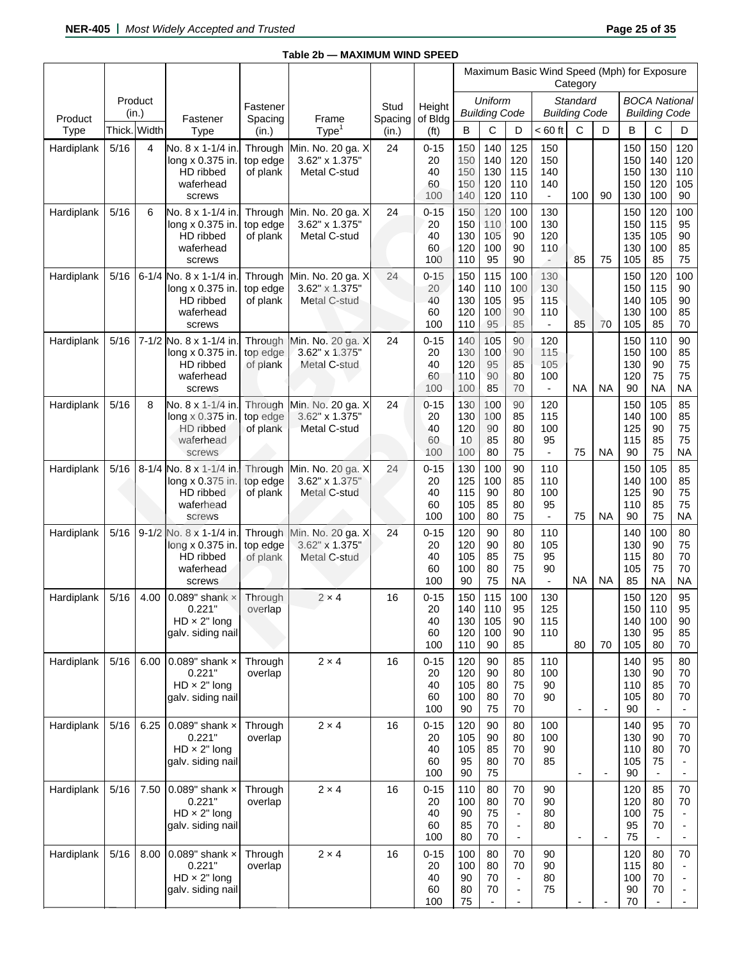|                 |        |                  |                                                                                |                                 |                                                     |                  |                                   | Maximum Basic Wind Speed (Mph) for Exposure |                                 |                                                                                              |                                                      | Category                         |                          |                                 |                                                  |                                      |
|-----------------|--------|------------------|--------------------------------------------------------------------------------|---------------------------------|-----------------------------------------------------|------------------|-----------------------------------|---------------------------------------------|---------------------------------|----------------------------------------------------------------------------------------------|------------------------------------------------------|----------------------------------|--------------------------|---------------------------------|--------------------------------------------------|--------------------------------------|
|                 |        | Product<br>(in.) |                                                                                | Fastener                        |                                                     | Stud             | Height                            |                                             | Uniform<br><b>Building Code</b> |                                                                                              |                                                      | Standard<br><b>Building Code</b> |                          |                                 | <b>BOCA National</b><br><b>Building Code</b>     |                                      |
| Product<br>Type |        | Thick. Width     | Fastener<br>Type                                                               | Spacing<br>(in.)                | Frame<br>Type <sup>1</sup>                          | Spacing<br>(in.) | of Bldg<br>(f <sup>t</sup> )      | в                                           | С                               | D                                                                                            | $< 60$ ft                                            | C                                | D                        | B                               | C                                                | D                                    |
| Hardiplank      | 5/16   | 4                | No. 8 x 1-1/4 in<br>long x 0.375 in.<br>HD ribbed<br>waferhead<br>screws       | Through<br>top edge<br>of plank | Min. No. 20 ga. X<br>3.62" x 1.375"<br>Metal C-stud | 24               | $0 - 15$<br>20<br>40<br>60<br>100 | 150<br>150<br>150<br>150<br>140             | 140<br>140<br>130<br>120<br>120 | 125<br>120<br>115<br>110<br>110                                                              | 150<br>150<br>140<br>140<br>$\overline{\phantom{a}}$ | 100                              | 90                       | 150<br>150<br>150<br>150<br>130 | 150<br>140<br>130<br>120<br>100                  | 120<br>120<br>110<br>105<br>90       |
| Hardiplank      | 5/16   | 6                | No. 8 x 1-1/4 in<br>long x 0.375 in.<br>HD ribbed<br>waferhead<br>screws       | Through<br>top edge<br>of plank | Min. No. 20 ga. X<br>3.62" x 1.375"<br>Metal C-stud | 24               | $0 - 15$<br>20<br>40<br>60<br>100 | 150<br>150<br>130<br>120<br>110             | 120<br>110<br>105<br>100<br>95  | 100<br>100<br>90<br>90<br>90                                                                 | 130<br>130<br>120<br>110                             | 85                               | 75                       | 150<br>150<br>135<br>130<br>105 | 120<br>115<br>105<br>100<br>85                   | 100<br>95<br>90<br>85<br>75          |
| Hardiplank      | 5/16   |                  | 6-1/4 No. 8 x 1-1/4 in<br>long x 0.375 in.<br>HD ribbed<br>waferhead<br>screws | Through<br>top edge<br>of plank | Min. No. 20 ga. X<br>3.62" x 1.375"<br>Metal C-stud | 24               | $0 - 15$<br>20<br>40<br>60<br>100 | 150<br>140<br>130<br>120<br>110             | 115<br>110<br>105<br>100<br>95  | 100<br>100<br>95<br>90<br>85                                                                 | 130<br>130<br>115<br>110<br>$\blacksquare$           | 85                               | 70                       | 150<br>150<br>140<br>130<br>105 | 120<br>115<br>105<br>100<br>85                   | 100<br>90<br>90<br>85<br>70          |
| Hardiplank      | 5/16   |                  | 7-1/2 No. 8 x 1-1/4 in<br>long x 0.375 in.<br>HD ribbed<br>waferhead<br>screws | Through<br>top edge<br>of plank | Min. No. 20 ga. X<br>3.62" x 1.375"<br>Metal C-stud | 24               | $0 - 15$<br>20<br>40<br>60<br>100 | 140<br>130<br>120<br>110<br>100             | 105<br>100<br>95<br>90<br>85    | 90<br>90<br>85<br>80<br>70                                                                   | 120<br>115<br>105<br>100<br>$\blacksquare$           | <b>NA</b>                        | <b>NA</b>                | 150<br>150<br>130<br>120<br>90  | 110<br>100<br>90<br>75<br><b>NA</b>              | 90<br>85<br>75<br>75<br><b>NA</b>    |
| Hardiplank      | $5/16$ | 8                | No. 8 x 1-1/4 in<br>long x 0.375 in.<br>HD ribbed<br>waferhead<br>screws       | Through<br>top edge<br>of plank | Min. No. 20 ga. X<br>3.62" x 1.375"<br>Metal C-stud | 24               | $0 - 15$<br>20<br>40<br>60<br>100 | 130<br>130<br>120<br>10<br>100              | 100<br>100<br>90<br>85<br>80    | 90<br>85<br>80<br>80<br>75                                                                   | 120<br>115<br>100<br>95<br>$\blacksquare$            | 75                               | <b>NA</b>                | 150<br>140<br>125<br>115<br>90  | 105<br>100<br>90<br>85<br>75                     | 85<br>85<br>75<br>75<br><b>NA</b>    |
| Hardiplank      | 5/16   |                  | 8-1/4 No. 8 x 1-1/4 in<br>long x 0.375 in.<br>HD ribbed<br>waferhead<br>screws | Through<br>top edge<br>of plank | Min. No. 20 ga. X<br>3.62" x 1.375"<br>Metal C-stud | 24               | $0 - 15$<br>20<br>40<br>60<br>100 | 130<br>125<br>115<br>105<br>100             | 100<br>100<br>90<br>85<br>80    | 90<br>85<br>80<br>80<br>75                                                                   | 110<br>110<br>100<br>95<br>$\blacksquare$            | 75                               | <b>NA</b>                | 150<br>140<br>125<br>110<br>90  | 105<br>100<br>90<br>85<br>75                     | 85<br>85<br>75<br>75<br><b>NA</b>    |
| Hardiplank      | 5/16   |                  | 9-1/2 No. 8 x 1-1/4 in<br>long x 0.375 in.<br>HD ribbed<br>waferhead<br>screws | Through<br>top edge<br>of plank | Min. No. 20 ga. X<br>3.62" x 1.375'<br>Metal C-stud | 24               | $0 - 15$<br>20<br>40<br>60<br>100 | 120<br>120<br>105<br>100<br>90              | 90<br>90<br>85<br>80<br>75      | 80<br>80<br>75<br>75<br><b>NA</b>                                                            | 110<br>105<br>95<br>90<br>$\overline{\phantom{a}}$   | <b>NA</b>                        | <b>NA</b>                | 140<br>130<br>115<br>105<br>85  | 100<br>90<br>80<br>75<br><b>NA</b>               | 80<br>75<br>70<br>70<br><b>NA</b>    |
| Hardiplank      | 5/16   | 4.00             | 0.089" shank $\times$<br>0.221<br>$HD \times 2"$ long<br>galv. siding nail     | Through<br>overlap              | $2 \times 4$                                        | 16               | $0 - 15$<br>20<br>40<br>60<br>100 | 150<br>140<br>130<br>120<br>110             | 115<br>110<br>105<br>100<br>90  | 100<br>95<br>90<br>90<br>85                                                                  | 130<br>125<br>115<br>110                             | 80                               | 70                       | 150<br>150<br>140<br>130<br>105 | 120<br>110<br>100<br>95<br>80                    | 95<br>95<br>90<br>85<br>70           |
| Hardiplank      | 5/16   | 6.00             | 0.089" shank $\times$<br>0.221"<br>$HD \times 2"$ long<br>galv. siding nail    | Through<br>overlap              | $2 \times 4$                                        | 16               | $0 - 15$<br>20<br>40<br>60<br>100 | 120<br>120<br>105<br>100<br>90              | 90<br>90<br>80<br>80<br>75      | 85<br>80<br>75<br>70<br>70                                                                   | 110<br>100<br>90<br>90                               | $\overline{\phantom{a}}$         | $\overline{\phantom{a}}$ | 140<br>130<br>110<br>105<br>90  | 95<br>90<br>85<br>80                             | 80<br>70<br>70<br>70                 |
| Hardiplank      | $5/16$ | 6.25             | 0.089" shank $\times$<br>0.221"<br>$HD \times 2"$ long<br>galv. siding nail    | Through<br>overlap              | $2 \times 4$                                        | 16               | $0 - 15$<br>20<br>40<br>60<br>100 | 120<br>105<br>105<br>95<br>90               | 90<br>90<br>85<br>80<br>75      | 80<br>80<br>70<br>70                                                                         | 100<br>100<br>90<br>85                               | $\overline{\phantom{a}}$         |                          | 140<br>130<br>110<br>105<br>90  | 95<br>90<br>80<br>75                             | 70<br>70<br>70                       |
| Hardiplank      | 5/16   | 7.50             | 0.089" shank $\times$<br>0.221"<br>$HD \times 2"$ long<br>galv. siding nail    | Through<br>overlap              | $2 \times 4$                                        | 16               | $0 - 15$<br>20<br>40<br>60<br>100 | 110<br>100<br>90<br>85<br>80                | 80<br>80<br>75<br>70<br>70      | 70<br>70<br>$\overline{\phantom{a}}$<br>$\overline{\phantom{a}}$<br>$\overline{\phantom{a}}$ | 90<br>90<br>80<br>80                                 | $\overline{\phantom{a}}$         | $\overline{\phantom{a}}$ | 120<br>120<br>100<br>95<br>75   | 85<br>80<br>75<br>70<br>$\blacksquare$           | 70<br>70<br>$\overline{\phantom{a}}$ |
| Hardiplank      | 5/16   | 8.00             | 0.089" shank $\times$<br>0.221"<br>$HD \times 2"$ long<br>galv. siding nail    | Through<br>overlap              | $2 \times 4$                                        | 16               | $0 - 15$<br>20<br>40<br>60<br>100 | 100<br>100<br>90<br>80<br>75                | 80<br>80<br>70<br>70            | 70<br>70<br>$\overline{\phantom{a}}$<br>$\blacksquare$<br>$\overline{a}$                     | 90<br>90<br>80<br>75                                 |                                  |                          | 120<br>115<br>100<br>90<br>70   | 80<br>80<br>70<br>70<br>$\overline{\phantom{a}}$ | 70<br>$\overline{\phantom{a}}$       |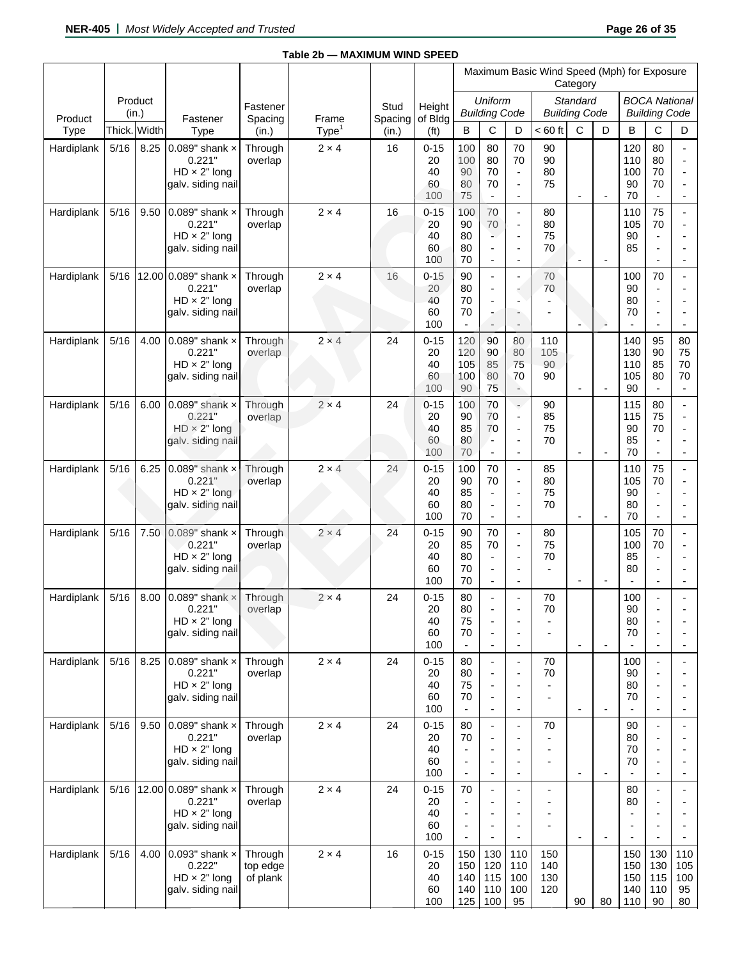|            |        |                  |                                                                                   |                                 |                            |                         |                                   |                                                                                                          |                                                                        |                                                                                                                      | Maximum Basic Wind Speed (Mph) for Exposure | Category                         |                          |                                 |                                                                                              |                                            |
|------------|--------|------------------|-----------------------------------------------------------------------------------|---------------------------------|----------------------------|-------------------------|-----------------------------------|----------------------------------------------------------------------------------------------------------|------------------------------------------------------------------------|----------------------------------------------------------------------------------------------------------------------|---------------------------------------------|----------------------------------|--------------------------|---------------------------------|----------------------------------------------------------------------------------------------|--------------------------------------------|
| Product    |        | Product<br>(in.) |                                                                                   | Fastener                        |                            | Stud<br>Spacing of Bldg | Height                            |                                                                                                          | Uniform<br><b>Building Code</b>                                        |                                                                                                                      |                                             | Standard<br><b>Building Code</b> |                          |                                 | <b>BOCA National</b><br><b>Building Code</b>                                                 |                                            |
| Type       | Thick. | Width            | Fastener<br>Type                                                                  | Spacing<br>(in.)                | Frame<br>Type <sup>1</sup> | (in.)                   | (f <sub>t</sub> )                 | B                                                                                                        | С                                                                      | D                                                                                                                    | $< 60$ ft                                   | C                                | D                        | B                               | C                                                                                            | D                                          |
| Hardiplank | 5/16   | 8.25             | 0.089" shank $\times$<br>0.221"<br>$HD \times 2"$ long<br>galv. siding nail       | Through<br>overlap              | $2 \times 4$               | 16                      | $0 - 15$<br>20<br>40<br>60<br>100 | 100<br>100<br>90<br>80<br>75                                                                             | 80<br>80<br>70<br>70<br>$\overline{\phantom{a}}$                       | 70<br>70<br>$\blacksquare$<br>÷,<br>$\blacksquare$                                                                   | 90<br>90<br>80<br>75                        | $\overline{\phantom{a}}$         | $\overline{\phantom{a}}$ | 120<br>110<br>100<br>90<br>70   | 80<br>80<br>70<br>70<br>$\overline{\phantom{a}}$                                             | $\overline{\phantom{a}}$                   |
| Hardiplank | 5/16   | 9.50             | 0.089" shank $\times$<br>0.221"<br>$HD \times 2"$ long<br>galv. siding nail       | Through<br>overlap              | $2 \times 4$               | 16                      | $0 - 15$<br>20<br>40<br>60<br>100 | 100<br>90<br>80<br>80<br>70                                                                              | 70<br>70<br>ъ.<br>÷,<br>$\overline{\phantom{a}}$                       | $\mathcal{L}$<br>÷,<br>$\blacksquare$<br>$\blacksquare$<br>$\overline{\phantom{a}}$                                  | 80<br>80<br>75<br>70                        | $\overline{\phantom{a}}$         | $\overline{\phantom{a}}$ | 110<br>105<br>90<br>85          | 75<br>70<br>$\overline{\phantom{a}}$<br>$\overline{\phantom{a}}$<br>$\overline{\phantom{a}}$ | $\overline{\phantom{a}}$                   |
| Hardiplank | 5/16   | 12.00            | 0.089" shank x<br>0.221"<br>$HD \times 2"$ long<br>galv. siding nail              | Through<br>overlap              | $2 \times 4$               | 16                      | $0 - 15$<br>20<br>40<br>60<br>100 | 90<br>80<br>70<br>70<br>$\overline{\phantom{a}}$                                                         | ÷,<br>$\blacksquare$<br>$\overline{a}$<br>$\blacksquare$<br>L,         | ÷,<br>÷<br>$\blacksquare$<br>$\overline{\phantom{a}}$                                                                | 70<br>70                                    | $\overline{\phantom{a}}$         | ۵                        | 100<br>90<br>80<br>70           | 70<br>$\overline{\phantom{a}}$<br>$\overline{a}$<br>÷,                                       |                                            |
| Hardiplank | 5/16   | 4.00             | 0.089" shank $\times$<br>0.221"<br>$HD \times 2"$ long<br>galv. siding nail       | Through<br>overlap              | $2 \times 4$               | 24                      | $0 - 15$<br>20<br>40<br>60<br>100 | 120<br>120<br>105<br>100<br>90                                                                           | 90<br>90<br>85<br>80<br>75                                             | 80<br>80<br>75<br>70<br>$\rightarrow$                                                                                | 110<br>105<br>90<br>90                      | $\overline{a}$                   | $\overline{a}$           | 140<br>130<br>110<br>105<br>90  | 95<br>90<br>85<br>80<br>$\blacksquare$                                                       | 80<br>75<br>70<br>70<br>$\blacksquare$     |
| Hardiplank | 5/16   | 6.00             | 0.089" shank $\times$<br>0.221"<br>$HD \times 2"$ long<br>galv. siding nail       | Through<br>overlap              | $2 \times 4$               | 24                      | $0 - 15$<br>20<br>40<br>60<br>100 | 100<br>90<br>85<br>80<br>70                                                                              | 70<br>70<br>70<br>Ξ.<br>$\overline{\phantom{a}}$                       | ÷<br>$\overline{\phantom{a}}$<br>$\overline{\phantom{a}}$<br>$\blacksquare$<br>$\overline{\phantom{a}}$              | 90<br>85<br>75<br>70                        | $\overline{\phantom{a}}$         |                          | 115<br>115<br>90<br>85<br>70    | 80<br>75<br>70<br>$\blacksquare$                                                             | $\overline{a}$<br>$\overline{\phantom{a}}$ |
| Hardiplank | 5/16   | 6.25             | $0.089"$ shank $\times$<br>0.221"<br>$HD \times 2"$ long<br>galv. siding nail     | Through<br>overlap              | $2 \times 4$               | 24                      | $0 - 15$<br>20<br>40<br>60<br>100 | 100<br>90<br>85<br>80<br>70                                                                              | 70<br>70<br>$\overline{\phantom{a}}$<br>÷,<br>$\overline{\phantom{a}}$ | $\overline{\phantom{a}}$<br>$\overline{\phantom{a}}$<br>$\overline{\phantom{a}}$<br>$\blacksquare$<br>$\blacksquare$ | 85<br>80<br>75<br>70                        | $\overline{\phantom{a}}$         | $\blacksquare$           | 110<br>105<br>90<br>80<br>70    | 75<br>70<br>$\overline{\phantom{a}}$<br>$\overline{a}$<br>$\overline{\phantom{a}}$           | $\overline{a}$<br>$\overline{\phantom{a}}$ |
| Hardiplank | 5/16   | 7.50             | $0.089"$ shank $\times$<br>0.221"<br>$HD \times 2"$ long<br>galv. siding nail     | Through<br>overlap              | $2 \times 4$               | 24                      | $0 - 15$<br>20<br>40<br>60<br>100 | 90<br>85<br>80<br>70<br>70                                                                               | 70<br>70<br>$\overline{\phantom{a}}$<br>$\blacksquare$<br>÷,           | $\overline{\phantom{a}}$<br>$\overline{\phantom{a}}$<br>$\overline{a}$<br>$\blacksquare$<br>$\overline{\phantom{a}}$ | 80<br>75<br>70                              | $\overline{\phantom{a}}$         | $\overline{\phantom{a}}$ | 105<br>100<br>85<br>80          | 70<br>70<br>$\blacksquare$<br>$\blacksquare$<br>$\overline{\phantom{a}}$                     | ÷,<br>÷                                    |
| Hardiplank | 5/16   | 8.00             | 0.089" shank $\times$<br>0.221"<br>$HD \times 2"$ long<br>galv. siding nail       | Through<br>overlap              | $2 \times 4$               | 24                      | $0 - 15$<br>20<br>40<br>60<br>100 | 80<br>80<br>75<br>70<br>$\overline{\phantom{a}}$                                                         | $\overline{a}$<br>÷,<br>$\overline{a}$                                 | $\overline{\phantom{a}}$<br>÷,<br>$\overline{\phantom{a}}$<br>$\overline{a}$                                         | 70<br>70                                    | $\overline{\phantom{a}}$         | $\overline{\phantom{a}}$ | 100<br>90<br>80<br>70           | $\overline{a}$<br>$\blacksquare$                                                             |                                            |
| Hardiplank | $5/16$ | 8.25             | 0.089" shank $\times$<br>0.221"<br>$HD \times 2"$ long<br>galv. siding nail       | Through<br>overlap              | $2 \times 4$               | 24                      | $0 - 15$<br>20<br>40<br>60<br>100 | 80<br>80<br>75<br>70<br>$\overline{\phantom{a}}$                                                         | ÷,<br>$\overline{a}$<br>٠                                              | $\overline{\phantom{a}}$<br>÷<br>$\blacksquare$<br>$\overline{\phantom{a}}$<br>$\blacksquare$                        | 70<br>70                                    | $\blacksquare$                   | $\overline{\phantom{a}}$ | 100<br>90<br>80<br>70           | $\overline{\phantom{a}}$<br>$\overline{a}$<br>$\overline{\phantom{a}}$                       | $\overline{a}$                             |
| Hardiplank | 5/16   | 9.50             | 0.089" shank $\times$<br>0.221"<br>$HD \times 2"$ long<br>galv. siding nail       | Through<br>overlap              | $2 \times 4$               | 24                      | $0 - 15$<br>20<br>40<br>60<br>100 | 80<br>70<br>$\blacksquare$<br>$\overline{\phantom{a}}$<br>$\overline{\phantom{a}}$                       | $\overline{a}$                                                         | $\overline{\phantom{a}}$<br>$\overline{\phantom{0}}$<br>$\blacksquare$<br>$\overline{a}$                             | 70                                          | $\overline{\phantom{a}}$         | $\overline{\phantom{a}}$ | 90<br>80<br>70<br>70            | $\overline{\phantom{a}}$<br>$\overline{a}$<br>$\overline{\phantom{a}}$<br>$\overline{a}$     | $\overline{\phantom{m}}$                   |
| Hardiplank | 5/16   |                  | 12.00 0.089" shank $\times$<br>0.221"<br>$HD \times 2"$ long<br>galv. siding nail | Through<br>overlap              | $2\times 4$                | 24                      | $0 - 15$<br>20<br>40<br>60<br>100 | 70<br>$\overline{\phantom{a}}$<br>$\overline{a}$<br>$\overline{\phantom{a}}$<br>$\overline{\phantom{a}}$ |                                                                        | $\overline{a}$<br>$\overline{a}$<br>$\overline{a}$<br>$\overline{\phantom{a}}$                                       |                                             | $\overline{\phantom{a}}$         |                          | 80<br>80                        | $\overline{a}$<br>$\overline{a}$                                                             |                                            |
| Hardiplank | 5/16   | 4.00             | 0.093" shank $\times$<br>0.222"<br>$HD \times 2"$ long<br>galv. siding nail       | Through<br>top edge<br>of plank | $2 \times 4$               | 16                      | $0 - 15$<br>20<br>40<br>60<br>100 | 150<br>150<br>140<br>140<br>125                                                                          | 130<br>120<br>115<br>110<br>100                                        | 110<br>110<br>100<br>100<br>95                                                                                       | 150<br>140<br>130<br>120                    | 90                               | 80                       | 150<br>150<br>150<br>140<br>110 | 130<br>130<br>115<br>110<br>90                                                               | 110<br>105<br>100<br>95<br>80              |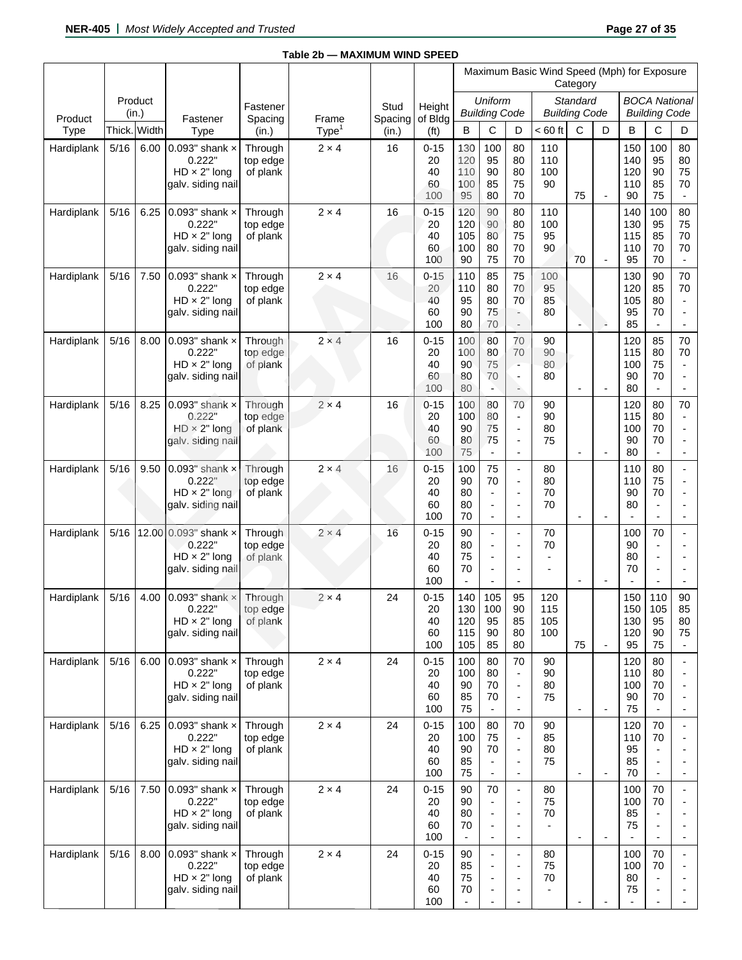|                 |       |              |                                                                               |                                 |                            |                  |                                   |                                                  |                                                                              |                                                                                                                                | Maximum Basic Wind Speed (Mph) for Exposure | Category                         |                          |                                                    |                                                                                              |                                                              |
|-----------------|-------|--------------|-------------------------------------------------------------------------------|---------------------------------|----------------------------|------------------|-----------------------------------|--------------------------------------------------|------------------------------------------------------------------------------|--------------------------------------------------------------------------------------------------------------------------------|---------------------------------------------|----------------------------------|--------------------------|----------------------------------------------------|----------------------------------------------------------------------------------------------|--------------------------------------------------------------|
|                 | (in.) | Product      |                                                                               | Fastener                        |                            | Stud             | Height                            |                                                  | Uniform<br><b>Building Code</b>                                              |                                                                                                                                |                                             | Standard<br><b>Building Code</b> |                          |                                                    | <b>BOCA National</b><br><b>Building Code</b>                                                 |                                                              |
| Product<br>Type |       | Thick. Width | Fastener<br>Type                                                              | Spacing<br>(in.)                | Frame<br>Type <sup>1</sup> | Spacing<br>(in.) | of Bldg<br>(f <sup>t</sup> )      | B                                                | С                                                                            | D                                                                                                                              | $< 60$ ft                                   | C                                | D                        | B                                                  | C                                                                                            | D                                                            |
| Hardiplank      | 5/16  | 6.00         | 0.093" shank $\times$<br>0.222"<br>$HD \times 2"$ long<br>galv. siding nail   | Through<br>top edge<br>of plank | $2 \times 4$               | 16               | $0 - 15$<br>20<br>40<br>60<br>100 | 130<br>120<br>110<br>100<br>95                   | 100<br>95<br>90<br>85<br>80                                                  | 80<br>80<br>80<br>75<br>70                                                                                                     | 110<br>110<br>100<br>90                     | 75                               | $\blacksquare$           | 150<br>140<br>120<br>110<br>90                     | 100<br>95<br>90<br>85<br>75                                                                  | 80<br>80<br>75<br>70<br>$\overline{\phantom{a}}$             |
| Hardiplank      | 5/16  | 6.25         | 0.093" shank $\times$<br>0.222"<br>$HD \times 2"$ long<br>galv. siding nail   | Through<br>top edge<br>of plank | $2 \times 4$               | 16               | $0 - 15$<br>20<br>40<br>60<br>100 | 120<br>120<br>105<br>100<br>90                   | 90<br>90<br>80<br>80<br>75                                                   | 80<br>80<br>75<br>70<br>70                                                                                                     | 110<br>100<br>95<br>90                      | 70                               | $\overline{\phantom{a}}$ | 140<br>130<br>115<br>110<br>95                     | 100<br>95<br>85<br>70<br>70                                                                  | 80<br>75<br>70<br>70                                         |
| Hardiplank      | 5/16  | 7.50         | 0.093" shank $\times$<br>0.222"<br>$HD \times 2"$ long<br>galv. siding nail   | Through<br>top edge<br>of plank | $2 \times 4$               | 16               | $0 - 15$<br>20<br>40<br>60<br>100 | 110<br>110<br>95<br>90<br>80                     | 85<br>80<br>80<br>75<br>70                                                   | 75<br>70<br>70<br>$\overline{\phantom{a}}$<br>$\overline{\phantom{a}}$                                                         | 100<br>95<br>85<br>80                       | $\overline{a}$                   | à                        | 130<br>120<br>105<br>95<br>85                      | 90<br>85<br>80<br>70<br>$\overline{\phantom{a}}$                                             | 70<br>70<br>$\overline{\phantom{a}}$                         |
| Hardiplank      | 5/16  | 8.00         | 0.093" shank $\times$<br>0.222"<br>$HD \times 2"$ long<br>galv. siding nail   | Through<br>top edge<br>of plank | $2 \times 4$               | 16               | $0 - 15$<br>20<br>40<br>60<br>100 | 100<br>100<br>90<br>80<br>80                     | 80<br>80<br>75<br>70<br>$\overline{\phantom{a}}$                             | 70<br>70<br>$\blacksquare$<br>$\overline{\phantom{a}}$<br>$\hat{\phantom{a}}$                                                  | 90<br>90<br>80<br>80                        | $\overline{\phantom{a}}$         | $\blacksquare$           | 120<br>115<br>100<br>90<br>80                      | 85<br>80<br>75<br>70<br>$\blacksquare$                                                       | 70<br>70<br>$\blacksquare$<br>$\overline{\phantom{a}}$<br>L, |
| Hardiplank      | 5/16  | 8.25         | 0.093" shank $\times$<br>0.222"<br>$HD \times 2"$ long<br>galv. siding nail   | Through<br>top edge<br>of plank | $2 \times 4$               | 16               | $0 - 15$<br>20<br>40<br>60<br>100 | 100<br>100<br>90<br>80<br>75                     | 80<br>80<br>75<br>75<br>$\blacksquare$                                       | 70<br>$\overline{\phantom{a}}$<br>$\overline{\phantom{a}}$<br>$\overline{\phantom{a}}$<br>$\overline{\phantom{a}}$             | 90<br>90<br>80<br>75                        | $\overline{\phantom{a}}$         |                          | 120<br>115<br>100<br>90<br>80                      | 80<br>80<br>70<br>70<br>$\blacksquare$                                                       | 70<br>÷,<br>÷                                                |
| Hardiplank      | 5/16  | 9.50         | $0.093"$ shank $\times$<br>0.222"<br>$HD \times 2"$ long<br>galv. siding nail | Through<br>top edge<br>of plank | $2 \times 4$               | 16               | $0 - 15$<br>20<br>40<br>60<br>100 | 100<br>90<br>80<br>80<br>70                      | 75<br>70<br>$\blacksquare$<br>$\overline{\phantom{a}}$<br>$\blacksquare$     | $\blacksquare$<br>$\overline{\phantom{a}}$<br>$\overline{\phantom{a}}$<br>$\overline{\phantom{a}}$<br>$\blacksquare$           | 80<br>80<br>70<br>70                        | $\overline{\phantom{a}}$         | $\overline{\phantom{a}}$ | 110<br>110<br>90<br>80<br>$\overline{\phantom{a}}$ | 80<br>75<br>70<br>$\blacksquare$<br>$\overline{\phantom{a}}$                                 | L,<br>$\blacksquare$                                         |
| Hardiplank      | 5/16  | 12.00        | $0.093"$ shank $\times$<br>0.222"<br>$HD \times 2"$ long<br>galv. siding nail | Through<br>top edge<br>of plank | $2 \times 4$               | 16               | $0 - 15$<br>20<br>40<br>60<br>100 | 90<br>80<br>75<br>70<br>$\blacksquare$           | ÷,<br>$\overline{\phantom{a}}$<br>$\blacksquare$<br>$\overline{\phantom{a}}$ | $\overline{\phantom{a}}$<br>$\overline{\phantom{a}}$<br>$\overline{a}$<br>$\overline{\phantom{a}}$<br>$\overline{\phantom{a}}$ | 70<br>70                                    | $\overline{\phantom{a}}$         | $\overline{\phantom{a}}$ | 100<br>90<br>80<br>70                              | 70<br>$\overline{\phantom{a}}$<br>$\overline{a}$<br>$\overline{a}$                           | $\overline{\phantom{a}}$                                     |
| Hardiplank      | 5/16  | 4.00         | 0.093" shank $\times$<br>0.222"<br>$HD \times 2"$ long<br>galv. siding nail   | Through<br>top edge<br>of plank | $2 \times 4$               | 24               | $0 - 15$<br>20<br>40<br>60<br>100 | 140<br>130<br>120<br>115<br>105                  | 105<br>100<br>95<br>90<br>85                                                 | 95<br>90<br>85<br>80<br>80                                                                                                     | 120<br>115<br>105<br>100                    | 75                               | $\overline{\phantom{a}}$ | 150<br>150<br>130<br>120<br>95                     | 110<br>105<br>95<br>90<br>75                                                                 | 90<br>85<br>80<br>75                                         |
| Hardiplank      | 5/16  | 6.00         | 0.093" shank $\times$<br>0.222"<br>$HD \times 2"$ long<br>galv. siding nail   | Through<br>top edge<br>of plank | $2 \times 4$               | 24               | $0 - 15$<br>20<br>40<br>60<br>100 | 100<br>100<br>90<br>85<br>75                     | 80<br>80<br>70<br>70<br>$\overline{\phantom{a}}$                             | 70<br>$\overline{\phantom{a}}$<br>$\overline{\phantom{a}}$<br>$\overline{\phantom{a}}$                                         | 90<br>90<br>80<br>75                        | $\overline{\phantom{a}}$         | $\overline{\phantom{a}}$ | 120<br>110<br>100<br>90<br>75                      | 80<br>80<br>70<br>70<br>$\blacksquare$                                                       | $\overline{\phantom{a}}$<br>$\overline{a}$                   |
| Hardiplank      | 5/16  | 6.25         | 0.093" shank $\times$<br>0.222"<br>$HD \times 2"$ long<br>galv. siding nail   | Through<br>top edge<br>of plank | $2 \times 4$               | 24               | $0 - 15$<br>20<br>40<br>60<br>100 | 100<br>100<br>90<br>85<br>75                     | 80<br>75<br>70<br>$\overline{\phantom{a}}$                                   | 70<br>$\overline{\phantom{a}}$<br>$\overline{\phantom{a}}$<br>$\overline{\phantom{a}}$<br>$\blacksquare$                       | 90<br>85<br>80<br>75                        | $\overline{\phantom{a}}$         | $\overline{\phantom{a}}$ | 120<br>110<br>95<br>85<br>70                       | 70<br>70<br>$\overline{\phantom{a}}$<br>$\overline{a}$<br>$\overline{\phantom{a}}$           | ÷                                                            |
| Hardiplank      | 5/16  | 7.50         | 0.093" shank $\times$<br>0.222"<br>$HD \times 2"$ long<br>galv. siding nail   | Through<br>top edge<br>of plank | $2 \times 4$               | 24               | $0 - 15$<br>20<br>40<br>60<br>100 | 90<br>90<br>80<br>70<br>$\overline{\phantom{a}}$ | 70<br>$\overline{\phantom{a}}$                                               | $\overline{\phantom{a}}$<br>÷<br>$\overline{\phantom{a}}$<br>$\overline{a}$<br>$\overline{\phantom{a}}$                        | 80<br>75<br>70                              | $\overline{\phantom{a}}$         | ÷,                       | 100<br>100<br>85<br>75                             | 70<br>70<br>$\blacksquare$<br>$\overline{a}$<br>$\blacksquare$                               | $\blacksquare$<br>÷                                          |
| Hardiplank      | 5/16  | 8.00         | 0.093" shank $\times$<br>0.222"<br>$HD \times 2"$ long<br>galv. siding nail   | Through<br>top edge<br>of plank | $2 \times 4$               | 24               | $0 - 15$<br>20<br>40<br>60<br>100 | 90<br>85<br>75<br>70<br>$\overline{\phantom{a}}$ | $\overline{\phantom{a}}$                                                     | ÷,<br>$\overline{\phantom{a}}$<br>÷<br>$\blacksquare$                                                                          | 80<br>75<br>70                              |                                  |                          | 100<br>100<br>80<br>75                             | 70<br>70<br>$\overline{\phantom{a}}$<br>$\overline{\phantom{a}}$<br>$\overline{\phantom{a}}$ |                                                              |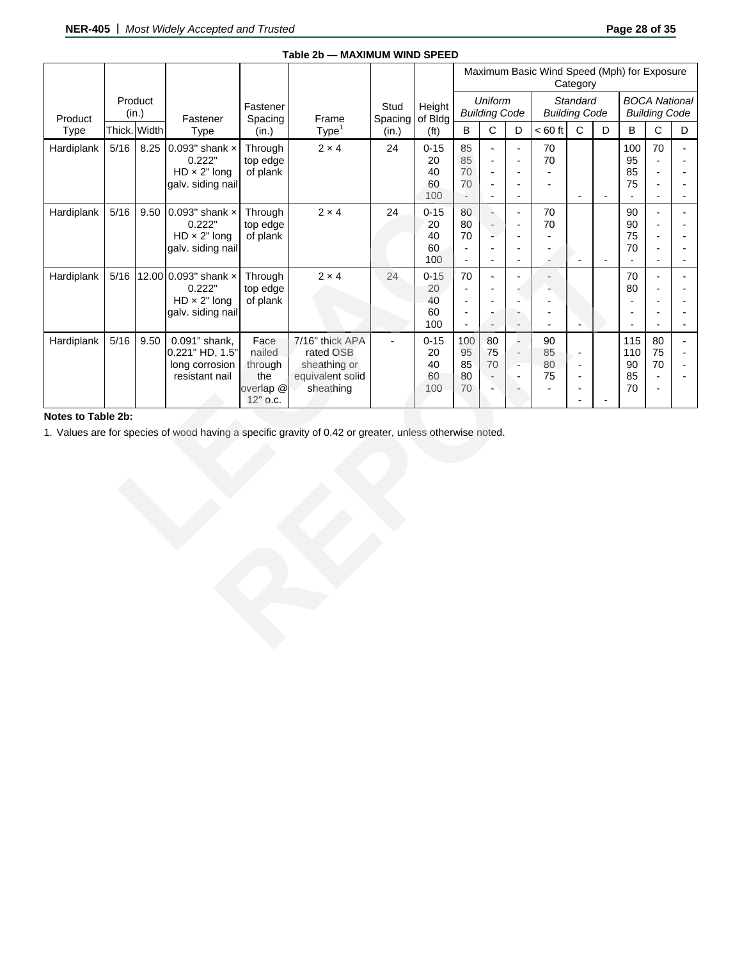|                    |        |                  |                                                                             |                                                                        | Table 2b - MAXIMUM WIND SPEED                                                                           |                 |                                   |                                                                                                          |                                                                                  |                                                                                                         |                                             |                                                                                                              |                          |                                                   |                                                  |                          |
|--------------------|--------|------------------|-----------------------------------------------------------------------------|------------------------------------------------------------------------|---------------------------------------------------------------------------------------------------------|-----------------|-----------------------------------|----------------------------------------------------------------------------------------------------------|----------------------------------------------------------------------------------|---------------------------------------------------------------------------------------------------------|---------------------------------------------|--------------------------------------------------------------------------------------------------------------|--------------------------|---------------------------------------------------|--------------------------------------------------|--------------------------|
|                    |        |                  |                                                                             |                                                                        |                                                                                                         |                 |                                   |                                                                                                          |                                                                                  |                                                                                                         | Maximum Basic Wind Speed (Mph) for Exposure | Category                                                                                                     |                          |                                                   |                                                  |                          |
| Product            |        | Product<br>(in.) | Fastener                                                                    | Fastener<br>Spacing                                                    | Frame                                                                                                   | Stud<br>Spacing | Height<br>of Bldg                 |                                                                                                          | <b>Uniform</b><br><b>Building Code</b>                                           |                                                                                                         | <b>Building Code</b>                        | Standard                                                                                                     |                          |                                                   | <b>BOCA National</b><br><b>Building Code</b>     |                          |
| Type               |        | Thick. Width     | Type                                                                        | (in.)                                                                  | Type <sup>1</sup>                                                                                       | (in.)           | (f <sup>t</sup> )                 | $\sf B$                                                                                                  | C                                                                                | D                                                                                                       | $< 60$ ft                                   | $\mathsf{C}$                                                                                                 | D                        | B                                                 | C                                                | D                        |
| Hardiplank         | $5/16$ | 8.25             | 0.093" shank $\times$<br>0.222"<br>$HD \times 2"$ long<br>galv. siding nail | Through<br>top edge<br>of plank                                        | $2 \times 4$                                                                                            | 24              | $0 - 15$<br>20<br>40<br>60<br>100 | 85<br>85<br>70<br>70<br>$\overline{\phantom{a}}$                                                         | $\overline{a}$<br>÷,<br>÷,<br>÷,<br>$\overline{\phantom{a}}$                     | $\frac{1}{2}$<br>$\overline{\phantom{a}}$<br>L,<br>$\overline{\phantom{m}}$<br>$\overline{\phantom{a}}$ | 70<br>70                                    | $\sim$                                                                                                       | $\overline{\phantom{a}}$ | 100<br>95<br>85<br>75<br>$\overline{\phantom{a}}$ | 70<br>$\overline{a}$<br>$\overline{a}$           | $\overline{a}$           |
| Hardiplank         | $5/16$ | 9.50             | 0.093" shank $\times$<br>0.222"<br>$HD \times 2"$ long<br>galv. siding nail | Through<br>top edge<br>of plank                                        | $2 \times 4$                                                                                            | 24              | $0 - 15$<br>20<br>40<br>60<br>100 | 80<br>80<br>70<br>$\overline{\phantom{a}}$<br>$\blacksquare$                                             | à,<br>$\overline{a}$<br>L.<br>$\overline{\phantom{a}}$                           | $\frac{1}{2}$<br>$\overline{\phantom{a}}$<br>÷,<br>$\overline{\phantom{m}}$<br>$\overline{\phantom{a}}$ | 70<br>70<br>$\overline{a}$<br>÷             | $\overline{\phantom{a}}$                                                                                     | $\overline{\phantom{a}}$ | 90<br>90<br>75<br>70<br>$\blacksquare$            | $\blacksquare$<br>$\blacksquare$                 | $\blacksquare$           |
| Hardiplank         | 5/16   |                  | 12.00 0.093" shank x<br>0.222"<br>$HD \times 2"$ long<br>galv. siding nail  | Through<br>top edge<br>of plank                                        | $2 \times 4$                                                                                            | 24              | $0 - 15$<br>20<br>40<br>60<br>100 | 70<br>$\overline{\phantom{a}}$<br>$\overline{\phantom{a}}$<br>$\overline{\phantom{a}}$<br>$\blacksquare$ | $\overline{\phantom{a}}$<br>$\overline{\phantom{a}}$<br>$\overline{\phantom{a}}$ | $\frac{1}{2}$<br>$\blacksquare$<br>$\overline{\phantom{a}}$<br>$\overline{\phantom{a}}$                 | $\overline{a}$                              | $\overline{\phantom{a}}$                                                                                     |                          | 70<br>80<br>$\overline{a}$<br>$\blacksquare$      | $\overline{a}$                                   | $\overline{\phantom{a}}$ |
| Hardiplank         | $5/16$ | 9.50             | 0.091" shank,<br>0.221" HD, 1.5"<br>long corrosion<br>resistant nail        | Face<br>nailed<br>through<br>the<br>overlap <sup>@</sup><br>$12"$ o.c. | 7/16" thick APA<br>rated OSB<br>sheathing or<br>equivalent solid<br>sheathing                           |                 | $0 - 15$<br>20<br>40<br>60<br>100 | 100<br>95<br>85<br>80<br>$70\,$                                                                          | 80<br>75<br>70                                                                   | ÷.<br>$\overline{\phantom{a}}$<br>$\sim$<br>$\frac{1}{2}$<br>٠                                          | 90<br>85<br>80<br>75                        | $\overline{\phantom{a}}$<br>$\overline{\phantom{a}}$<br>$\overline{\phantom{a}}$<br>$\overline{\phantom{a}}$ |                          | 115<br>110<br>90<br>85<br>$70\,$                  | 80<br>75<br>70<br>$\overline{\phantom{a}}$<br>L, | $\blacksquare$           |
| Notes to Table 2b: |        |                  |                                                                             |                                                                        | 1. Values are for species of wood having a specific gravity of 0.42 or greater, unless otherwise noted. |                 |                                   |                                                                                                          |                                                                                  |                                                                                                         |                                             |                                                                                                              |                          |                                                   |                                                  |                          |

# **Notes to Table 2b:**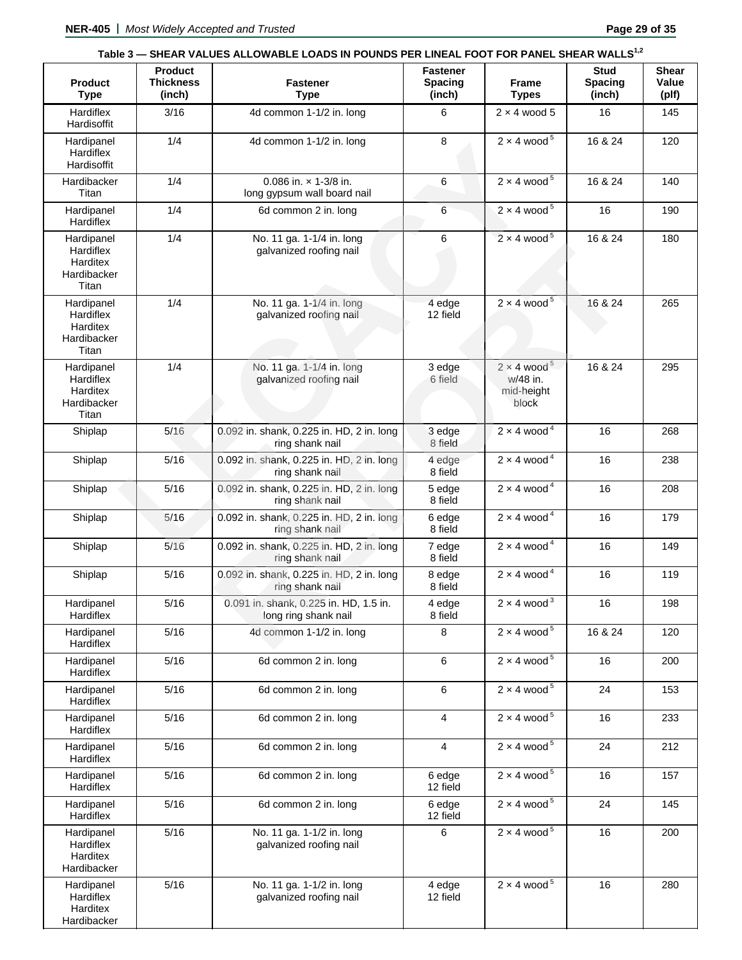| <b>Product</b>                                              | <b>Product</b><br><b>Thickness</b> | <b>Fastener</b>                                                | <b>Fastener</b><br><b>Spacing</b> | <b>Frame</b>                                                      | Stud<br><b>Spacing</b> | <b>Shear</b><br>Value |
|-------------------------------------------------------------|------------------------------------|----------------------------------------------------------------|-----------------------------------|-------------------------------------------------------------------|------------------------|-----------------------|
| <b>Type</b><br>Hardiflex                                    | (inch)<br>3/16                     | <b>Type</b><br>4d common 1-1/2 in. long                        | (inch)<br>6                       | <b>Types</b><br>$2 \times 4$ wood 5                               | (inch)<br>16           | (plf)<br>145          |
| Hardisoffit                                                 |                                    |                                                                |                                   |                                                                   |                        |                       |
| Hardipanel<br>Hardiflex<br>Hardisoffit                      | 1/4                                | 4d common 1-1/2 in. long                                       | 8                                 | $2 \times 4$ wood <sup>5</sup>                                    | 16 & 24                | 120                   |
| Hardibacker<br>Titan                                        | 1/4                                | 0.086 in. x 1-3/8 in.<br>long gypsum wall board nail           | 6                                 | $2 \times 4$ wood <sup>5</sup>                                    | 16 & 24                | 140                   |
| Hardipanel<br>Hardiflex                                     | 1/4                                | 6d common 2 in. long                                           | 6                                 | $2 \times 4$ wood <sup>5</sup>                                    | 16                     | 190                   |
| Hardipanel<br>Hardiflex<br>Harditex<br>Hardibacker<br>Titan | 1/4                                | No. 11 ga. 1-1/4 in. long<br>galvanized roofing nail           | 6                                 | $2 \times 4$ wood <sup>5</sup>                                    | 16 & 24                | 180                   |
| Hardipanel<br>Hardiflex<br>Harditex<br>Hardibacker<br>Titan | 1/4                                | No. 11 ga. 1-1/4 in. long<br>galvanized roofing nail           | 4 edge<br>12 field                | $2 \times 4$ wood <sup>5</sup>                                    | 16 & 24                | 265                   |
| Hardipanel<br>Hardiflex<br>Harditex<br>Hardibacker<br>Titan | 1/4                                | No. 11 ga. 1-1/4 in. long<br>galvanized roofing nail           | 3 edge<br>6 field                 | $2 \times 4$ wood <sup>5</sup><br>w/48 in.<br>mid-height<br>block | 16 & 24                | 295                   |
| Shiplap                                                     | 5/16                               | 0.092 in. shank, 0.225 in. HD, 2 in. long<br>ring shank nail   | 3 edge<br>8 field                 | $2 \times 4$ wood <sup>4</sup>                                    | 16                     | 268                   |
| Shiplap                                                     | 5/16                               | 0.092 in. shank, 0.225 in. HD, 2 in. long<br>ring shank nail   | 4 edge<br>8 field                 | $2 \times 4$ wood <sup>4</sup>                                    | 16                     | 238                   |
| Shiplap                                                     | 5/16                               | 0.092 in. shank, 0.225 in. HD, 2 in. long<br>ring shank nail   | 5 edge<br>8 field                 | $2 \times 4$ wood <sup>4</sup>                                    | 16                     | 208                   |
| Shiplap                                                     | 5/16                               | 0.092 in. shank, 0.225 in. HD, 2 in. long<br>ring shank nail   | 6 edge<br>8 field                 | $2 \times 4$ wood <sup>4</sup>                                    | 16                     | 179                   |
| Shiplap                                                     | 5/16                               | 0.092 in. shank, 0.225 in. HD, 2 in. long<br>ring shank nail   | 7 edge<br>8 field                 | $2 \times 4$ wood <sup>4</sup>                                    | 16                     | 149                   |
| Shiplap                                                     | 5/16                               | 0.092 in. shank, 0.225 in. HD, 2 in. long<br>ring shank nail   | 8 edge<br>8 field                 | $2 \times 4$ wood <sup>4</sup>                                    | 16                     | 119                   |
| Hardipanel<br>Hardiflex                                     | 5/16                               | 0.091 in. shank, 0.225 in. HD, 1.5 in.<br>long ring shank nail | 4 edge<br>8 field                 | $2 \times 4$ wood <sup>3</sup>                                    | 16                     | 198                   |
| Hardipanel<br>Hardiflex                                     | 5/16                               | 4d common 1-1/2 in. long                                       | 8                                 | $2 \times 4$ wood <sup>5</sup>                                    | 16 & 24                | 120                   |
| Hardipanel<br>Hardiflex                                     | 5/16                               | 6d common 2 in. long                                           | 6                                 | $2 \times 4$ wood <sup>5</sup>                                    | 16                     | 200                   |
| Hardipanel<br>Hardiflex                                     | 5/16                               | 6d common 2 in. long                                           | 6                                 | $2 \times 4$ wood <sup>5</sup>                                    | 24                     | 153                   |
| Hardipanel<br>Hardiflex                                     | 5/16                               | 6d common 2 in. long                                           | $\overline{4}$                    | $2 \times 4$ wood <sup>5</sup>                                    | 16                     | 233                   |
| Hardipanel<br>Hardiflex                                     | 5/16                               | 6d common 2 in. long                                           | $\overline{4}$                    | $2 \times 4$ wood <sup>5</sup>                                    | 24                     | 212                   |
| Hardipanel<br>Hardiflex                                     | $5/16$                             | 6d common 2 in. long                                           | 6 edge<br>12 field                | $2 \times 4$ wood <sup>5</sup>                                    | 16                     | 157                   |
| Hardipanel<br>Hardiflex                                     | $5/16$                             | 6d common 2 in. long                                           | 6 edge<br>12 field                | $2 \times 4$ wood <sup>5</sup>                                    | 24                     | 145                   |
| Hardipanel<br>Hardiflex<br>Harditex<br>Hardibacker          | 5/16                               | No. 11 ga. 1-1/2 in. long<br>galvanized roofing nail           | 6                                 | $2 \times 4$ wood <sup>5</sup>                                    | 16                     | 200                   |
| Hardipanel<br>Hardiflex<br>Harditex<br>Hardibacker          | 5/16                               | No. 11 ga. 1-1/2 in. long<br>galvanized roofing nail           | 4 edge<br>12 field                | $2 \times 4$ wood <sup>5</sup>                                    | 16                     | 280                   |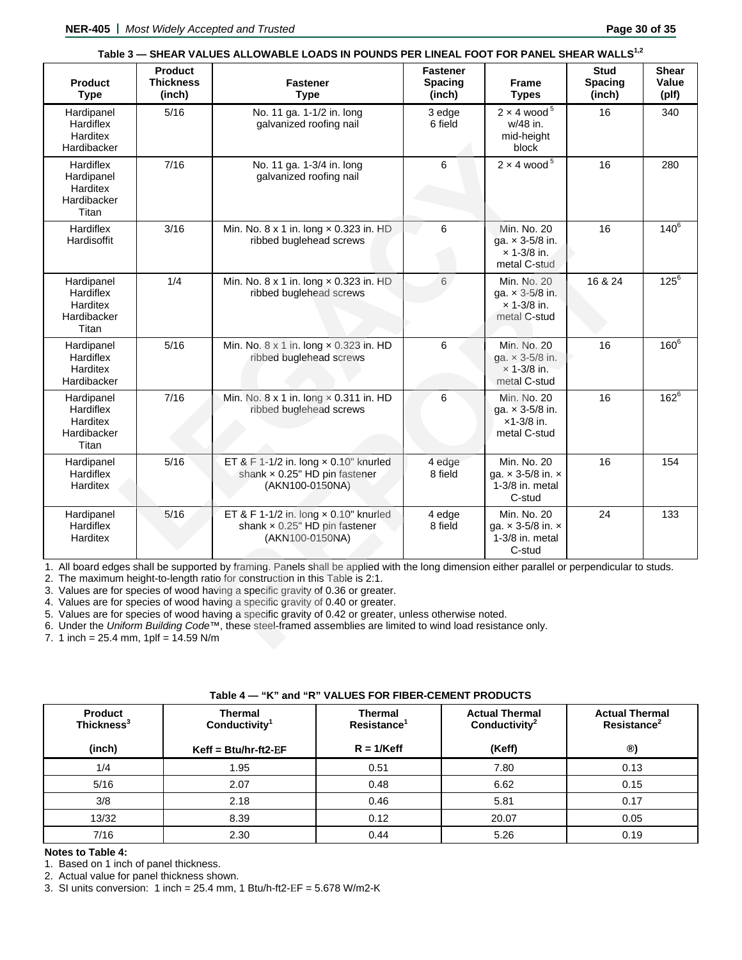|                                                             |                                              | SHEAN VALULO ALLUWADLE LUADO IN FUUNDO FEN LINEAL FUUT FUN FANLE SHEAN WALLO                                                                                                                                                                                                                                                                                                                                                                                                                                                                                                                                                               |                                             |                                                                               |                                         |                                |
|-------------------------------------------------------------|----------------------------------------------|--------------------------------------------------------------------------------------------------------------------------------------------------------------------------------------------------------------------------------------------------------------------------------------------------------------------------------------------------------------------------------------------------------------------------------------------------------------------------------------------------------------------------------------------------------------------------------------------------------------------------------------------|---------------------------------------------|-------------------------------------------------------------------------------|-----------------------------------------|--------------------------------|
| <b>Product</b><br><b>Type</b>                               | <b>Product</b><br><b>Thickness</b><br>(inch) | <b>Fastener</b><br><b>Type</b>                                                                                                                                                                                                                                                                                                                                                                                                                                                                                                                                                                                                             | <b>Fastener</b><br><b>Spacing</b><br>(inch) | <b>Frame</b><br><b>Types</b>                                                  | <b>Stud</b><br><b>Spacing</b><br>(inch) | <b>Shear</b><br>Value<br>(plf) |
| Hardipanel<br>Hardiflex<br>Harditex<br>Hardibacker          | 5/16                                         | No. 11 ga. 1-1/2 in. long<br>galvanized roofing nail                                                                                                                                                                                                                                                                                                                                                                                                                                                                                                                                                                                       | 3 edge<br>6 field                           | $2 \times 4$ wood <sup>5</sup><br>w/48 in.<br>mid-height<br>block             | 16                                      | 340                            |
| Hardiflex<br>Hardipanel<br>Harditex<br>Hardibacker<br>Titan | 7/16                                         | No. 11 ga. 1-3/4 in. long<br>galvanized roofing nail                                                                                                                                                                                                                                                                                                                                                                                                                                                                                                                                                                                       | 6                                           | $2 \times 4$ wood <sup>5</sup>                                                | 16                                      | 280                            |
| Hardiflex<br>Hardisoffit                                    | 3/16                                         | Min. No. 8 x 1 in. long x 0.323 in. HD<br>ribbed buglehead screws                                                                                                                                                                                                                                                                                                                                                                                                                                                                                                                                                                          | 6                                           | Min. No. 20<br>ga. x 3-5/8 in.<br>$\times$ 1-3/8 in.<br>metal C-stud          | 16                                      | $140^{6}$                      |
| Hardipanel<br>Hardiflex<br>Harditex<br>Hardibacker<br>Titan | 1/4                                          | Min. No. 8 x 1 in. long x 0.323 in. HD<br>ribbed buglehead screws                                                                                                                                                                                                                                                                                                                                                                                                                                                                                                                                                                          | 6                                           | Min. No. 20<br>ga. x 3-5/8 in.<br>$x 1 - 3/8$ in.<br>metal C-stud             | 16 & 24                                 | $125^6$                        |
| Hardipanel<br>Hardiflex<br>Harditex<br>Hardibacker          | 5/16                                         | Min. No. 8 x 1 in. long x 0.323 in. HD<br>ribbed buglehead screws                                                                                                                                                                                                                                                                                                                                                                                                                                                                                                                                                                          | 6                                           | Min. No. 20<br>ga. x 3-5/8 in.<br>$\times$ 1-3/8 in.<br>metal C-stud          | 16                                      | $160^6$                        |
| Hardipanel<br>Hardiflex<br>Harditex<br>Hardibacker<br>Titan | 7/16                                         | Min. No. 8 x 1 in. long x 0.311 in. HD<br>ribbed buglehead screws                                                                                                                                                                                                                                                                                                                                                                                                                                                                                                                                                                          | 6                                           | Min. No. 20<br>ga. $\times$ 3-5/8 in.<br>$x1-3/8$ in.<br>metal C-stud         | 16                                      | $162^{6}$                      |
| Hardipanel<br>Hardiflex<br>Harditex                         | 5/16                                         | ET & F 1-1/2 in. long $\times$ 0.10" knurled<br>shank x 0.25" HD pin fastener<br>(AKN100-0150NA)                                                                                                                                                                                                                                                                                                                                                                                                                                                                                                                                           | 4 edge<br>8 field                           | Min. No. 20<br>ga. $\times$ 3-5/8 in. $\times$<br>1-3/8 in. metal<br>C-stud   | 16                                      | 154                            |
| Hardipanel<br>Hardiflex<br>Harditex                         | 5/16                                         | ET & F 1-1/2 in. long x 0.10" knurled<br>shank $\times$ 0.25" HD pin fastener<br>(AKN100-0150NA)                                                                                                                                                                                                                                                                                                                                                                                                                                                                                                                                           | 4 edge<br>8 field                           | Min. No. 20<br>ga. $\times$ 3-5/8 in. $\times$<br>$1-3/8$ in. metal<br>C-stud | 24                                      | 133                            |
| 7. 1 inch = $25.4$ mm, 1plf = $14.59$ N/m                   |                                              | 1. All board edges shall be supported by framing. Panels shall be applied with the long dimension either parallel or perpendicular to studs.<br>2. The maximum height-to-length ratio for construction in this Table is 2:1.<br>3. Values are for species of wood having a specific gravity of 0.36 or greater.<br>4. Values are for species of wood having a specific gravity of 0.40 or greater.<br>5. Values are for species of wood having a specific gravity of 0.42 or greater, unless otherwise noted.<br>6. Under the Uniform Building Code <sup>™</sup> , these steel-framed assemblies are limited to wind load resistance only. |                                             |                                                                               |                                         |                                |

**Table 3 — SHEAR VALUES ALLOWABLE LOADS IN POUNDS PER LINEAL FOOT FOR PANEL SHEAR WALLS1,2**

| <b>Product</b><br>Thickness <sup>3</sup> | <b>Thermal</b><br>Conductivity <sup>1</sup> | Thermal<br>Resistance <sup>1</sup> | <b>Actual Thermal</b><br>Conductivity <sup>2</sup> | <b>Actual Thermal</b><br>Resistance <sup>2</sup> |
|------------------------------------------|---------------------------------------------|------------------------------------|----------------------------------------------------|--------------------------------------------------|
| (inch)                                   | $K$ eff = Btu/hr-ft2-EF                     | $R = 1/Keff$                       | (Keff)                                             | ®)                                               |
| 1/4                                      | 1.95                                        | 0.51                               | 7.80                                               | 0.13                                             |
| 5/16                                     | 2.07                                        | 0.48                               | 6.62                                               | 0.15                                             |
| 3/8                                      | 2.18                                        | 0.46                               | 5.81                                               | 0.17                                             |
| 13/32                                    | 8.39                                        | 0.12                               | 20.07                                              | 0.05                                             |
| 7/16                                     | 2.30                                        | 0.44                               | 5.26                                               | 0.19                                             |

# **Table 4 — "K" and "R" VALUES FOR FIBER-CEMENT PRODUCTS**

# **Notes to Table 4:**

1. Based on 1 inch of panel thickness.

2. Actual value for panel thickness shown.

3. SI units conversion: 1 inch =  $25.4$  mm, 1 Btu/h-ft2-EF =  $5.678$  W/m2-K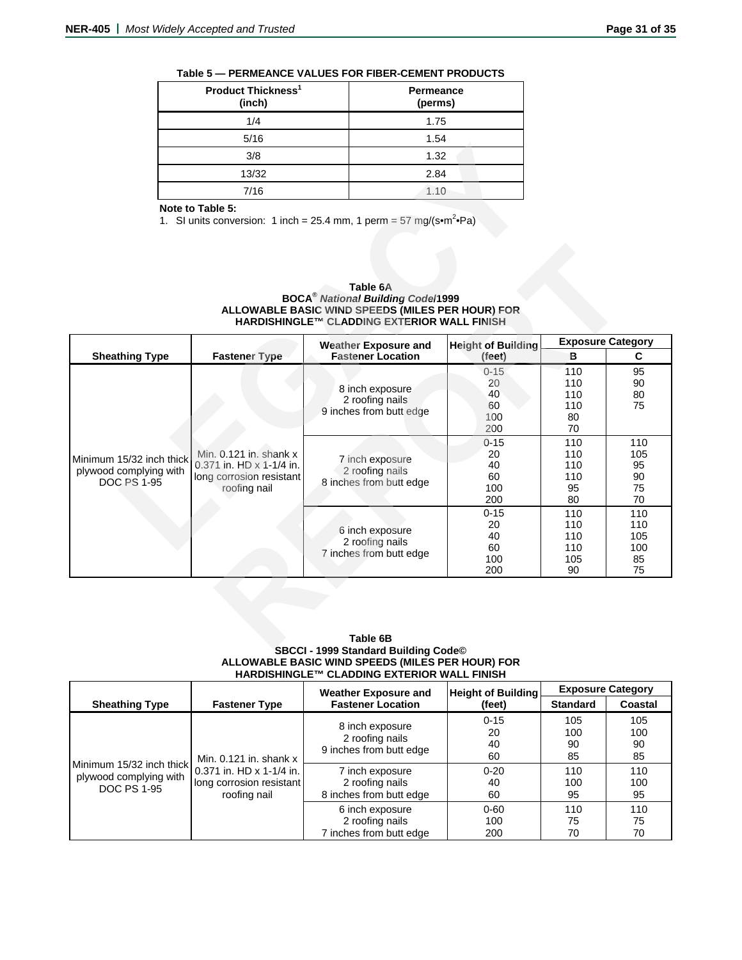| Product Thickness <sup>1</sup><br>(inch) | <b>Permeance</b><br>(perms) |
|------------------------------------------|-----------------------------|
| 1/4                                      | 1.75                        |
| 5/16                                     | 1.54                        |
| 3/8                                      | 1.32                        |
| 13/32                                    | 2.84                        |
| 7/16                                     | 1.10                        |

### **Table 5 — PERMEANCE VALUES FOR FIBER-CEMENT PRODUCTS**

# **Note to Table 5:**

**Table 6A BOCA®** *National Building Code***/1999 ALLOWABLE BASIC WIND SPEEDS (MILES PER HOUR) FOR HARDISHINGLE™ CLADDING EXTERIOR WALL FINISH** 

|                                                                          | 3/8                                                                                            | 1.32                                                                                                                                                                                                   |                                          |                                      |                                    |
|--------------------------------------------------------------------------|------------------------------------------------------------------------------------------------|--------------------------------------------------------------------------------------------------------------------------------------------------------------------------------------------------------|------------------------------------------|--------------------------------------|------------------------------------|
|                                                                          | 13/32                                                                                          | 2.84                                                                                                                                                                                                   |                                          |                                      |                                    |
|                                                                          | 7/16                                                                                           | 1.10                                                                                                                                                                                                   |                                          |                                      |                                    |
|                                                                          | Note to Table 5:                                                                               | 1. SI units conversion: 1 inch = 25.4 mm, 1 perm = 57 mg/(s•m <sup>2</sup> •Pa)<br>Table 6A<br><b>BOCA<sup>®</sup> National Building Code/1999</b><br>ALLOWABLE BASIC WIND SPEEDS (MILES PER HOUR) FOR |                                          |                                      |                                    |
|                                                                          |                                                                                                | HARDISHINGLE™ CLADDING EXTERIOR WALL FINISH<br><b>Weather Exposure and</b>                                                                                                                             | <b>Height of Building</b>                |                                      | <b>Exposure Category</b>           |
| <b>Sheathing Type</b>                                                    | <b>Fastener Type</b>                                                                           | <b>Fastener Location</b>                                                                                                                                                                               | (feet)                                   | B                                    | C                                  |
|                                                                          |                                                                                                | 8 inch exposure<br>2 roofing nails<br>9 inches from butt edge                                                                                                                                          | $0 - 15$<br>20<br>40<br>60<br>100<br>200 | 110<br>110<br>110<br>110<br>80<br>70 | 95<br>90<br>80<br>75               |
| Minimum 15/32 inch thick<br>plywood complying with<br><b>DOC PS 1-95</b> | Min. 0.121 in. shank x<br>0.371 in. HD x 1-1/4 in.<br>long corrosion resistant<br>roofing nail | 7 inch exposure<br>2 roofing nails<br>8 inches from butt edge                                                                                                                                          | $0 - 15$<br>20<br>40<br>60<br>100<br>200 | 110<br>110<br>110<br>110<br>95<br>80 | 110<br>105<br>95<br>90<br>75<br>70 |
|                                                                          |                                                                                                | 6 inch exposure<br>2 roofing nails                                                                                                                                                                     | $0 - 15$<br>20<br>40<br>60               | 110<br>110<br>110<br>110             | 110<br>110<br>105<br>100           |

### **Table 6B SBCCI - 1999 Standard Building Code© ALLOWABLE BASIC WIND SPEEDS (MILES PER HOUR) FOR HARDISHINGLE™ CLADDING EXTERIOR WALL FINISH**

|                                                                          |                                                                                                    | <b>Weather Exposure and</b>                                   | <b>Height of Building</b>  |                        | <b>Exposure Category</b> |
|--------------------------------------------------------------------------|----------------------------------------------------------------------------------------------------|---------------------------------------------------------------|----------------------------|------------------------|--------------------------|
| <b>Sheathing Type</b>                                                    | <b>Fastener Type</b>                                                                               | <b>Fastener Location</b>                                      | (feet)                     | <b>Standard</b>        | Coastal                  |
|                                                                          |                                                                                                    | 8 inch exposure<br>2 roofing nails<br>9 inches from butt edge | $0 - 15$<br>20<br>40       | 105<br>100<br>90       | 105<br>100<br>90         |
| Minimum 15/32 inch thick<br>plywood complying with<br><b>DOC PS 1-95</b> | Min. $0.121$ in. shank $x$<br>0.371 in. HD x 1-1/4 in.<br>long corrosion resistant<br>roofing nail | 7 inch exposure<br>2 roofing nails<br>8 inches from butt edge | 60<br>$0 - 20$<br>40<br>60 | 85<br>110<br>100<br>95 | 85<br>110<br>100<br>95   |
|                                                                          |                                                                                                    | 6 inch exposure<br>2 roofing nails<br>7 inches from butt edge | $0 - 60$<br>100<br>200     | 110<br>75<br>70        | 110<br>75<br>70          |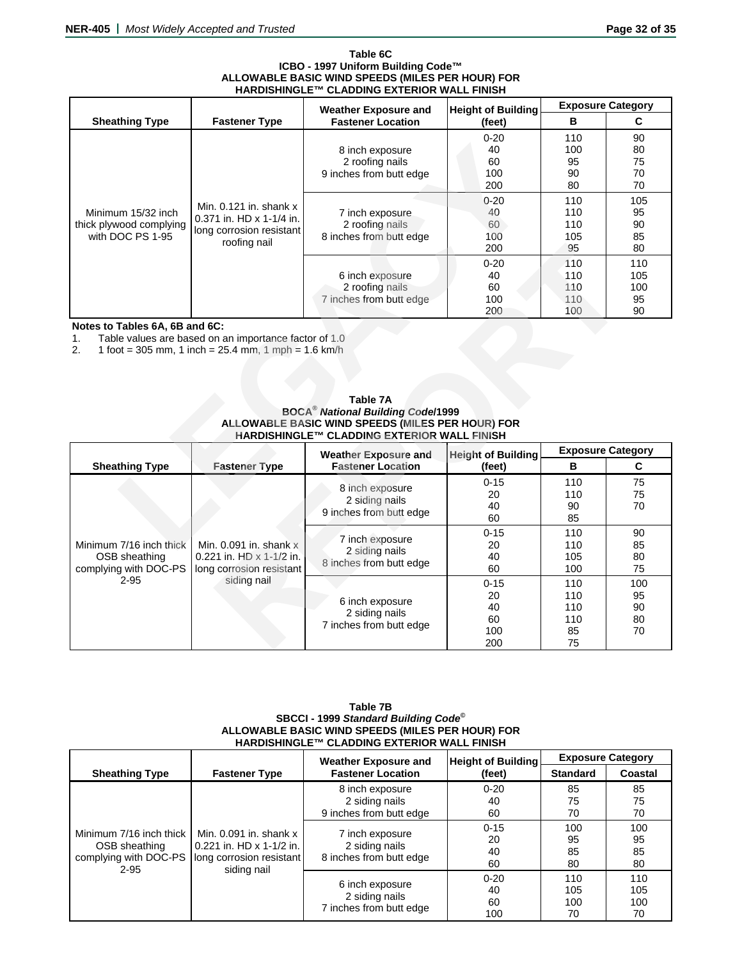#### **Table 6C ICBO - 1997 Uniform Building Code™ ALLOWABLE BASIC WIND SPEEDS (MILES PER HOUR) FOR HARDISHINGLE™ CLADDING EXTERIOR WALL FINISH**

|                                                                   |                                                                                                                  | <b>Weather Exposure and</b>                                                                                                                                               | <b>Height of Building</b>            |                                 | <b>Exposure Category</b>      |
|-------------------------------------------------------------------|------------------------------------------------------------------------------------------------------------------|---------------------------------------------------------------------------------------------------------------------------------------------------------------------------|--------------------------------------|---------------------------------|-------------------------------|
| <b>Sheathing Type</b>                                             | <b>Fastener Type</b>                                                                                             | <b>Fastener Location</b>                                                                                                                                                  | (feet)                               | в                               | C                             |
|                                                                   |                                                                                                                  | 8 inch exposure<br>2 roofing nails<br>9 inches from butt edge                                                                                                             | $0 - 20$<br>40<br>60<br>100<br>200   | 110<br>100<br>95<br>90<br>80    | 90<br>80<br>75<br>70<br>70    |
| Minimum 15/32 inch<br>thick plywood complying<br>with DOC PS 1-95 | Min. 0.121 in. shank x<br>0.371 in. HD x 1-1/4 in.<br>long corrosion resistant<br>roofing nail                   | 7 inch exposure<br>2 roofing nails<br>8 inches from butt edge                                                                                                             | $0 - 20$<br>40<br>60<br>100<br>200   | 110<br>110<br>110<br>105<br>95  | 105<br>95<br>90<br>85<br>80   |
|                                                                   |                                                                                                                  | 6 inch exposure<br>2 roofing nails<br>7 inches from butt edge                                                                                                             | $0 - 20$<br>40<br>60<br>100<br>200   | 110<br>110<br>110<br>110<br>100 | 110<br>105<br>100<br>95<br>90 |
| Notes to Tables 6A, 6B and 6C:<br>$\mathbf{1}$ .<br>2.            | Table values are based on an importance factor of 1.0<br>1 foot = 305 mm, 1 inch = $25.4$ mm, 1 mph = $1.6$ km/h | <b>Table 7A</b><br><b>BOCA<sup>®</sup> National Building Code/1999</b><br>ALLOWABLE BASIC WIND SPEEDS (MILES PER HOUR) FOR<br>HARDISHINGLE™ CLADDING EXTERIOR WALL FINISH |                                      |                                 |                               |
|                                                                   |                                                                                                                  | <b>Weather Exposure and</b><br><b>Fastener Location</b>                                                                                                                   | <b>Height of Building</b>            | B                               | <b>Exposure Category</b>      |
| <b>Sheathing Type</b>                                             | <b>Fastener Type</b>                                                                                             | 8 inch exposure<br>2 siding nails<br>9 inches from butt edge                                                                                                              | (feet)<br>$0 - 15$<br>20<br>40<br>60 | 110<br>110<br>90<br>85          | C<br>75<br>75<br>70           |
| Minimum 7/16 inch thick                                           | Min. $0.091$ in. shank $x$                                                                                       | 7 inch exposure<br>2 oiding noile                                                                                                                                         | $0 - 15$<br>20                       | 110<br>110                      | 90<br>85                      |

# **Notes to Tables 6A, 6B and 6C:**

| Table 7A                                            |
|-----------------------------------------------------|
| <b>BOCA<sup>®</sup> National Building Code/1999</b> |
| ALLOWABLE BASIC WIND SPEEDS (MILES PER HOUR) FOR    |
| HARDISHINGLE™ CLADDING EXTERIOR WALL FINISH         |

|                                | TOOHHY Hall                                             |                                                         | 200                                 | 95  | 80                       |
|--------------------------------|---------------------------------------------------------|---------------------------------------------------------|-------------------------------------|-----|--------------------------|
|                                |                                                         |                                                         | $0 - 20$                            | 110 | 110                      |
|                                |                                                         | 6 inch exposure                                         | 40                                  | 110 | 105                      |
|                                |                                                         | 2 roofing nails                                         | 60                                  | 110 | 100                      |
|                                |                                                         | 7 inches from butt edge                                 | 100                                 | 110 | 95                       |
|                                |                                                         |                                                         | 200                                 | 100 | 90                       |
| Notes to Tables 6A, 6B and 6C: |                                                         |                                                         |                                     |     |                          |
| 1.                             | Table values are based on an importance factor of 1.0   |                                                         |                                     |     |                          |
| 2.                             | 1 foot = 305 mm, 1 inch = $25.4$ mm, 1 mph = $1.6$ km/h |                                                         |                                     |     |                          |
|                                |                                                         |                                                         |                                     |     |                          |
|                                |                                                         |                                                         |                                     |     |                          |
|                                |                                                         |                                                         |                                     |     |                          |
|                                |                                                         | Table 7A                                                |                                     |     |                          |
|                                |                                                         | <b>BOCA<sup>®</sup> National Building Code/1999</b>     |                                     |     |                          |
|                                |                                                         | ALLOWABLE BASIC WIND SPEEDS (MILES PER HOUR) FOR        |                                     |     |                          |
|                                |                                                         | HARDISHINGLE™ CLADDING EXTERIOR WALL FINISH             |                                     |     |                          |
|                                |                                                         |                                                         |                                     |     |                          |
|                                |                                                         |                                                         |                                     |     | <b>Exposure Category</b> |
| <b>Sheathing Type</b>          | <b>Fastener Type</b>                                    | <b>Weather Exposure and</b><br><b>Fastener Location</b> | <b>Height of Building</b><br>(feet) | B   | C                        |
|                                |                                                         |                                                         | $0 - 15$                            | 110 | 75                       |
|                                |                                                         | 8 inch exposure                                         | 20                                  | 110 | 75                       |
|                                |                                                         | 2 siding nails                                          | 40                                  | 90  | 70                       |
|                                |                                                         | 9 inches from butt edge                                 | 60                                  | 85  |                          |
|                                |                                                         |                                                         | $0 - 15$                            | 110 | 90                       |
| Minimum 7/16 inch thick        | Min. $0.091$ in. shank $x$                              | 7 inch exposure                                         | 20                                  | 110 | 85                       |
| OSB sheathing                  | 0.221 in. HD $\times$ 1-1/2 in.                         | 2 siding nails                                          | 40                                  | 105 | 80                       |
| complying with DOC-PS          | long corrosion resistant                                | 8 inches from butt edge                                 | 60                                  | 100 | 75                       |
| $2 - 95$                       | siding nail                                             |                                                         | $0 - 15$                            | 110 | 100                      |
|                                |                                                         |                                                         | 20                                  | 110 | 95                       |
|                                |                                                         | 6 inch exposure                                         | 40                                  | 110 | 90                       |
|                                |                                                         | 2 siding nails                                          | 60                                  | 110 | 80                       |
|                                |                                                         | 7 inches from butt edge                                 | 100                                 | 85  | 70                       |

### **Table 7B SBCCI - 1999** *Standard Building Code***© ALLOWABLE BASIC WIND SPEEDS (MILES PER HOUR) FOR HARDISHINGLE™ CLADDING EXTERIOR WALL FINISH**

|                                                                           |                                                                                                   | <b>Weather Exposure and</b>                                  | <b>Height of Building</b>   |                         | <b>Exposure Category</b> |  |
|---------------------------------------------------------------------------|---------------------------------------------------------------------------------------------------|--------------------------------------------------------------|-----------------------------|-------------------------|--------------------------|--|
| <b>Sheathing Type</b>                                                     | <b>Fastener Type</b>                                                                              | <b>Fastener Location</b>                                     | (feet)                      | <b>Standard</b>         | Coastal                  |  |
| Minimum 7/16 inch thick<br>OSB sheathing<br>complying with DOC-PS<br>2-95 |                                                                                                   | 8 inch exposure<br>2 siding nails<br>9 inches from butt edge | $0 - 20$<br>40<br>60        | 85<br>75<br>70          | 85<br>75<br>70           |  |
|                                                                           | Min. $0.091$ in. shank $x$<br>0.221 in. HD x 1-1/2 in.<br>long corrosion resistant<br>siding nail | 7 inch exposure<br>2 siding nails<br>8 inches from butt edge | $0 - 15$<br>20<br>40<br>60  | 100<br>95<br>85<br>80   | 100<br>95<br>85<br>80    |  |
|                                                                           |                                                                                                   | 6 inch exposure<br>2 siding nails<br>7 inches from butt edge | $0 - 20$<br>40<br>60<br>100 | 110<br>105<br>100<br>70 | 110<br>105<br>100<br>70  |  |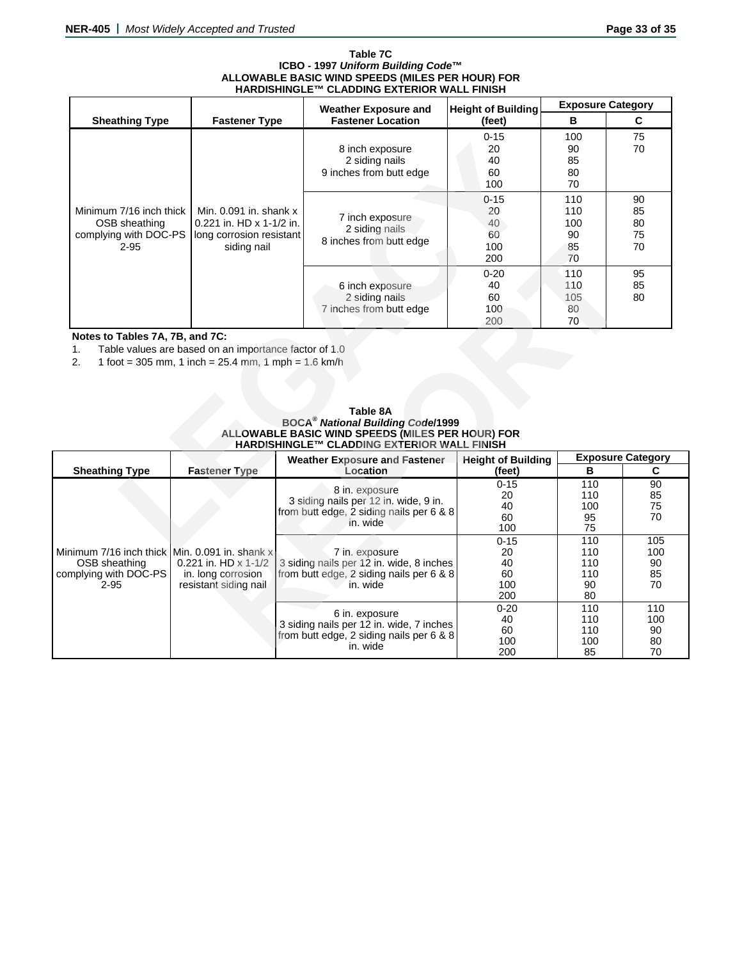#### **Table 7C ICBO - 1997** *Uniform Building Code***™ ALLOWABLE BASIC WIND SPEEDS (MILES PER HOUR) FOR HARDISHINGLE™ CLADDING EXTERIOR WALL FINISH**

|                                                                                                                                                                                                                                                                                                                                                   |                                                                                                   | <b>Weather Exposure and</b>                                                                                     | <b>Height of Building</b>                | <b>Exposure Category</b>            |                                                                                                       |  |
|---------------------------------------------------------------------------------------------------------------------------------------------------------------------------------------------------------------------------------------------------------------------------------------------------------------------------------------------------|---------------------------------------------------------------------------------------------------|-----------------------------------------------------------------------------------------------------------------|------------------------------------------|-------------------------------------|-------------------------------------------------------------------------------------------------------|--|
| <b>Sheathing Type</b>                                                                                                                                                                                                                                                                                                                             | <b>Fastener Type</b>                                                                              | <b>Fastener Location</b>                                                                                        | (feet)                                   | B                                   | C                                                                                                     |  |
| Minimum 7/16 inch thick<br>OSB sheathing<br>complying with DOC-PS<br>$2 - 95$                                                                                                                                                                                                                                                                     |                                                                                                   | 8 inch exposure<br>2 siding nails<br>9 inches from butt edge                                                    |                                          | 100<br>90<br>85<br>80<br>70         | 75<br>70                                                                                              |  |
|                                                                                                                                                                                                                                                                                                                                                   | Min. $0.091$ in. shank $x$<br>0.221 in. HD x 1-1/2 in.<br>long corrosion resistant<br>siding nail | 7 inch exposure<br>2 siding nails<br>8 inches from butt edge                                                    | $0 - 15$<br>20<br>40<br>60<br>100<br>200 | 110<br>110<br>100<br>90<br>85<br>70 | 90<br>85<br>80<br>75<br>70<br>95<br>85<br>80<br><b>Exposure Category</b><br>C<br>90<br>85<br>75<br>70 |  |
|                                                                                                                                                                                                                                                                                                                                                   |                                                                                                   | 6 inch exposure<br>2 siding nails<br>7 inches from butt edge                                                    | $0 - 20$<br>40<br>60<br>100<br>200       | 110<br>110<br>105<br>80<br>70       |                                                                                                       |  |
| Notes to Tables 7A, 7B, and 7C:<br>Table values are based on an importance factor of 1.0<br>1 <sub>1</sub><br>2.<br>1 foot = 305 mm, 1 inch = $25.4$ mm, 1 mph = $1.6$ km/h<br>Table 8A<br><b>BOCA<sup>®</sup> National Building Code/1999</b><br>ALLOWABLE BASIC WIND SPEEDS (MILES PER HOUR) FOR<br>HARDISHINGLE™ CLADDING EXTERIOR WALL FINISH |                                                                                                   |                                                                                                                 |                                          |                                     |                                                                                                       |  |
| <b>Sheathing Type</b>                                                                                                                                                                                                                                                                                                                             | <b>Fastener Type</b>                                                                              | <b>Weather Exposure and Fastener</b><br>Location                                                                | <b>Height of Building</b><br>(feet)      | B                                   |                                                                                                       |  |
|                                                                                                                                                                                                                                                                                                                                                   |                                                                                                   | 8 in. exposure<br>3 siding nails per 12 in. wide, 9 in.<br>from butt edge, 2 siding nails per 6 & 8<br>in. wide | $0 - 15$<br>20<br>40<br>60<br>100        | 110<br>110<br>100<br>95<br>75       |                                                                                                       |  |
|                                                                                                                                                                                                                                                                                                                                                   |                                                                                                   |                                                                                                                 | $0 - 15$<br>nn.                          | 110<br>$\overline{A}$               | 105<br>$\overline{a}$                                                                                 |  |

| Table 8A                                            |
|-----------------------------------------------------|
| <b>BOCA<sup>®</sup> National Building Code/1999</b> |
| ALLOWABLE BASIC WIND SPEEDS (MILES PER HOUR) FOR    |
| <b>HARDISHINGLE™ CLADDING EXTERIOR WALL FINISH</b>  |

|                                                                                                                                                                                                                                                                                        |                                                                            |                                                                                                                    | 200                                      | 85<br>70                             | 70                           |  |  |  |
|----------------------------------------------------------------------------------------------------------------------------------------------------------------------------------------------------------------------------------------------------------------------------------------|----------------------------------------------------------------------------|--------------------------------------------------------------------------------------------------------------------|------------------------------------------|--------------------------------------|------------------------------|--|--|--|
|                                                                                                                                                                                                                                                                                        |                                                                            | 6 inch exposure<br>2 siding nails<br>7 inches from butt edge                                                       | $0 - 20$<br>40<br>60<br>100<br>200       | 110<br>110<br>105<br>80<br>70        | 95<br>85<br>80               |  |  |  |
| Notes to Tables 7A, 7B, and 7C:<br>Table values are based on an importance factor of 1.0<br>1.<br>1 foot = 305 mm, 1 inch = $25.4$ mm, 1 mph = $1.6$ km/h<br>2.<br>Table 8A<br><b>BOCA<sup>®</sup> National Building Code/1999</b><br>ALLOWABLE BASIC WIND SPEEDS (MILES PER HOUR) FOR |                                                                            |                                                                                                                    |                                          |                                      |                              |  |  |  |
|                                                                                                                                                                                                                                                                                        |                                                                            | HARDISHINGLE™ CLADDING EXTERIOR WALL FINISH<br><b>Weather Exposure and Fastener</b>                                | <b>Height of Building</b>                | <b>Exposure Category</b>             |                              |  |  |  |
| <b>Sheathing Type</b>                                                                                                                                                                                                                                                                  | <b>Fastener Type</b>                                                       |                                                                                                                    |                                          |                                      |                              |  |  |  |
|                                                                                                                                                                                                                                                                                        |                                                                            | Location                                                                                                           | (feet)                                   | в                                    | C                            |  |  |  |
|                                                                                                                                                                                                                                                                                        |                                                                            | 8 in. exposure<br>3 siding nails per 12 in. wide, 9 in.<br>from butt edge, 2 siding nails per 6 & 8<br>in. wide    | $0 - 15$<br>20<br>40<br>60<br>100        | 110<br>110<br>100<br>95<br>75        | 90<br>85<br>75<br>70         |  |  |  |
| Minimum 7/16 inch thick Min. 0.091 in. shank x<br>OSB sheathing<br>complying with DOC-PS<br>$2 - 95$                                                                                                                                                                                   | 0.221 in. HD $\times$ 1-1/2<br>in. long corrosion<br>resistant siding nail | 7 in. exposure<br>3 siding nails per 12 in. wide, 8 inches<br>from butt edge, 2 siding nails per 6 & 8<br>in. wide | $0 - 15$<br>20<br>40<br>60<br>100<br>200 | 110<br>110<br>110<br>110<br>90<br>80 | 105<br>100<br>90<br>85<br>70 |  |  |  |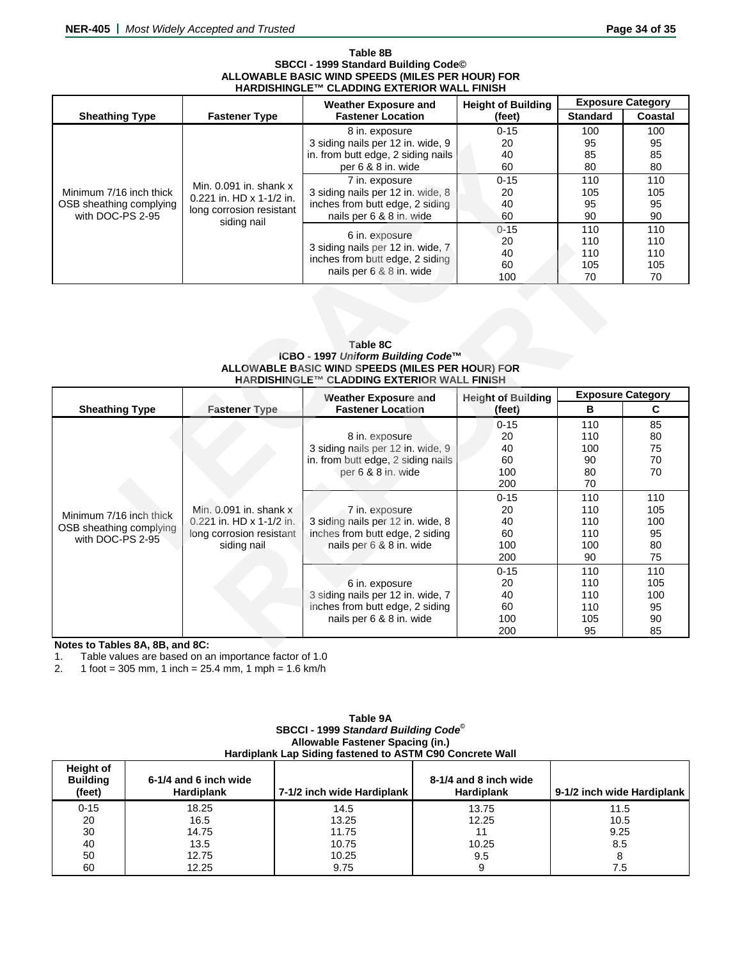#### **Table 8B SBCCI - 1999 Standard Building Code© ALLOWABLE BASIC WIND SPEEDS (MILES PER HOUR) FOR HARDISHINGLE™ CLADDING EXTERIOR WALL FINISH**

|                         |                            | <b>Weather Exposure and</b>                         |                    | <b>Exposure Category</b> |         |    |
|-------------------------|----------------------------|-----------------------------------------------------|--------------------|--------------------------|---------|----|
| <b>Sheathing Type</b>   | <b>Fastener Type</b>       | <b>Fastener Location</b>                            | (feet)             | <b>Standard</b>          | Coastal |    |
|                         | Min. $0.091$ in. shank $x$ | 8 in. exposure                                      | $0 - 15$           | 100                      | 100     |    |
|                         |                            | 3 siding nails per 12 in. wide, 9                   | 20                 | 95                       | 95      |    |
|                         |                            | in. from butt edge, 2 siding nails                  | 40                 | 85                       | 85      |    |
|                         |                            |                                                     | per 6 & 8 in. wide | 60                       | 80      | 80 |
|                         |                            | 7 in. exposure                                      | $0 - 15$           | 110                      | 110     |    |
| Minimum 7/16 inch thick | $0.221$ in. HD x 1-1/2 in. | 3 siding nails per 12 in. wide, 8                   | 20                 | 105                      | 105     |    |
| OSB sheathing complying | long corrosion resistant   | inches from butt edge, 2 siding                     | 40                 | 95                       | 95      |    |
| with DOC-PS 2-95        | siding nail                | nails per 6 & 8 in. wide                            | 60                 | 90                       | 90      |    |
|                         |                            |                                                     | $0 - 15$           | 110                      | 110     |    |
|                         |                            | 6 in. exposure<br>3 siding nails per 12 in. wide, 7 | 20                 | 110                      | 110     |    |
|                         |                            | inches from butt edge, 2 siding                     | 40                 | 110                      | 110     |    |
|                         |                            | nails per 6 & 8 in. wide                            | 60                 | 105                      | 105     |    |
|                         |                            |                                                     | 100                | 70                       | 70      |    |

### **Table 8C ICBO - 1997** *Uniform Building Code***™ ALLOWABLE BASIC WIND SPEEDS (MILES PER HOUR) FOR HARDISHINGLE™ CLADDING EXTERIOR WALL FINISH**

| Minimum 7/16 inch thick<br>OSB sheathing complying<br>with DOC-PS 2-95 | Min. $0.091$ in. shank $x$<br>0.221 in. HD x 1-1/2 in.<br>long corrosion resistant<br>siding nail | 3 siding halls per 12 in. wide, 9<br>in. from butt edge, 2 siding nails<br>per 6 & 8 in. wide<br>7 in. exposure<br>3 siding nails per 12 in. wide, 8<br>inches from butt edge, 2 siding<br>nails per 6 & 8 in. wide<br>6 in. exposure<br>3 siding nails per 12 in. wide, 7<br>inches from butt edge, 2 siding | ZU<br>40<br>60<br>$0 - 15$<br>20<br>40<br>60<br>$0 - 15$<br>20<br>40<br>60 | ყე<br>85<br>80<br>110<br>105<br>95<br>90<br>110<br>110<br>110<br>105 | ყე<br>85<br>80<br>110<br>105<br>95<br>90<br>110<br>110<br>110<br>105 |
|------------------------------------------------------------------------|---------------------------------------------------------------------------------------------------|---------------------------------------------------------------------------------------------------------------------------------------------------------------------------------------------------------------------------------------------------------------------------------------------------------------|----------------------------------------------------------------------------|----------------------------------------------------------------------|----------------------------------------------------------------------|
|                                                                        |                                                                                                   | nails per 6 & 8 in. wide<br>Table 8C<br>ICBO - 1997 Uniform Building Code™<br>ALLOWABLE BASIC WIND SPEEDS (MILES PER HOUR) FOR<br>HARDISHINGLE™ CLADDING EXTERIOR WALL FINISH<br><b>Weather Exposure and</b>                                                                                                  | 100<br><b>Height of Building</b>                                           | 70<br><b>Exposure Category</b>                                       | 70                                                                   |
| <b>Sheathing Type</b>                                                  | <b>Fastener Type</b>                                                                              | <b>Fastener Location</b>                                                                                                                                                                                                                                                                                      | (feet)                                                                     | в                                                                    | C                                                                    |
|                                                                        |                                                                                                   | 8 in. exposure<br>3 siding nails per 12 in. wide, 9<br>in. from butt edge, 2 siding nails<br>per 6 & 8 in. wide                                                                                                                                                                                               | $0 - 15$<br>20<br>40<br>60<br>100<br>200                                   | 110<br>110<br>100<br>90<br>80<br>70                                  | 85<br>80<br>75<br>70<br>70                                           |
| Minimum 7/16 inch thick<br>OSB sheathing complying<br>with DOC-PS 2-95 | Min. $0.091$ in. shank $x$<br>0.221 in. HD x 1-1/2 in.<br>long corrosion resistant<br>siding nail | 7 in. exposure                                                                                                                                                                                                                                                                                                | $0 - 15$                                                                   | 110                                                                  | 110<br>105                                                           |
|                                                                        |                                                                                                   | 3 siding nails per 12 in. wide, 8<br>inches from butt edge, 2 siding<br>nails per 6 & 8 in. wide                                                                                                                                                                                                              | 20<br>40<br>60<br>100<br>200<br>$0 - 15$                                   | 110<br>110<br>110<br>100<br>90<br>110                                | 100<br>95<br>80<br>75<br>110                                         |

# **Notes to Tables 8A, 8B, and 8C:**

1. Table values are based on an importance factor of 1.0<br>2.  $1.6$  foot = 305 mm, 1 inch = 25.4 mm, 1 mph = 1.6 km/h

1 foot = 305 mm, 1 inch =  $25.4$  mm, 1 mph =  $1.6$  km/h

| Hardiplank Lap Siding fastened to ASTM C90 Concrete Wall |                                            |                            |                                            |                            |  |  |  |
|----------------------------------------------------------|--------------------------------------------|----------------------------|--------------------------------------------|----------------------------|--|--|--|
| <b>Height of</b><br><b>Building</b><br>(feet)            | 6-1/4 and 6 inch wide<br><b>Hardiplank</b> | 7-1/2 inch wide Hardiplank | 8-1/4 and 8 inch wide<br><b>Hardiplank</b> | 9-1/2 inch wide Hardiplank |  |  |  |
| $0 - 15$                                                 | 18.25                                      | 14.5                       | 13.75                                      | 11.5                       |  |  |  |
| 20                                                       | 16.5                                       | 13.25                      | 12.25                                      | 10.5                       |  |  |  |
| 30                                                       | 14.75                                      | 11.75                      | 11                                         | 9.25                       |  |  |  |
| 40                                                       | 13.5                                       | 10.75                      | 10.25                                      | 8.5                        |  |  |  |
| 50                                                       | 12.75                                      | 10.25                      | 9.5                                        |                            |  |  |  |
| 60                                                       | 12.25                                      | 9.75                       |                                            | 7.5                        |  |  |  |

# **Table 9A SBCCI - 1999** *Standard Building Code***© Allowable Fastener Spacing (in.)**